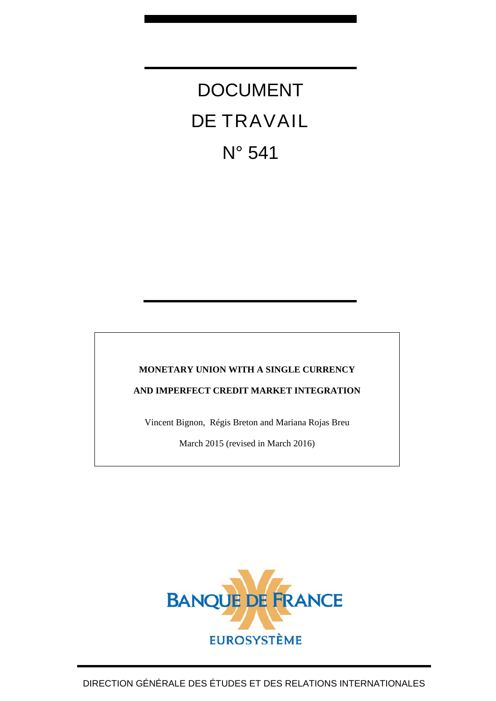# DOCUMENT DE TRAVAIL N° 541

# **MONETARY UNION WITH A SINGLE CURRENCY**

**AND IMPERFECT CREDIT MARKET INTEGRATION**

Vincent Bignon, Régis Breton and Mariana Rojas Breu

March 2015 (revised in March 2016)

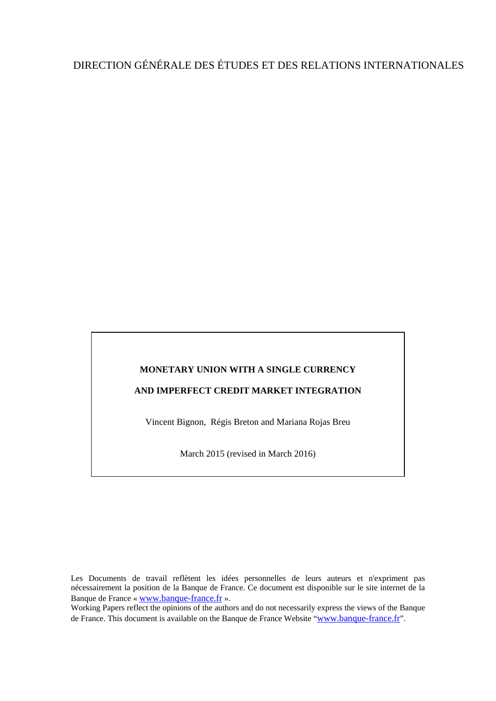# DIRECTION GÉNÉRALE DES ÉTUDES ET DES RELATIONS INTERNATIONALES

# **MONETARY UNION WITH A SINGLE CURRENCY**

## **AND IMPERFECT CREDIT MARKET INTEGRATION**

Vincent Bignon, Régis Breton and Mariana Rojas Breu

March 2015 (revised in March 2016)

Les Documents de travail reflètent les idées personnelles de leurs auteurs et n'expriment pas nécessairement la position de la Banque de France. Ce document est disponible sur le site internet de la Banque de France « [www.banque-france.fr](http://www.banque-france.fr/) ».

Working Papers reflect the opinions of the authors and do not necessarily express the views of the Banque de France. This document is available on the Banque de France Website ["www.banque-france.fr"](http://www.banque-france.fr/).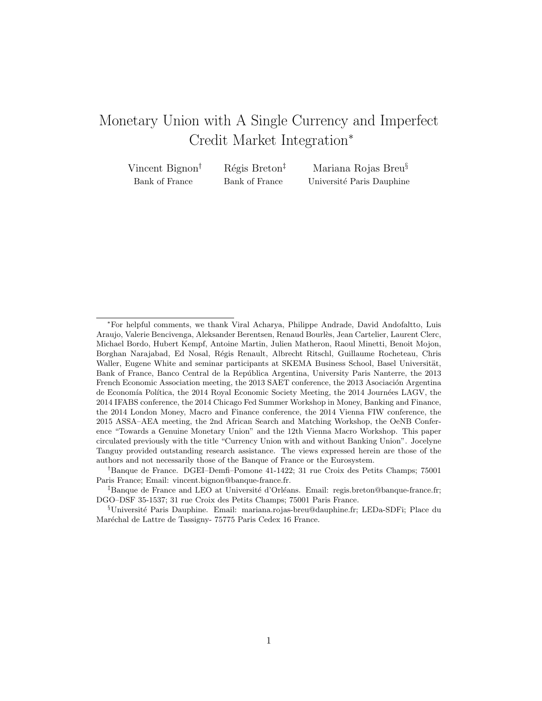# Monetary Union with A Single Currency and Imperfect Credit Market Integration<sup>∗</sup>

| Vincent Bignon <sup>†</sup> | $Régis$ Breton <sup><math>‡</math></sup> | Mariana Rojas Breu <sup>§</sup> |
|-----------------------------|------------------------------------------|---------------------------------|
| Bank of France              | Bank of France                           | Université Paris Dauphine       |

<sup>∗</sup>For helpful comments, we thank Viral Acharya, Philippe Andrade, David Andofaltto, Luis Araujo, Valerie Bencivenga, Aleksander Berentsen, Renaud Bourl`es, Jean Cartelier, Laurent Clerc, Michael Bordo, Hubert Kempf, Antoine Martin, Julien Matheron, Raoul Minetti, Benoit Mojon, Borghan Narajabad, Ed Nosal, R´egis Renault, Albrecht Ritschl, Guillaume Rocheteau, Chris Waller, Eugene White and seminar participants at SKEMA Business School, Basel Universität, Bank of France, Banco Central de la República Argentina, University Paris Nanterre, the 2013 French Economic Association meeting, the 2013 SAET conference, the 2013 Asociación Argentina de Economía Política, the 2014 Royal Economic Society Meeting, the 2014 Journées LAGV, the 2014 IFABS conference, the 2014 Chicago Fed Summer Workshop in Money, Banking and Finance, the 2014 London Money, Macro and Finance conference, the 2014 Vienna FIW conference, the 2015 ASSA–AEA meeting, the 2nd African Search and Matching Workshop, the OeNB Conference "Towards a Genuine Monetary Union" and the 12th Vienna Macro Workshop. This paper circulated previously with the title "Currency Union with and without Banking Union". Jocelyne Tanguy provided outstanding research assistance. The views expressed herein are those of the authors and not necessarily those of the Banque of France or the Eurosystem.

<sup>†</sup>Banque de France. DGEI–Demfi–Pomone 41-1422; 31 rue Croix des Petits Champs; 75001 Paris France; Email: vincent.bignon@banque-france.fr.

<sup>&</sup>lt;sup>‡</sup>Banque de France and LEO at Université d'Orléans. Email: regis.breton@banque-france.fr; DGO–DSF 35-1537; 31 rue Croix des Petits Champs; 75001 Paris France.

 $\S$ Université Paris Dauphine. Email: mariana.rojas-breu@dauphine.fr; LEDa-SDFi; Place du Maréchal de Lattre de Tassigny- 75775 Paris Cedex 16 France.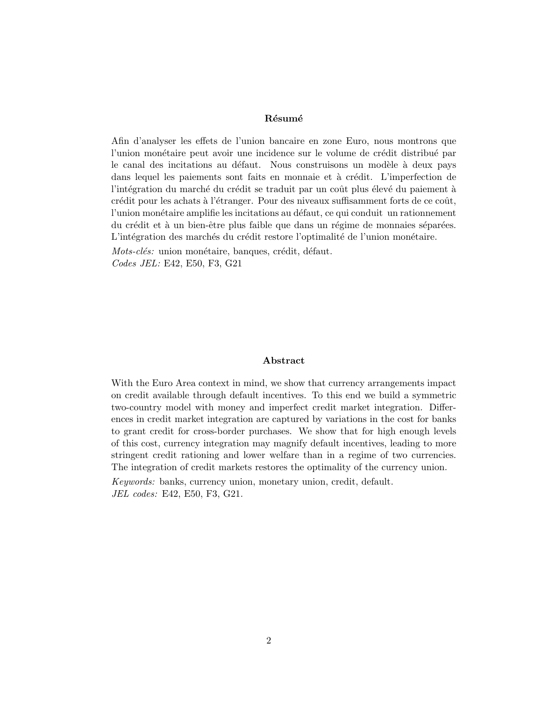#### Résumé

Afin d'analyser les effets de l'union bancaire en zone Euro, nous montrons que l'union monétaire peut avoir une incidence sur le volume de crédit distribué par le canal des incitations au défaut. Nous construisons un modèle à deux pays dans lequel les paiements sont faits en monnaie et à crédit. L'imperfection de l'intégration du marché du crédit se traduit par un coût plus élevé du paiement à crédit pour les achats à l'étranger. Pour des niveaux suffisamment forts de ce coût, l'union monétaire amplifie les incitations au défaut, ce qui conduit un rationnement du crédit et à un bien-être plus faible que dans un régime de monnaies séparées. L'intégration des marchés du crédit restore l'optimalité de l'union monétaire.

Mots-clés: union monétaire, banques, crédit, défaut. Codes JEL: E42, E50, F3, G21

#### Abstract

With the Euro Area context in mind, we show that currency arrangements impact on credit available through default incentives. To this end we build a symmetric two-country model with money and imperfect credit market integration. Differences in credit market integration are captured by variations in the cost for banks to grant credit for cross-border purchases. We show that for high enough levels of this cost, currency integration may magnify default incentives, leading to more stringent credit rationing and lower welfare than in a regime of two currencies. The integration of credit markets restores the optimality of the currency union. Keywords: banks, currency union, monetary union, credit, default. JEL codes: E42, E50, F3, G21.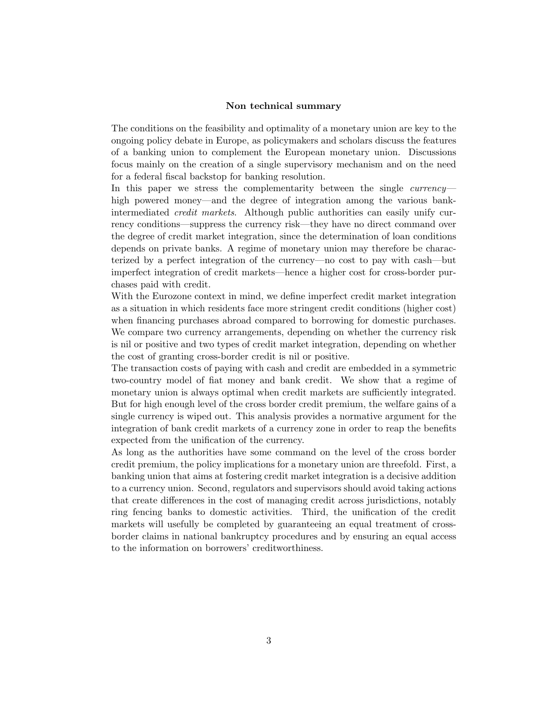#### Non technical summary

The conditions on the feasibility and optimality of a monetary union are key to the ongoing policy debate in Europe, as policymakers and scholars discuss the features of a banking union to complement the European monetary union. Discussions focus mainly on the creation of a single supervisory mechanism and on the need for a federal fiscal backstop for banking resolution.

In this paper we stress the complementarity between the single *currency* high powered money—and the degree of integration among the various bankintermediated credit markets. Although public authorities can easily unify currency conditions—suppress the currency risk—they have no direct command over the degree of credit market integration, since the determination of loan conditions depends on private banks. A regime of monetary union may therefore be characterized by a perfect integration of the currency—no cost to pay with cash—but imperfect integration of credit markets—hence a higher cost for cross-border purchases paid with credit.

With the Eurozone context in mind, we define imperfect credit market integration as a situation in which residents face more stringent credit conditions (higher cost) when financing purchases abroad compared to borrowing for domestic purchases. We compare two currency arrangements, depending on whether the currency risk is nil or positive and two types of credit market integration, depending on whether the cost of granting cross-border credit is nil or positive.

The transaction costs of paying with cash and credit are embedded in a symmetric two-country model of fiat money and bank credit. We show that a regime of monetary union is always optimal when credit markets are sufficiently integrated. But for high enough level of the cross border credit premium, the welfare gains of a single currency is wiped out. This analysis provides a normative argument for the integration of bank credit markets of a currency zone in order to reap the benefits expected from the unification of the currency.

As long as the authorities have some command on the level of the cross border credit premium, the policy implications for a monetary union are threefold. First, a banking union that aims at fostering credit market integration is a decisive addition to a currency union. Second, regulators and supervisors should avoid taking actions that create differences in the cost of managing credit across jurisdictions, notably ring fencing banks to domestic activities. Third, the unification of the credit markets will usefully be completed by guaranteeing an equal treatment of crossborder claims in national bankruptcy procedures and by ensuring an equal access to the information on borrowers' creditworthiness.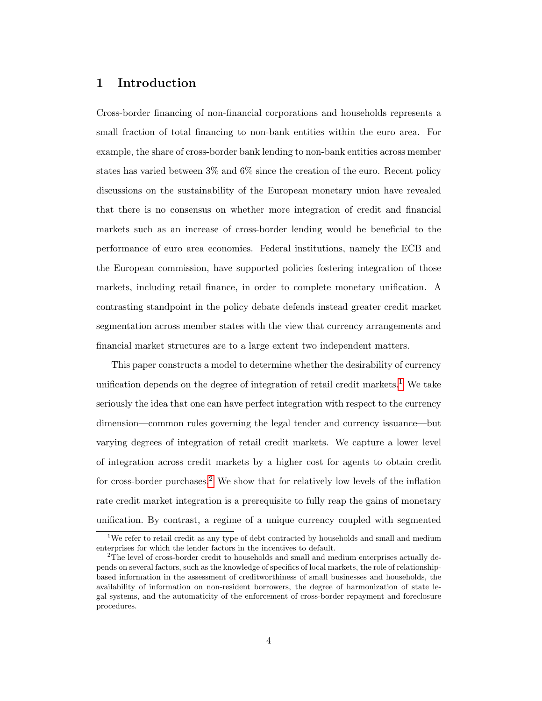# 1 Introduction

Cross-border financing of non-financial corporations and households represents a small fraction of total financing to non-bank entities within the euro area. For example, the share of cross-border bank lending to non-bank entities across member states has varied between 3% and 6% since the creation of the euro. Recent policy discussions on the sustainability of the European monetary union have revealed that there is no consensus on whether more integration of credit and financial markets such as an increase of cross-border lending would be beneficial to the performance of euro area economies. Federal institutions, namely the ECB and the European commission, have supported policies fostering integration of those markets, including retail finance, in order to complete monetary unification. A contrasting standpoint in the policy debate defends instead greater credit market segmentation across member states with the view that currency arrangements and financial market structures are to a large extent two independent matters.

This paper constructs a model to determine whether the desirability of currency unification depends on the degree of integration of retail credit markets.<sup>[1](#page-5-0)</sup> We take seriously the idea that one can have perfect integration with respect to the currency dimension—common rules governing the legal tender and currency issuance—but varying degrees of integration of retail credit markets. We capture a lower level of integration across credit markets by a higher cost for agents to obtain credit for cross-border purchases.<sup>[2](#page-5-1)</sup> We show that for relatively low levels of the inflation rate credit market integration is a prerequisite to fully reap the gains of monetary unification. By contrast, a regime of a unique currency coupled with segmented

<span id="page-5-0"></span><sup>&</sup>lt;sup>1</sup>We refer to retail credit as any type of debt contracted by households and small and medium enterprises for which the lender factors in the incentives to default.

<span id="page-5-1"></span><sup>&</sup>lt;sup>2</sup>The level of cross-border credit to households and small and medium enterprises actually depends on several factors, such as the knowledge of specifics of local markets, the role of relationshipbased information in the assessment of creditworthiness of small businesses and households, the availability of information on non-resident borrowers, the degree of harmonization of state legal systems, and the automaticity of the enforcement of cross-border repayment and foreclosure procedures.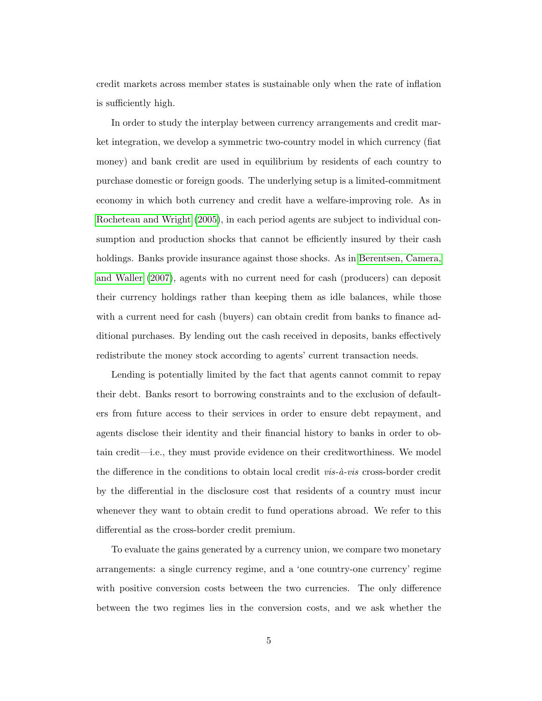credit markets across member states is sustainable only when the rate of inflation is sufficiently high.

In order to study the interplay between currency arrangements and credit market integration, we develop a symmetric two-country model in which currency (fiat money) and bank credit are used in equilibrium by residents of each country to purchase domestic or foreign goods. The underlying setup is a limited-commitment economy in which both currency and credit have a welfare-improving role. As in [Rocheteau and Wright \(2005\)](#page-76-0), in each period agents are subject to individual consumption and production shocks that cannot be efficiently insured by their cash holdings. Banks provide insurance against those shocks. As in [Berentsen, Camera,](#page-71-0) [and Waller \(2007\)](#page-71-0), agents with no current need for cash (producers) can deposit their currency holdings rather than keeping them as idle balances, while those with a current need for cash (buyers) can obtain credit from banks to finance additional purchases. By lending out the cash received in deposits, banks effectively redistribute the money stock according to agents' current transaction needs.

Lending is potentially limited by the fact that agents cannot commit to repay their debt. Banks resort to borrowing constraints and to the exclusion of defaulters from future access to their services in order to ensure debt repayment, and agents disclose their identity and their financial history to banks in order to obtain credit—i.e., they must provide evidence on their creditworthiness. We model the difference in the conditions to obtain local credit  $vis-\hat{a}-vis$  cross-border credit by the differential in the disclosure cost that residents of a country must incur whenever they want to obtain credit to fund operations abroad. We refer to this differential as the cross-border credit premium.

To evaluate the gains generated by a currency union, we compare two monetary arrangements: a single currency regime, and a 'one country-one currency' regime with positive conversion costs between the two currencies. The only difference between the two regimes lies in the conversion costs, and we ask whether the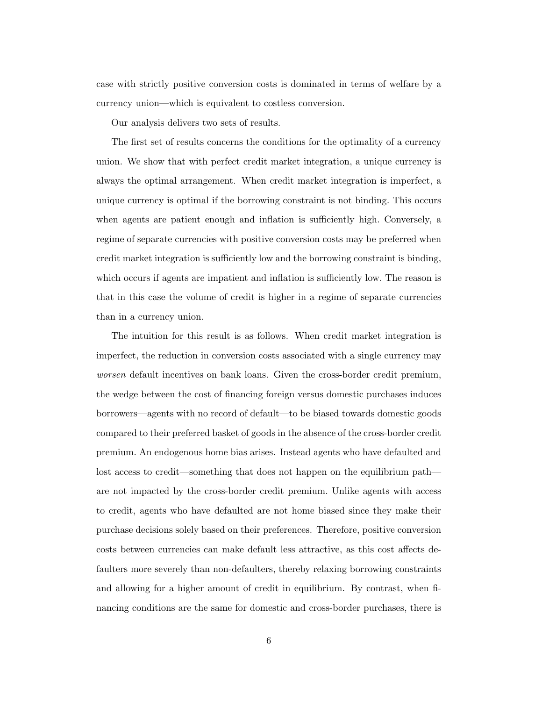case with strictly positive conversion costs is dominated in terms of welfare by a currency union—which is equivalent to costless conversion.

Our analysis delivers two sets of results.

The first set of results concerns the conditions for the optimality of a currency union. We show that with perfect credit market integration, a unique currency is always the optimal arrangement. When credit market integration is imperfect, a unique currency is optimal if the borrowing constraint is not binding. This occurs when agents are patient enough and inflation is sufficiently high. Conversely, a regime of separate currencies with positive conversion costs may be preferred when credit market integration is sufficiently low and the borrowing constraint is binding, which occurs if agents are impatient and inflation is sufficiently low. The reason is that in this case the volume of credit is higher in a regime of separate currencies than in a currency union.

The intuition for this result is as follows. When credit market integration is imperfect, the reduction in conversion costs associated with a single currency may worsen default incentives on bank loans. Given the cross-border credit premium, the wedge between the cost of financing foreign versus domestic purchases induces borrowers—agents with no record of default—to be biased towards domestic goods compared to their preferred basket of goods in the absence of the cross-border credit premium. An endogenous home bias arises. Instead agents who have defaulted and lost access to credit—something that does not happen on the equilibrium path are not impacted by the cross-border credit premium. Unlike agents with access to credit, agents who have defaulted are not home biased since they make their purchase decisions solely based on their preferences. Therefore, positive conversion costs between currencies can make default less attractive, as this cost affects defaulters more severely than non-defaulters, thereby relaxing borrowing constraints and allowing for a higher amount of credit in equilibrium. By contrast, when financing conditions are the same for domestic and cross-border purchases, there is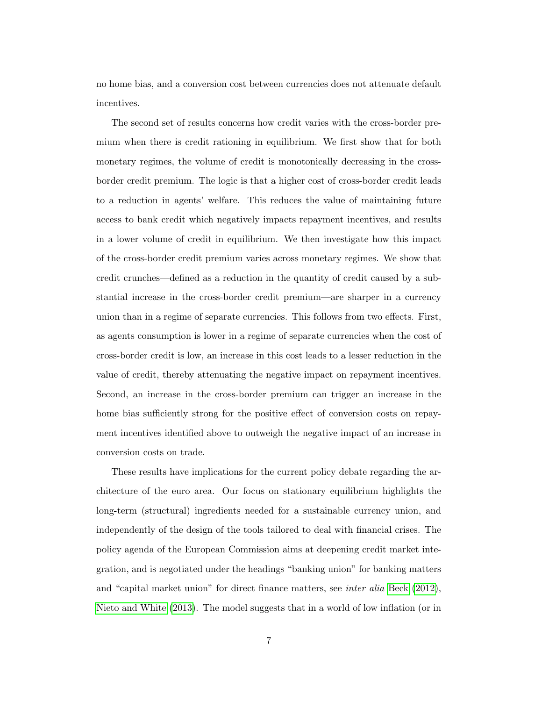no home bias, and a conversion cost between currencies does not attenuate default incentives.

The second set of results concerns how credit varies with the cross-border premium when there is credit rationing in equilibrium. We first show that for both monetary regimes, the volume of credit is monotonically decreasing in the crossborder credit premium. The logic is that a higher cost of cross-border credit leads to a reduction in agents' welfare. This reduces the value of maintaining future access to bank credit which negatively impacts repayment incentives, and results in a lower volume of credit in equilibrium. We then investigate how this impact of the cross-border credit premium varies across monetary regimes. We show that credit crunches—defined as a reduction in the quantity of credit caused by a substantial increase in the cross-border credit premium—are sharper in a currency union than in a regime of separate currencies. This follows from two effects. First, as agents consumption is lower in a regime of separate currencies when the cost of cross-border credit is low, an increase in this cost leads to a lesser reduction in the value of credit, thereby attenuating the negative impact on repayment incentives. Second, an increase in the cross-border premium can trigger an increase in the home bias sufficiently strong for the positive effect of conversion costs on repayment incentives identified above to outweigh the negative impact of an increase in conversion costs on trade.

These results have implications for the current policy debate regarding the architecture of the euro area. Our focus on stationary equilibrium highlights the long-term (structural) ingredients needed for a sustainable currency union, and independently of the design of the tools tailored to deal with financial crises. The policy agenda of the European Commission aims at deepening credit market integration, and is negotiated under the headings "banking union" for banking matters and "capital market union" for direct finance matters, see inter alia [Beck \(2012\)](#page-70-0), [Nieto and White \(2013\)](#page-76-1). The model suggests that in a world of low inflation (or in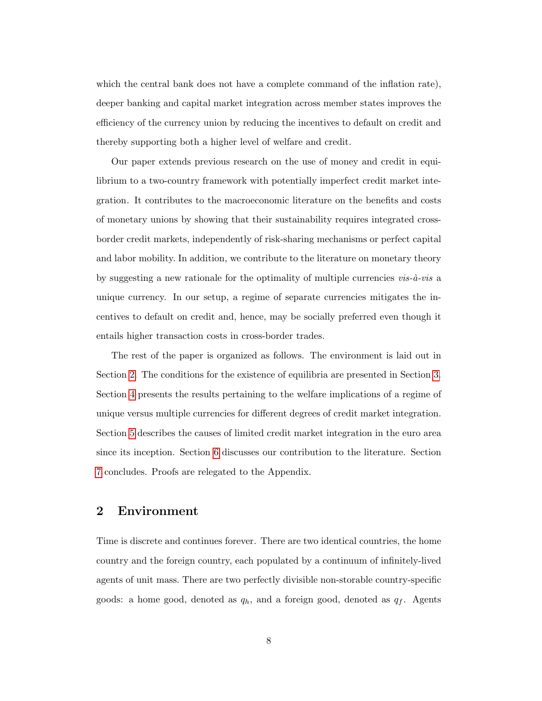which the central bank does not have a complete command of the inflation rate), deeper banking and capital market integration across member states improves the efficiency of the currency union by reducing the incentives to default on credit and thereby supporting both a higher level of welfare and credit.

Our paper extends previous research on the use of money and credit in equilibrium to a two-country framework with potentially imperfect credit market integration. It contributes to the macroeconomic literature on the benefits and costs of monetary unions by showing that their sustainability requires integrated crossborder credit markets, independently of risk-sharing mechanisms or perfect capital and labor mobility. In addition, we contribute to the literature on monetary theory by suggesting a new rationale for the optimality of multiple currencies  $vis-\hat{a}-vis$  a unique currency. In our setup, a regime of separate currencies mitigates the incentives to default on credit and, hence, may be socially preferred even though it entails higher transaction costs in cross-border trades.

The rest of the paper is organized as follows. The environment is laid out in Section [2.](#page-9-0) The conditions for the existence of equilibria are presented in Section [3.](#page-13-0) Section [4](#page-27-0) presents the results pertaining to the welfare implications of a regime of unique versus multiple currencies for different degrees of credit market integration. Section [5](#page-35-0) describes the causes of limited credit market integration in the euro area since its inception. Section [6](#page-37-0) discusses our contribution to the literature. Section [7](#page-41-0) concludes. Proofs are relegated to the Appendix.

## <span id="page-9-0"></span>2 Environment

Time is discrete and continues forever. There are two identical countries, the home country and the foreign country, each populated by a continuum of infinitely-lived agents of unit mass. There are two perfectly divisible non-storable country-specific goods: a home good, denoted as  $q_h$ , and a foreign good, denoted as  $q_f$ . Agents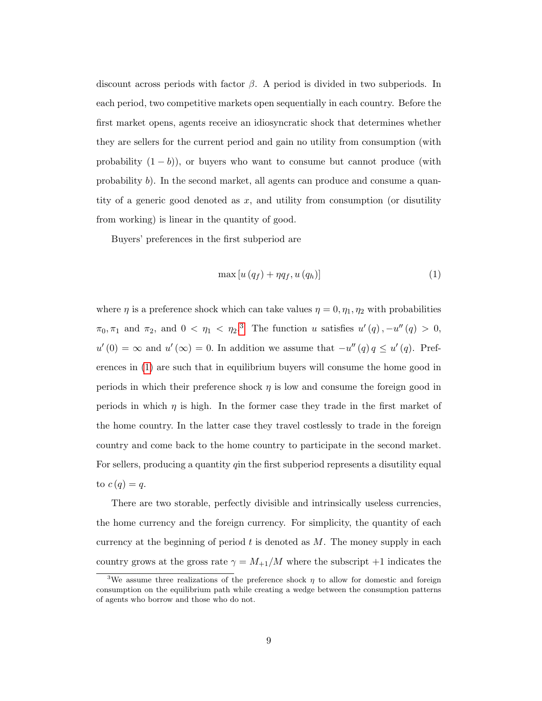discount across periods with factor  $\beta$ . A period is divided in two subperiods. In each period, two competitive markets open sequentially in each country. Before the first market opens, agents receive an idiosyncratic shock that determines whether they are sellers for the current period and gain no utility from consumption (with probability  $(1 - b)$ ), or buyers who want to consume but cannot produce (with probability b). In the second market, all agents can produce and consume a quantity of a generic good denoted as  $x$ , and utility from consumption (or disutility from working) is linear in the quantity of good.

Buyers' preferences in the first subperiod are

<span id="page-10-1"></span>
$$
\max\left[u\left(q_{f}\right)+\eta q_{f},u\left(q_{h}\right)\right]
$$
\n<sup>(1)</sup>

where  $\eta$  is a preference shock which can take values  $\eta = 0, \eta_1, \eta_2$  with probabilities  $\pi_0, \pi_1$  and  $\pi_2$ , and  $0 < \eta_1 < \eta_2$ .<sup>[3](#page-10-0)</sup> The function u satisfies  $u'(q)$ ,  $-u''(q) > 0$ ,  $u'(0) = \infty$  and  $u'(\infty) = 0$ . In addition we assume that  $-u''(q)q \le u'(q)$ . Preferences in [\(1\)](#page-10-1) are such that in equilibrium buyers will consume the home good in periods in which their preference shock  $\eta$  is low and consume the foreign good in periods in which  $\eta$  is high. In the former case they trade in the first market of the home country. In the latter case they travel costlessly to trade in the foreign country and come back to the home country to participate in the second market. For sellers, producing a quantity qin the first subperiod represents a disutility equal to  $c(q) = q$ .

There are two storable, perfectly divisible and intrinsically useless currencies, the home currency and the foreign currency. For simplicity, the quantity of each currency at the beginning of period  $t$  is denoted as  $M$ . The money supply in each country grows at the gross rate  $\gamma = M_{+1}/M$  where the subscript  $+1$  indicates the

<span id="page-10-0"></span><sup>&</sup>lt;sup>3</sup>We assume three realizations of the preference shock  $\eta$  to allow for domestic and foreign consumption on the equilibrium path while creating a wedge between the consumption patterns of agents who borrow and those who do not.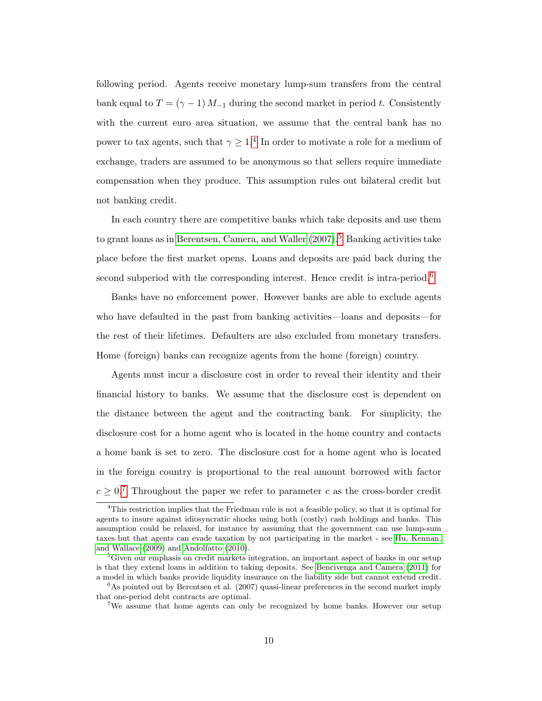following period. Agents receive monetary lump-sum transfers from the central bank equal to  $T = (\gamma - 1) M_{-1}$  during the second market in period t. Consistently with the current euro area situation, we assume that the central bank has no power to tax agents, such that  $\gamma \geq 1$ .<sup>[4](#page-11-0)</sup> In order to motivate a role for a medium of exchange, traders are assumed to be anonymous so that sellers require immediate compensation when they produce. This assumption rules out bilateral credit but not banking credit.

In each country there are competitive banks which take deposits and use them to grant loans as in Berentsen, Camera, and Waller  $(2007)^5$  $(2007)^5$  Banking activities take place before the first market opens. Loans and deposits are paid back during the second subperiod with the corresponding interest. Hence credit is intra-period.<sup>[6](#page-11-2)</sup>

Banks have no enforcement power. However banks are able to exclude agents who have defaulted in the past from banking activities—loans and deposits—for the rest of their lifetimes. Defaulters are also excluded from monetary transfers. Home (foreign) banks can recognize agents from the home (foreign) country.

Agents must incur a disclosure cost in order to reveal their identity and their financial history to banks. We assume that the disclosure cost is dependent on the distance between the agent and the contracting bank. For simplicity, the disclosure cost for a home agent who is located in the home country and contacts a home bank is set to zero. The disclosure cost for a home agent who is located in the foreign country is proportional to the real amount borrowed with factor  $c \geq 0$ .<sup>[7](#page-11-3)</sup> Throughout the paper we refer to parameter c as the cross-border credit

<span id="page-11-0"></span><sup>4</sup>This restriction implies that the Friedman rule is not a feasible policy, so that it is optimal for agents to insure against idiosyncratic shocks using both (costly) cash holdings and banks. This assumption could be relaxed, for instance by assuming that the government can use lump-sum taxes but that agents can evade taxation by not participating in the market - see [Hu, Kennan,](#page-74-0) [and Wallace](#page-74-0) [\(2009\)](#page-74-0) and [Andolfatto](#page-70-1) [\(2010\)](#page-70-1).

<span id="page-11-1"></span><sup>&</sup>lt;sup>5</sup>Given our emphasis on credit markets integration, an important aspect of banks in our setup is that they extend loans in addition to taking deposits. See [Bencivenga and Camera](#page-71-1) [\(2011\)](#page-71-1) for a model in which banks provide liquidity insurance on the liability side but cannot extend credit.

<span id="page-11-2"></span> $6$ As pointed out by Berentsen et al. (2007) quasi-linear preferences in the second market imply that one-period debt contracts are optimal.

<span id="page-11-3"></span><sup>&</sup>lt;sup>7</sup>We assume that home agents can only be recognized by home banks. However our setup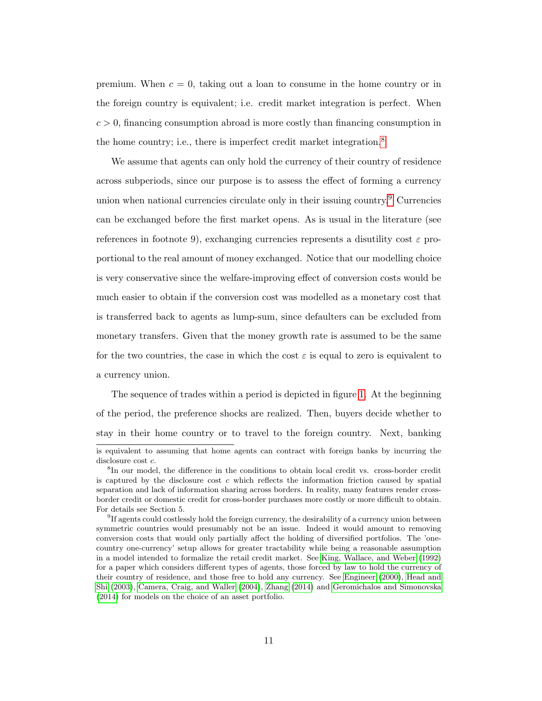premium. When  $c = 0$ , taking out a loan to consume in the home country or in the foreign country is equivalent; i.e. credit market integration is perfect. When  $c > 0$ , financing consumption abroad is more costly than financing consumption in the home country; i.e., there is imperfect credit market integration.<sup>[8](#page-12-0)</sup>

We assume that agents can only hold the currency of their country of residence across subperiods, since our purpose is to assess the effect of forming a currency union when national currencies circulate only in their issuing country.<sup>[9](#page-12-1)</sup> Currencies can be exchanged before the first market opens. As is usual in the literature (see references in footnote 9), exchanging currencies represents a disutility cost  $\varepsilon$  proportional to the real amount of money exchanged. Notice that our modelling choice is very conservative since the welfare-improving effect of conversion costs would be much easier to obtain if the conversion cost was modelled as a monetary cost that is transferred back to agents as lump-sum, since defaulters can be excluded from monetary transfers. Given that the money growth rate is assumed to be the same for the two countries, the case in which the cost  $\varepsilon$  is equal to zero is equivalent to a currency union.

The sequence of trades within a period is depicted in figure [1.](#page-78-0) At the beginning of the period, the preference shocks are realized. Then, buyers decide whether to stay in their home country or to travel to the foreign country. Next, banking

is equivalent to assuming that home agents can contract with foreign banks by incurring the disclosure cost c.

<span id="page-12-0"></span><sup>&</sup>lt;sup>8</sup>In our model, the difference in the conditions to obtain local credit vs. cross-border credit is captured by the disclosure cost  $c$  which reflects the information friction caused by spatial separation and lack of information sharing across borders. In reality, many features render crossborder credit or domestic credit for cross-border purchases more costly or more difficult to obtain. For details see Section 5.

<span id="page-12-1"></span><sup>&</sup>lt;sup>9</sup>If agents could costlessly hold the foreign currency, the desirability of a currency union between symmetric countries would presumably not be an issue. Indeed it would amount to removing conversion costs that would only partially affect the holding of diversified portfolios. The 'onecountry one-currency' setup allows for greater tractability while being a reasonable assumption in a model intended to formalize the retail credit market. See [King, Wallace, and Weber](#page-74-1) [\(1992\)](#page-74-1) for a paper which considers different types of agents, those forced by law to hold the currency of their country of residence, and those free to hold any currency. See [Engineer](#page-73-0) [\(2000\)](#page-73-0), [Head and](#page-74-2) [Shi](#page-74-2) [\(2003\)](#page-74-2), [Camera, Craig, and Waller](#page-71-2) [\(2004\)](#page-71-2), [Zhang](#page-77-0) [\(2014\)](#page-77-0) and [Geromichalos and Simonovska](#page-73-1) [\(2014\)](#page-73-1) for models on the choice of an asset portfolio.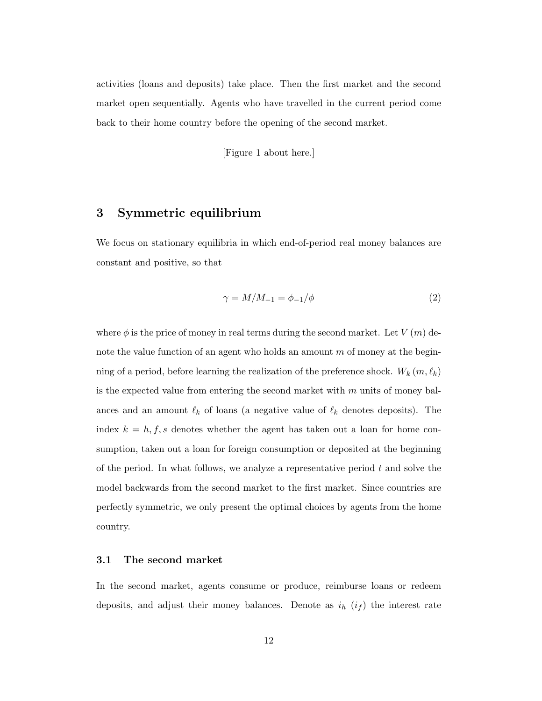activities (loans and deposits) take place. Then the first market and the second market open sequentially. Agents who have travelled in the current period come back to their home country before the opening of the second market.

[Figure 1 about here.]

# <span id="page-13-0"></span>3 Symmetric equilibrium

We focus on stationary equilibria in which end-of-period real money balances are constant and positive, so that

<span id="page-13-1"></span>
$$
\gamma = M/M_{-1} = \phi_{-1}/\phi \tag{2}
$$

where  $\phi$  is the price of money in real terms during the second market. Let  $V(m)$  denote the value function of an agent who holds an amount  $m$  of money at the beginning of a period, before learning the realization of the preference shock.  $W_k(m, \ell_k)$ is the expected value from entering the second market with  $m$  units of money balances and an amount  $\ell_k$  of loans (a negative value of  $\ell_k$  denotes deposits). The index  $k = h, f, s$  denotes whether the agent has taken out a loan for home consumption, taken out a loan for foreign consumption or deposited at the beginning of the period. In what follows, we analyze a representative period t and solve the model backwards from the second market to the first market. Since countries are perfectly symmetric, we only present the optimal choices by agents from the home country.

#### 3.1 The second market

In the second market, agents consume or produce, reimburse loans or redeem deposits, and adjust their money balances. Denote as  $i_h$   $(i_f)$  the interest rate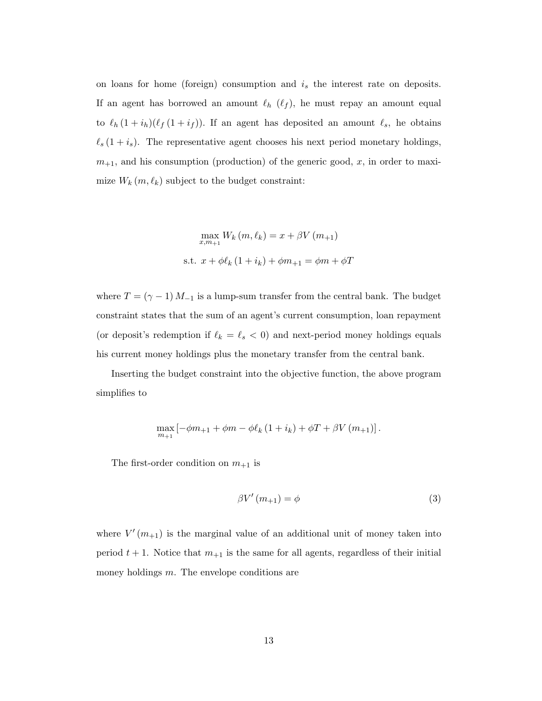on loans for home (foreign) consumption and  $i<sub>s</sub>$  the interest rate on deposits. If an agent has borrowed an amount  $\ell_h$  ( $\ell_f$ ), he must repay an amount equal to  $\ell_h (1 + i_h)(\ell_f (1 + i_f))$ . If an agent has deposited an amount  $\ell_s$ , he obtains  $\ell_s (1 + i_s)$ . The representative agent chooses his next period monetary holdings,  $m_{+1}$ , and his consumption (production) of the generic good, x, in order to maximize  $W_k(m, \ell_k)$  subject to the budget constraint:

$$
\max_{x,m_{+1}} W_k(m, \ell_k) = x + \beta V(m_{+1})
$$
  
s.t. 
$$
x + \phi \ell_k (1 + i_k) + \phi m_{+1} = \phi m + \phi T
$$

where  $T = (\gamma - 1) M_{-1}$  is a lump-sum transfer from the central bank. The budget constraint states that the sum of an agent's current consumption, loan repayment (or deposit's redemption if  $\ell_k = \ell_s < 0$ ) and next-period money holdings equals his current money holdings plus the monetary transfer from the central bank.

Inserting the budget constraint into the objective function, the above program simplifies to

$$
\max_{m_{+1}}\left[-\phi m_{+1}+\phi m-\phi \ell_{k}\left(1+i_{k}\right)+\phi T+\beta V\left(m_{+1}\right)\right].
$$

The first-order condition on  $m_{+1}$  is

<span id="page-14-0"></span>
$$
\beta V'(m_{+1}) = \phi \tag{3}
$$

where  $V'(m_{+1})$  is the marginal value of an additional unit of money taken into period  $t + 1$ . Notice that  $m_{+1}$  is the same for all agents, regardless of their initial money holdings m. The envelope conditions are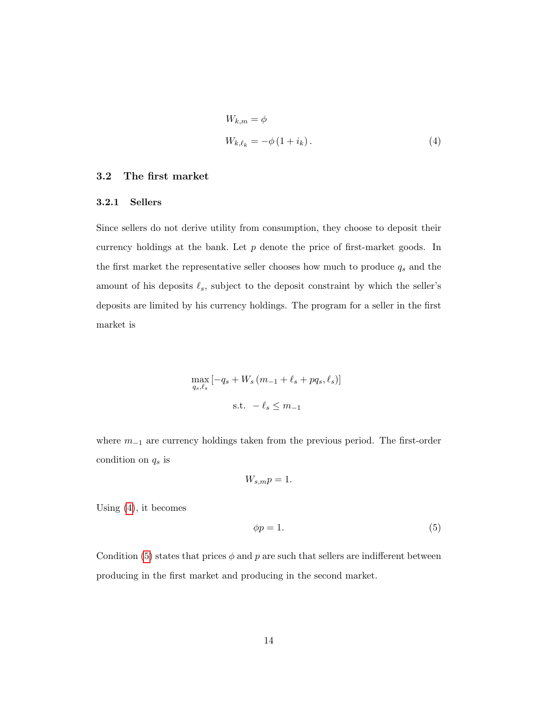<span id="page-15-0"></span>
$$
W_{k,m} = \phi
$$
  

$$
W_{k,\ell_k} = -\phi \left(1 + i_k\right). \tag{4}
$$

#### 3.2 The first market

#### 3.2.1 Sellers

Since sellers do not derive utility from consumption, they choose to deposit their currency holdings at the bank. Let  $p$  denote the price of first-market goods. In the first market the representative seller chooses how much to produce  $q_s$  and the amount of his deposits  $\ell_s$ , subject to the deposit constraint by which the seller's deposits are limited by his currency holdings. The program for a seller in the first market is

$$
\max_{q_s, \ell_s} \left[ -q_s + W_s \left( m_{-1} + \ell_s + pq_s, \ell_s \right) \right]
$$
  
s.t.  $-\ell_s \leq m_{-1}$ 

where  $m_{-1}$  are currency holdings taken from the previous period. The first-order condition on  $q_s$  is

$$
W_{s,m}p=1.
$$

Using [\(4\)](#page-15-0), it becomes

<span id="page-15-1"></span>
$$
\phi p = 1. \tag{5}
$$

Condition [\(5\)](#page-15-1) states that prices  $\phi$  and p are such that sellers are indifferent between producing in the first market and producing in the second market.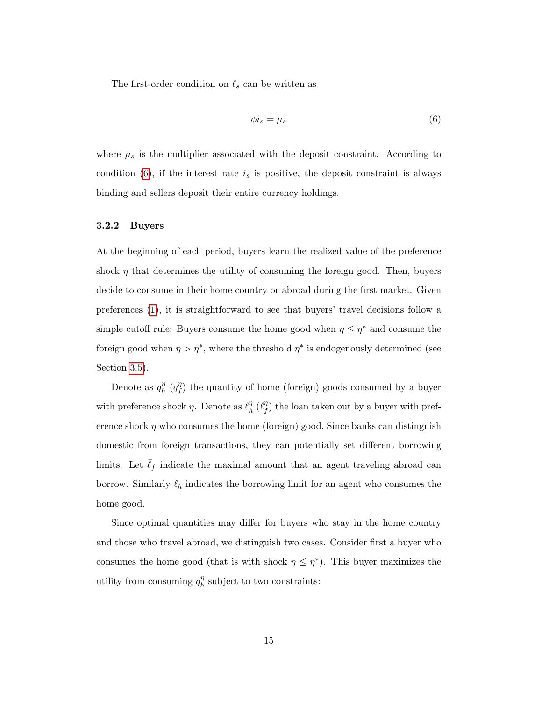The first-order condition on  $\ell_s$  can be written as

<span id="page-16-0"></span>
$$
\phi i_s = \mu_s \tag{6}
$$

where  $\mu_s$  is the multiplier associated with the deposit constraint. According to condition  $(6)$ , if the interest rate  $i_s$  is positive, the deposit constraint is always binding and sellers deposit their entire currency holdings.

#### 3.2.2 Buyers

At the beginning of each period, buyers learn the realized value of the preference shock  $\eta$  that determines the utility of consuming the foreign good. Then, buyers decide to consume in their home country or abroad during the first market. Given preferences [\(1\)](#page-10-1), it is straightforward to see that buyers' travel decisions follow a simple cutoff rule: Buyers consume the home good when  $\eta \leq \eta^*$  and consume the foreign good when  $\eta > \eta^*$ , where the threshold  $\eta^*$  is endogenously determined (see Section [3.5\)](#page-20-0).

Denote as  $q_h^{\eta}$  $\eta_h^{\eta}$  (q $\eta_f^{\eta}$  $f'(f)$  the quantity of home (foreign) goods consumed by a buyer with preference shock  $\eta$ . Denote as  $\ell_h^{\eta}$  $\eta_h^{\eta}$  ( $\ell_f^{\eta}$  $f''_f$ ) the loan taken out by a buyer with preference shock  $\eta$  who consumes the home (foreign) good. Since banks can distinguish domestic from foreign transactions, they can potentially set different borrowing limits. Let  $\bar{\ell}_f$  indicate the maximal amount that an agent traveling abroad can borrow. Similarly  $\bar{\ell}_h$  indicates the borrowing limit for an agent who consumes the home good.

Since optimal quantities may differ for buyers who stay in the home country and those who travel abroad, we distinguish two cases. Consider first a buyer who consumes the home good (that is with shock  $\eta \leq \eta^*$ ). This buyer maximizes the utility from consuming  $q_h^{\eta}$  $\frac{\eta}{h}$  subject to two constraints: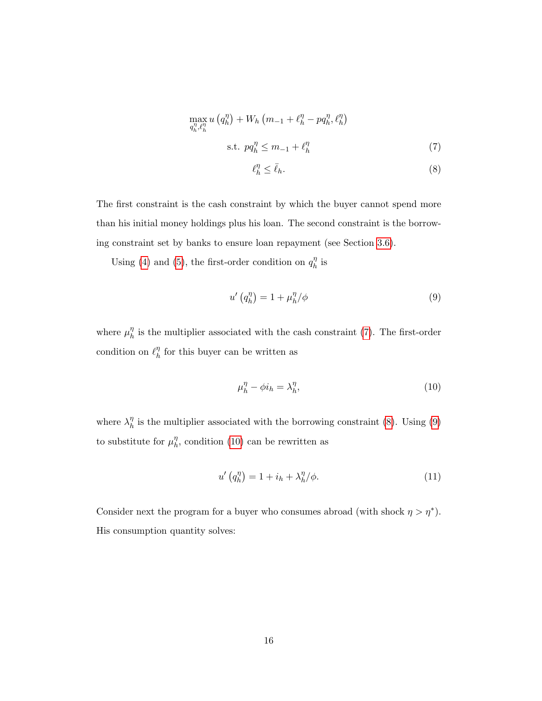$$
\max_{q_h^n, \ell_h^n} u(q_h^\eta) + W_h \left(m_{-1} + \ell_h^\eta - pq_h^\eta, \ell_h^\eta\right)
$$
\n
$$
\text{s.t. } pq_h^\eta \le m_{-1} + \ell_h^\eta \tag{7}
$$

<span id="page-17-1"></span><span id="page-17-0"></span>
$$
\ell_h^{\eta} \le \bar{\ell}_h. \tag{8}
$$

The first constraint is the cash constraint by which the buyer cannot spend more than his initial money holdings plus his loan. The second constraint is the borrowing constraint set by banks to ensure loan repayment (see Section [3.6\)](#page-21-0).

Using [\(4\)](#page-15-0) and [\(5\)](#page-15-1), the first-order condition on  $q_h^{\eta}$  $\frac{\eta}{h}$  is

<span id="page-17-2"></span>
$$
u'\left(q_h^{\eta}\right) = 1 + \mu_h^{\eta}/\phi\tag{9}
$$

where  $\mu_h^{\eta}$  $\frac{\eta}{h}$  is the multiplier associated with the cash constraint [\(7\)](#page-17-0). The first-order condition on  $\ell_h^{\eta}$  $\frac{\eta}{h}$  for this buyer can be written as

<span id="page-17-3"></span>
$$
\mu_h^{\eta} - \phi i_h = \lambda_h^{\eta},\tag{10}
$$

where  $\lambda_h^{\eta}$  $\frac{\eta}{h}$  is the multiplier associated with the borrowing constraint [\(8\)](#page-17-1). Using [\(9\)](#page-17-2) to substitute for  $\mu_h^{\eta}$  $\eta'$ , condition [\(10\)](#page-17-3) can be rewritten as

<span id="page-17-4"></span>
$$
u'\left(q_h^{\eta}\right) = 1 + i_h + \lambda_h^{\eta}/\phi. \tag{11}
$$

Consider next the program for a buyer who consumes abroad (with shock  $\eta > \eta^*$ ). His consumption quantity solves: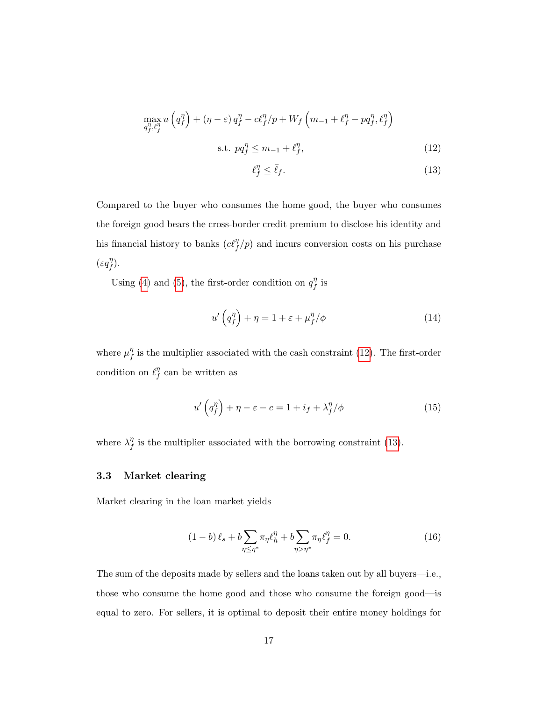$$
\max_{q_f^{\eta}, \ell_f^{\eta}} u\left(q_f^{\eta}\right) + \left(\eta - \varepsilon\right) q_f^{\eta} - c \ell_f^{\eta}/p + W_f \left(m_{-1} + \ell_f^{\eta} - p q_f^{\eta}, \ell_f^{\eta}\right)
$$
\n
$$
\text{s.t. } pq_f^{\eta} \le m_{-1} + \ell_f^{\eta},\tag{12}
$$

<span id="page-18-1"></span><span id="page-18-0"></span>
$$
\ell_f^{\eta} \le \bar{\ell}_f. \tag{13}
$$

Compared to the buyer who consumes the home good, the buyer who consumes the foreign good bears the cross-border credit premium to disclose his identity and his financial history to banks  $(c\ell_f^{\eta}/p)$  and incurs conversion costs on his purchase  $(\varepsilon q_f^{\eta}$  $\binom{\eta}{f}$ .

Using [\(4\)](#page-15-0) and [\(5\)](#page-15-1), the first-order condition on  $q_f^{\eta}$  $^{\prime\prime}_f$  is

<span id="page-18-3"></span>
$$
u'\left(q_f^{\eta}\right) + \eta = 1 + \varepsilon + \mu_f^{\eta}/\phi \tag{14}
$$

where  $\mu_t^{\eta}$  $_{f}^{\eta}$  is the multiplier associated with the cash constraint [\(12\)](#page-18-0). The first-order condition on  $\ell_f^{\eta}$  $\int_{f}^{\eta}$  can be written as

<span id="page-18-4"></span>
$$
u'\left(q_f^{\eta}\right) + \eta - \varepsilon - c = 1 + i_f + \lambda_f^{\eta}/\phi \tag{15}
$$

where  $\lambda_f^{\eta}$  $_{f}^{\eta}$  is the multiplier associated with the borrowing constraint [\(13\)](#page-18-1).

#### 3.3 Market clearing

Market clearing in the loan market yields

<span id="page-18-2"></span>
$$
(1-b)\,\ell_s + b \sum_{\eta \le \eta^*} \pi_\eta \ell_h^\eta + b \sum_{\eta > \eta^*} \pi_\eta \ell_f^\eta = 0. \tag{16}
$$

The sum of the deposits made by sellers and the loans taken out by all buyers—i.e., those who consume the home good and those who consume the foreign good—is equal to zero. For sellers, it is optimal to deposit their entire money holdings for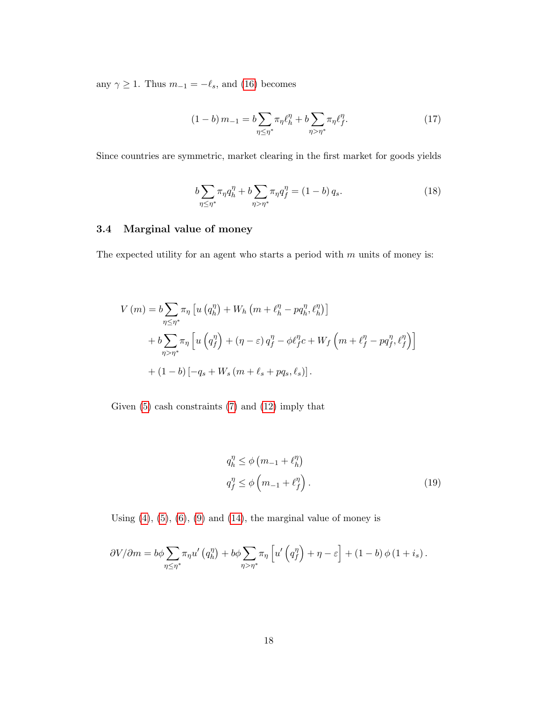any  $\gamma \ge 1$ . Thus  $m_{-1} = -\ell_s$ , and [\(16\)](#page-18-2) becomes

<span id="page-19-0"></span>
$$
(1-b)\,m_{-1} = b \sum_{\eta \le \eta^*} \pi_\eta \ell_h^{\eta} + b \sum_{\eta > \eta^*} \pi_\eta \ell_f^{\eta}.\tag{17}
$$

Since countries are symmetric, market clearing in the first market for goods yields

<span id="page-19-2"></span>
$$
b\sum_{\eta \le \eta^*} \pi_{\eta} q_h^{\eta} + b\sum_{\eta > \eta^*} \pi_{\eta} q_f^{\eta} = (1 - b) q_s.
$$
 (18)

#### 3.4 Marginal value of money

The expected utility for an agent who starts a period with  $m$  units of money is:

$$
V(m) = b \sum_{\eta \leq \eta^*} \pi_{\eta} \left[ u \left( q_h^{\eta} \right) + W_h \left( m + \ell_h^{\eta} - p q_h^{\eta}, \ell_h^{\eta} \right) \right]
$$
  
+ 
$$
b \sum_{\eta > \eta^*} \pi_{\eta} \left[ u \left( q_f^{\eta} \right) + (\eta - \varepsilon) q_f^{\eta} - \phi \ell_f^{\eta} c + W_f \left( m + \ell_f^{\eta} - p q_f^{\eta}, \ell_f^{\eta} \right) \right]
$$
  
+ 
$$
(1 - b) \left[ -q_s + W_s \left( m + \ell_s + p q_s, \ell_s \right) \right].
$$

Given  $(5)$  cash constraints  $(7)$  and  $(12)$  imply that

<span id="page-19-1"></span>
$$
q_h^{\eta} \le \phi \left( m_{-1} + \ell_h^{\eta} \right)
$$
  

$$
q_f^{\eta} \le \phi \left( m_{-1} + \ell_f^{\eta} \right).
$$
 (19)

Using  $(4)$ ,  $(5)$ ,  $(6)$ ,  $(9)$  and  $(14)$ , the marginal value of money is

$$
\frac{\partial V}{\partial m} = b\phi \sum_{\eta \leq \eta^*} \pi_{\eta} u' \left( q_n^{\eta} \right) + b\phi \sum_{\eta > \eta^*} \pi_{\eta} \left[ u' \left( q_f^{\eta} \right) + \eta - \varepsilon \right] + (1 - b) \phi \left( 1 + i_s \right).
$$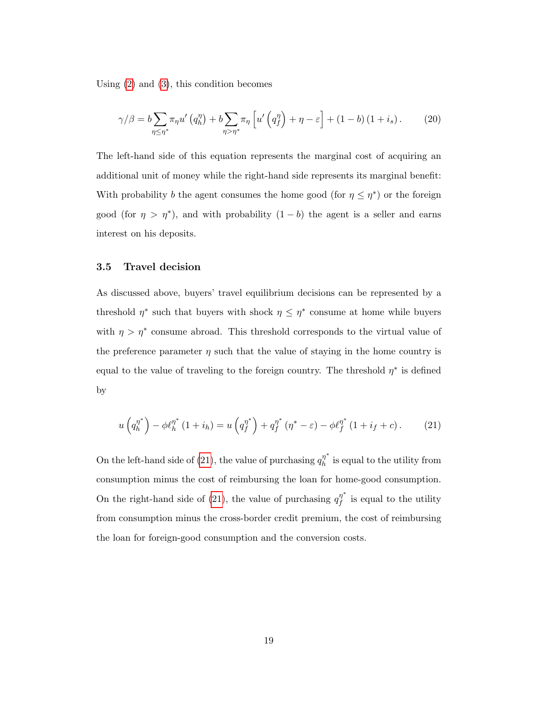Using [\(2\)](#page-13-1) and [\(3\)](#page-14-0), this condition becomes

<span id="page-20-2"></span>
$$
\gamma/\beta = b \sum_{\eta \le \eta^*} \pi_{\eta} u' \left( q_h^{\eta} \right) + b \sum_{\eta > \eta^*} \pi_{\eta} \left[ u' \left( q_f^{\eta} \right) + \eta - \varepsilon \right] + (1 - b) \left( 1 + i_s \right). \tag{20}
$$

The left-hand side of this equation represents the marginal cost of acquiring an additional unit of money while the right-hand side represents its marginal benefit: With probability *b* the agent consumes the home good (for  $\eta \leq \eta^*$ ) or the foreign good (for  $\eta > \eta^*$ ), and with probability  $(1 - b)$  the agent is a seller and earns interest on his deposits.

#### <span id="page-20-0"></span>3.5 Travel decision

As discussed above, buyers' travel equilibrium decisions can be represented by a threshold  $\eta^*$  such that buyers with shock  $\eta \leq \eta^*$  consume at home while buyers with  $\eta > \eta^*$  consume abroad. This threshold corresponds to the virtual value of the preference parameter  $\eta$  such that the value of staying in the home country is equal to the value of traveling to the foreign country. The threshold  $\eta^*$  is defined by

<span id="page-20-1"></span>
$$
u\left(q_h^{\eta^*}\right) - \phi \ell_h^{\eta^*} \left(1 + i_h\right) = u\left(q_f^{\eta^*}\right) + q_f^{\eta^*} \left(\eta^* - \varepsilon\right) - \phi \ell_f^{\eta^*} \left(1 + i_f + c\right). \tag{21}
$$

On the left-hand side of [\(21\)](#page-20-1), the value of purchasing  $q_h^{\eta^*}$  $\frac{\eta}{h}$  is equal to the utility from consumption minus the cost of reimbursing the loan for home-good consumption. On the right-hand side of [\(21\)](#page-20-1), the value of purchasing  $q_t^{\eta^*}$  $\int_{f}^{\eta}$  is equal to the utility from consumption minus the cross-border credit premium, the cost of reimbursing the loan for foreign-good consumption and the conversion costs.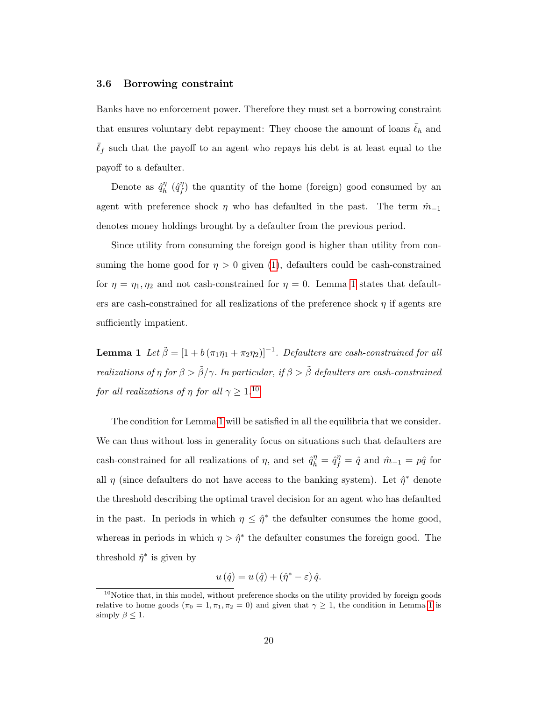#### <span id="page-21-0"></span>3.6 Borrowing constraint

Banks have no enforcement power. Therefore they must set a borrowing constraint that ensures voluntary debt repayment: They choose the amount of loans  $\bar{\ell}_h$  and  $\bar{\ell}_f$  such that the payoff to an agent who repays his debt is at least equal to the payoff to a defaulter.

Denote as  $\hat{q}^{\eta}_{h}$  $\stackrel{\eta}{h}$  ( $\hat{q}^{\eta}_{f}$  $f'(f)$  the quantity of the home (foreign) good consumed by an agent with preference shock  $\eta$  who has defaulted in the past. The term  $\hat{m}_{-1}$ denotes money holdings brought by a defaulter from the previous period.

Since utility from consuming the foreign good is higher than utility from consuming the home good for  $\eta > 0$  given [\(1\)](#page-10-1), defaulters could be cash-constrained for  $\eta = \eta_1, \eta_2$  and not cash-constrained for  $\eta = 0$ . Lemma [1](#page-21-1) states that defaulters are cash-constrained for all realizations of the preference shock  $\eta$  if agents are sufficiently impatient.

<span id="page-21-1"></span>**Lemma 1** Let  $\tilde{\beta} = [1 + b(\pi_1\eta_1 + \pi_2\eta_2)]^{-1}$ . Defaulters are cash-constrained for all realizations of  $\eta$  for  $\beta > \tilde{\beta}/\gamma$ . In particular, if  $\beta > \tilde{\beta}$  defaulters are cash-constrained for all realizations of  $\eta$  for all  $\gamma \geq 1.10$  $\gamma \geq 1.10$ 

The condition for Lemma [1](#page-21-1) will be satisfied in all the equilibria that we consider. We can thus without loss in generality focus on situations such that defaulters are cash-constrained for all realizations of  $\eta$ , and set  $\hat{q}^{\eta}_{h} = \hat{q}^{\eta}_{f} = \hat{q}$  and  $\hat{m}_{-1} = p\hat{q}$  for all  $\eta$  (since defaulters do not have access to the banking system). Let  $\hat{\eta}^*$  denote the threshold describing the optimal travel decision for an agent who has defaulted in the past. In periods in which  $\eta \leq \hat{\eta}^*$  the defaulter consumes the home good, whereas in periods in which  $\eta > \hat{\eta}^*$  the defaulter consumes the foreign good. The threshold  $\hat{\eta}^*$  is given by

$$
u(\hat{q}) = u(\hat{q}) + (\hat{\eta}^* - \varepsilon)\,\hat{q}.
$$

<span id="page-21-2"></span> $10$ Notice that, in this model, without preference shocks on the utility provided by foreign goods relative to home goods ( $\pi_0 = 1, \pi_1, \pi_2 = 0$  $\pi_0 = 1, \pi_1, \pi_2 = 0$  $\pi_0 = 1, \pi_1, \pi_2 = 0$ ) and given that  $\gamma \geq 1$ , the condition in Lemma 1 is simply  $\beta \leq 1$ .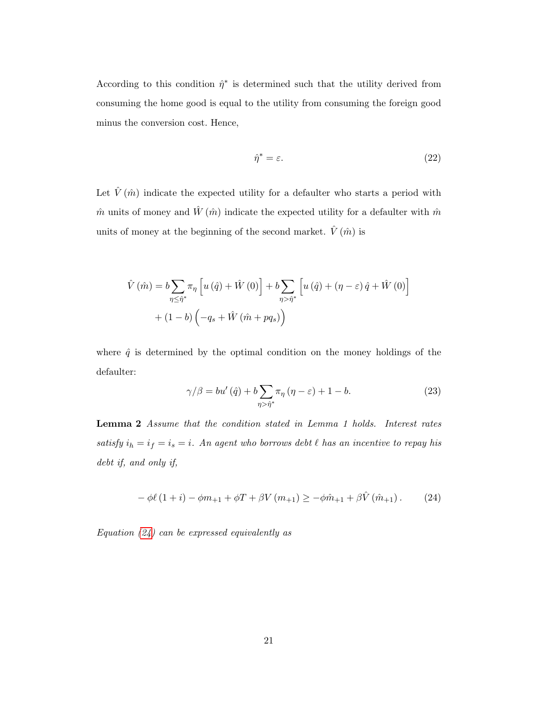According to this condition  $\hat{\eta}^*$  is determined such that the utility derived from consuming the home good is equal to the utility from consuming the foreign good minus the conversion cost. Hence,

<span id="page-22-3"></span>
$$
\hat{\eta}^* = \varepsilon. \tag{22}
$$

Let  $\hat{V}\left( \hat{m}\right)$  indicate the expected utility for a defaulter who starts a period with  $\hat{m}$  units of money and  $\hat{W}(\hat{m})$  indicate the expected utility for a defaulter with  $\hat{m}$ units of money at the beginning of the second market.  $\hat{V}(\hat{m})$  is

$$
\hat{V}(\hat{m}) = b \sum_{\eta \leq \hat{\eta}^*} \pi_{\eta} \left[ u(\hat{q}) + \hat{W}(0) \right] + b \sum_{\eta > \hat{\eta}^*} \left[ u(\hat{q}) + (\eta - \varepsilon) \hat{q} + \hat{W}(0) \right] + (1 - b) \left( -q_s + \hat{W}(\hat{m} + pq_s) \right)
$$

where  $\hat{q}$  is determined by the optimal condition on the money holdings of the defaulter:

<span id="page-22-2"></span>
$$
\gamma/\beta = bu'\left(\hat{q}\right) + b \sum_{\eta > \hat{\eta}^*} \pi_{\eta} \left(\eta - \varepsilon\right) + 1 - b. \tag{23}
$$

<span id="page-22-1"></span>Lemma 2 Assume that the condition stated in Lemma 1 holds. Interest rates satisfy  $i_h = i_f = i_s = i$ . An agent who borrows debt  $\ell$  has an incentive to repay his debt if, and only if,

<span id="page-22-0"></span>
$$
- \phi \ell (1 + i) - \phi m_{+1} + \phi T + \beta V (m_{+1}) \ge -\phi \hat{m}_{+1} + \beta \hat{V} (\hat{m}_{+1}). \tag{24}
$$

Equation  $(24)$  can be expressed equivalently as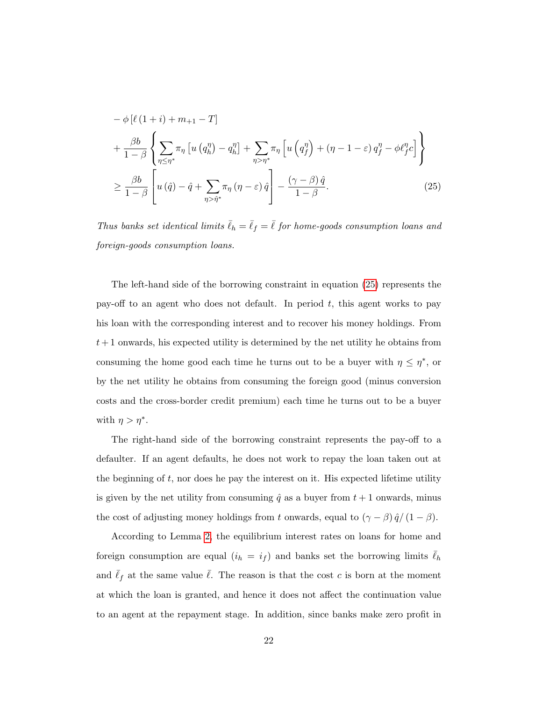<span id="page-23-0"></span>
$$
-\phi \left[\ell \left(1+i\right) + m_{+1} - T\right] + \frac{\beta b}{1-\beta} \left\{ \sum_{\eta \le \eta^*} \pi_{\eta} \left[ u \left(q_{h}^{\eta}\right) - q_{h}^{\eta} \right] + \sum_{\eta > \eta^*} \pi_{\eta} \left[ u \left(q_{f}^{\eta}\right) + \left(\eta - 1 - \varepsilon\right) q_{f}^{\eta} - \phi \ell_{f}^{\eta} c \right] \right\} \ge \frac{\beta b}{1-\beta} \left[ u \left(\hat{q}\right) - \hat{q} + \sum_{\eta > \hat{\eta}^*} \pi_{\eta} \left(\eta - \varepsilon\right) \hat{q} \right] - \frac{\left(\gamma - \beta\right) \hat{q}}{1-\beta}.
$$
\n(25)

Thus banks set identical limits  $\bar{\ell}_h = \bar{\ell}_f = \bar{\ell}$  for home-goods consumption loans and foreign-goods consumption loans.

The left-hand side of the borrowing constraint in equation [\(25\)](#page-23-0) represents the pay-off to an agent who does not default. In period  $t$ , this agent works to pay his loan with the corresponding interest and to recover his money holdings. From  $t+1$  onwards, his expected utility is determined by the net utility he obtains from consuming the home good each time he turns out to be a buyer with  $\eta \leq \eta^*$ , or by the net utility he obtains from consuming the foreign good (minus conversion costs and the cross-border credit premium) each time he turns out to be a buyer with  $\eta > \eta^*$ .

The right-hand side of the borrowing constraint represents the pay-off to a defaulter. If an agent defaults, he does not work to repay the loan taken out at the beginning of  $t$ , nor does he pay the interest on it. His expected lifetime utility is given by the net utility from consuming  $\hat{q}$  as a buyer from  $t + 1$  onwards, minus the cost of adjusting money holdings from t onwards, equal to  $(\gamma - \beta) \hat{q}/(1 - \beta)$ .

According to Lemma [2,](#page-22-1) the equilibrium interest rates on loans for home and foreign consumption are equal  $(i_h = i_f)$  and banks set the borrowing limits  $\bar{\ell}_h$ and  $\bar{\ell}_f$  at the same value  $\bar{\ell}$ . The reason is that the cost c is born at the moment at which the loan is granted, and hence it does not affect the continuation value to an agent at the repayment stage. In addition, since banks make zero profit in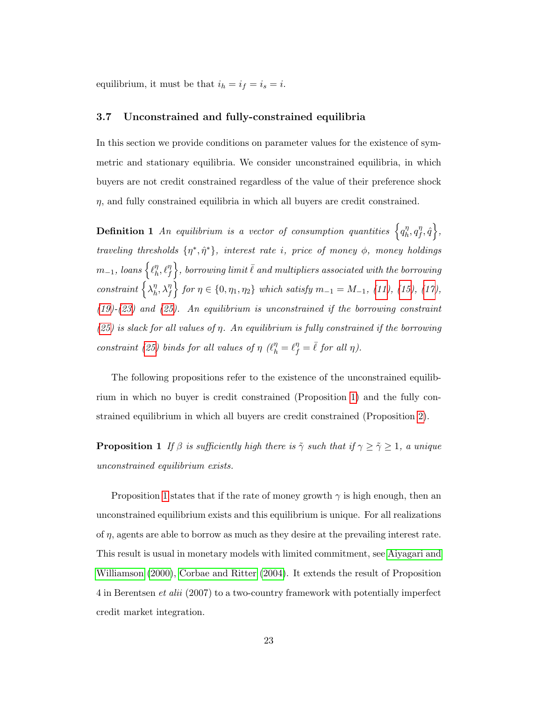equilibrium, it must be that  $i_h = i_f = i_s = i$ .

#### 3.7 Unconstrained and fully-constrained equilibria

In this section we provide conditions on parameter values for the existence of symmetric and stationary equilibria. We consider unconstrained equilibria, in which buyers are not credit constrained regardless of the value of their preference shock  $\eta$ , and fully constrained equilibria in which all buyers are credit constrained.

**Definition 1** An equilibrium is a vector of consumption quantities  $\left\{q_h^n\right\}$  $\eta_h^{\eta}, q_f^{\eta}$  $_{f}^{\eta},\hat{q}\,\Big\},$ traveling thresholds  $\{\eta^*, \hat{\eta}^*\}$ , interest rate i, price of money  $\phi$ , money holdings  $m_{-1}, \:loans\left\{\ell_h^\eta\right\}$  $\{ \theta_h^{\eta}, \ell_f^{\eta} \Big\},$  borrowing limit  $\bar{\ell}$  and multipliers associated with the borrowing  $constant \n\big\{\lambda_h^{\eta}$  $\left\{ \int_{h}^{\eta}, \lambda_{f}^{\eta} \right\}$  for  $\eta \in \{0, \eta_{1}, \eta_{2}\}$  which satisfy  $m_{-1} = M_{-1}$ , [\(11\)](#page-17-4), [\(15\)](#page-18-4), [\(17\)](#page-19-0),  $(19)-(23)$  $(19)-(23)$  $(19)-(23)$  and  $(25)$ . An equilibrium is unconstrained if the borrowing constraint  $(25)$  is slack for all values of  $\eta$ . An equilibrium is fully constrained if the borrowing constraint [\(25\)](#page-23-0) binds for all values of  $\eta$  ( $\ell_h^{\eta} = \ell_f^{\eta} = \overline{\ell}$  for all  $\eta$ ).

The following propositions refer to the existence of the unconstrained equilibrium in which no buyer is credit constrained (Proposition [1\)](#page-24-0) and the fully constrained equilibrium in which all buyers are credit constrained (Proposition [2\)](#page-25-0).

<span id="page-24-0"></span>**Proposition 1** If  $\beta$  is sufficiently high there is  $\tilde{\gamma}$  such that if  $\gamma \geq \tilde{\gamma} \geq 1$ , a unique unconstrained equilibrium exists.

Proposition [1](#page-24-0) states that if the rate of money growth  $\gamma$  is high enough, then an unconstrained equilibrium exists and this equilibrium is unique. For all realizations of  $\eta$ , agents are able to borrow as much as they desire at the prevailing interest rate. This result is usual in monetary models with limited commitment, see [Aiyagari and](#page-70-2) [Williamson \(2000\)](#page-70-2), [Corbae and Ritter \(2004\)](#page-72-0). It extends the result of Proposition 4 in Berentsen et alii (2007) to a two-country framework with potentially imperfect credit market integration.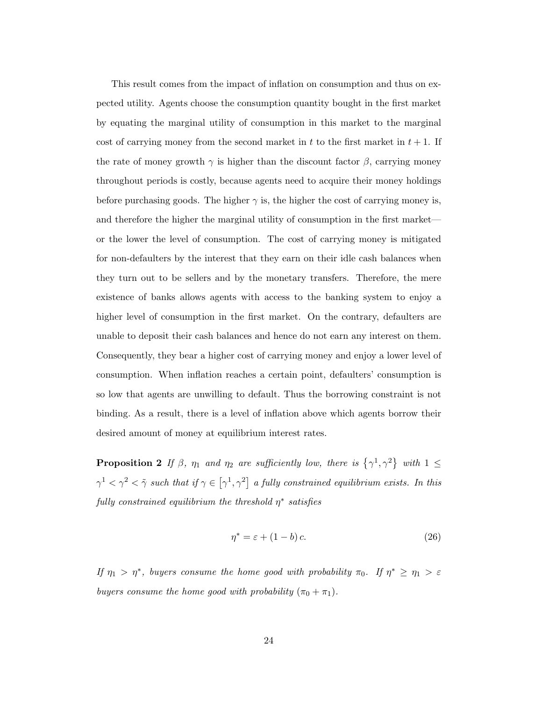This result comes from the impact of inflation on consumption and thus on expected utility. Agents choose the consumption quantity bought in the first market by equating the marginal utility of consumption in this market to the marginal cost of carrying money from the second market in t to the first market in  $t + 1$ . If the rate of money growth  $\gamma$  is higher than the discount factor  $\beta$ , carrying money throughout periods is costly, because agents need to acquire their money holdings before purchasing goods. The higher  $\gamma$  is, the higher the cost of carrying money is, and therefore the higher the marginal utility of consumption in the first market or the lower the level of consumption. The cost of carrying money is mitigated for non-defaulters by the interest that they earn on their idle cash balances when they turn out to be sellers and by the monetary transfers. Therefore, the mere existence of banks allows agents with access to the banking system to enjoy a higher level of consumption in the first market. On the contrary, defaulters are unable to deposit their cash balances and hence do not earn any interest on them. Consequently, they bear a higher cost of carrying money and enjoy a lower level of consumption. When inflation reaches a certain point, defaulters' consumption is so low that agents are unwilling to default. Thus the borrowing constraint is not binding. As a result, there is a level of inflation above which agents borrow their desired amount of money at equilibrium interest rates.

<span id="page-25-0"></span>**Proposition 2** If  $\beta$ ,  $\eta_1$  and  $\eta_2$  are sufficiently low, there is  $\{\gamma^1, \gamma^2\}$  with  $1 \leq$  $\gamma^1 < \gamma^2 < \tilde{\gamma}$  such that if  $\gamma \in [\gamma^1, \gamma^2]$  a fully constrained equilibrium exists. In this fully constrained equilibrium the threshold  $\eta^*$  satisfies

<span id="page-25-1"></span>
$$
\eta^* = \varepsilon + (1 - b)c.\tag{26}
$$

If  $\eta_1 > \eta^*$ , buyers consume the home good with probability  $\pi_0$ . If  $\eta^* \ge \eta_1 > \varepsilon$ buyers consume the home good with probability  $(\pi_0 + \pi_1)$ .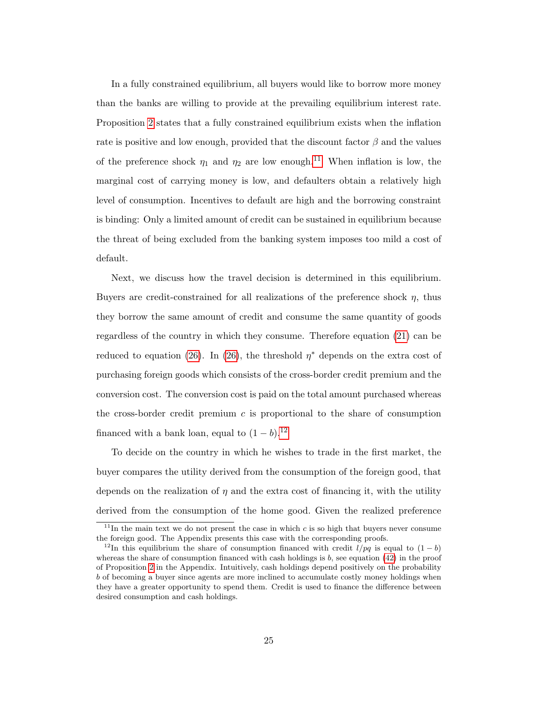In a fully constrained equilibrium, all buyers would like to borrow more money than the banks are willing to provide at the prevailing equilibrium interest rate. Proposition [2](#page-25-0) states that a fully constrained equilibrium exists when the inflation rate is positive and low enough, provided that the discount factor  $\beta$  and the values of the preference shock  $\eta_1$  and  $\eta_2$  are low enough.<sup>[11](#page-26-0)</sup> When inflation is low, the marginal cost of carrying money is low, and defaulters obtain a relatively high level of consumption. Incentives to default are high and the borrowing constraint is binding: Only a limited amount of credit can be sustained in equilibrium because the threat of being excluded from the banking system imposes too mild a cost of default.

Next, we discuss how the travel decision is determined in this equilibrium. Buyers are credit-constrained for all realizations of the preference shock  $\eta$ , thus they borrow the same amount of credit and consume the same quantity of goods regardless of the country in which they consume. Therefore equation [\(21\)](#page-20-1) can be reduced to equation [\(26\)](#page-25-1). In (26), the threshold  $\eta^*$  depends on the extra cost of purchasing foreign goods which consists of the cross-border credit premium and the conversion cost. The conversion cost is paid on the total amount purchased whereas the cross-border credit premium  $c$  is proportional to the share of consumption financed with a bank loan, equal to  $(1 - b)$ .<sup>[12](#page-26-1)</sup>

To decide on the country in which he wishes to trade in the first market, the buyer compares the utility derived from the consumption of the foreign good, that depends on the realization of  $\eta$  and the extra cost of financing it, with the utility derived from the consumption of the home good. Given the realized preference

<span id="page-26-0"></span><sup>&</sup>lt;sup>11</sup>In the main text we do not present the case in which c is so high that buyers never consume the foreign good. The Appendix presents this case with the corresponding proofs.

<span id="page-26-1"></span><sup>&</sup>lt;sup>12</sup>In this equilibrium the share of consumption financed with credit  $l/pq$  is equal to  $(1 - b)$ whereas the share of consumption financed with cash holdings is  $b$ , see equation [\(42\)](#page-50-0) in the proof of Proposition [2](#page-25-0) in the Appendix. Intuitively, cash holdings depend positively on the probability b of becoming a buyer since agents are more inclined to accumulate costly money holdings when they have a greater opportunity to spend them. Credit is used to finance the difference between desired consumption and cash holdings.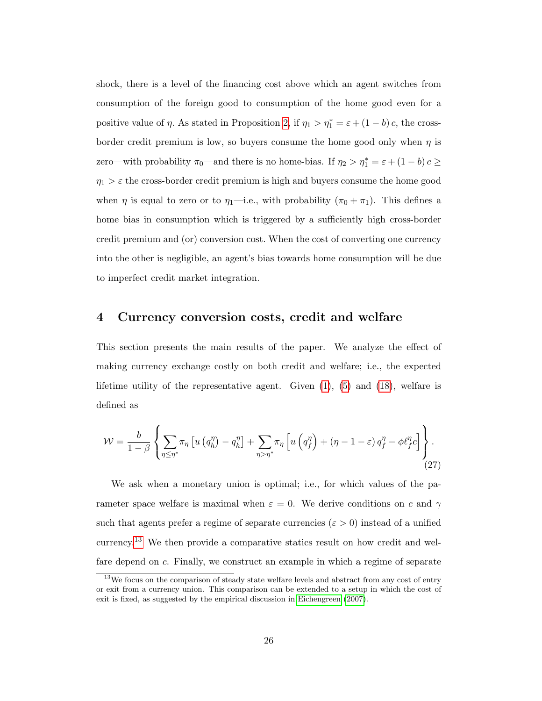shock, there is a level of the financing cost above which an agent switches from consumption of the foreign good to consumption of the home good even for a positive value of  $\eta$ . As stated in Proposition [2,](#page-25-0) if  $\eta_1 > \eta_1^* = \varepsilon + (1 - b)c$ , the crossborder credit premium is low, so buyers consume the home good only when  $\eta$  is zero—with probability  $\pi_0$ —and there is no home-bias. If  $\eta_2 > \eta_1^* = \varepsilon + (1 - b)c \geq$  $\eta_1 > \varepsilon$  the cross-border credit premium is high and buyers consume the home good when  $\eta$  is equal to zero or to  $\eta_1$ —i.e., with probability  $(\pi_0 + \pi_1)$ . This defines a home bias in consumption which is triggered by a sufficiently high cross-border credit premium and (or) conversion cost. When the cost of converting one currency into the other is negligible, an agent's bias towards home consumption will be due to imperfect credit market integration.

### <span id="page-27-0"></span>4 Currency conversion costs, credit and welfare

This section presents the main results of the paper. We analyze the effect of making currency exchange costly on both credit and welfare; i.e., the expected lifetime utility of the representative agent. Given  $(1)$ ,  $(5)$  and  $(18)$ , welfare is defined as

$$
\mathcal{W} = \frac{b}{1-\beta} \left\{ \sum_{\eta \leq \eta^*} \pi_{\eta} \left[ u \left( q_h^{\eta} \right) - q_h^{\eta} \right] + \sum_{\eta > \eta^*} \pi_{\eta} \left[ u \left( q_f^{\eta} \right) + \left( \eta - 1 - \varepsilon \right) q_f^{\eta} - \phi \ell_f^{\eta} c \right] \right\} . \tag{27}
$$

We ask when a monetary union is optimal; i.e., for which values of the parameter space welfare is maximal when  $\varepsilon = 0$ . We derive conditions on c and  $\gamma$ such that agents prefer a regime of separate currencies ( $\varepsilon > 0$ ) instead of a unified currency.[13](#page-27-1) We then provide a comparative statics result on how credit and welfare depend on c. Finally, we construct an example in which a regime of separate

<span id="page-27-1"></span> $13$ We focus on the comparison of steady state welfare levels and abstract from any cost of entry or exit from a currency union. This comparison can be extended to a setup in which the cost of exit is fixed, as suggested by the empirical discussion in [Eichengreen](#page-73-2) [\(2007\)](#page-73-2).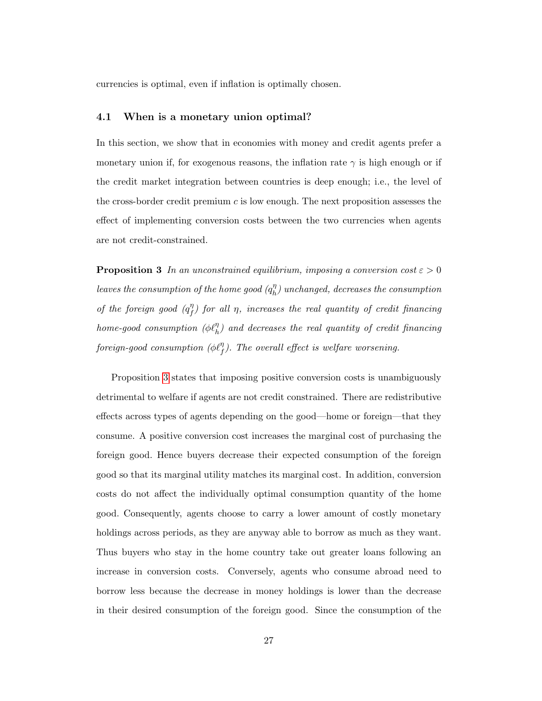currencies is optimal, even if inflation is optimally chosen.

#### 4.1 When is a monetary union optimal?

In this section, we show that in economies with money and credit agents prefer a monetary union if, for exogenous reasons, the inflation rate  $\gamma$  is high enough or if the credit market integration between countries is deep enough; i.e., the level of the cross-border credit premium  $c$  is low enough. The next proposition assesses the effect of implementing conversion costs between the two currencies when agents are not credit-constrained.

<span id="page-28-0"></span>**Proposition 3** In an unconstrained equilibrium, imposing a conversion cost  $\varepsilon > 0$ leaves the consumption of the home good  $(q_h^{\eta})$  $\binom{n}{h}$  unchanged, decreases the consumption of the foreign good  $(q_f^{\eta})$  $f(\eta f)$  for all  $\eta$ , increases the real quantity of credit financing  $home\text{-}good\ consumption\ (\phi\ell_{h}^{\eta})\ and\ decreases\ the\ real\ quantity\ of\ credit\ financing$ foreign-good consumption ( $\phi \ell_f^{\eta}$ ). The overall effect is welfare worsening.

Proposition [3](#page-28-0) states that imposing positive conversion costs is unambiguously detrimental to welfare if agents are not credit constrained. There are redistributive effects across types of agents depending on the good—home or foreign—that they consume. A positive conversion cost increases the marginal cost of purchasing the foreign good. Hence buyers decrease their expected consumption of the foreign good so that its marginal utility matches its marginal cost. In addition, conversion costs do not affect the individually optimal consumption quantity of the home good. Consequently, agents choose to carry a lower amount of costly monetary holdings across periods, as they are anyway able to borrow as much as they want. Thus buyers who stay in the home country take out greater loans following an increase in conversion costs. Conversely, agents who consume abroad need to borrow less because the decrease in money holdings is lower than the decrease in their desired consumption of the foreign good. Since the consumption of the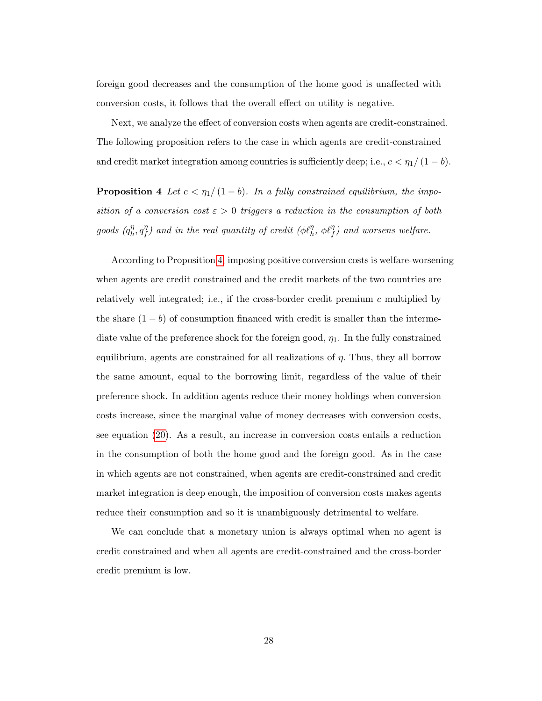foreign good decreases and the consumption of the home good is unaffected with conversion costs, it follows that the overall effect on utility is negative.

Next, we analyze the effect of conversion costs when agents are credit-constrained. The following proposition refers to the case in which agents are credit-constrained and credit market integration among countries is sufficiently deep; i.e.,  $c < \eta_1/(1-b)$ .

<span id="page-29-0"></span>**Proposition 4** Let  $c < \eta_1/(1-b)$ . In a fully constrained equilibrium, the imposition of a conversion cost  $\varepsilon > 0$  triggers a reduction in the consumption of both goods  $(q_h^{\eta})$  $\eta_h^{\eta}, q_f^{\eta}$  $f(\eta^{\eta})$  and in the real quantity of credit  $(\phi \ell^{\eta}_h, \phi \ell^{\eta}_f)$  and worsens welfare.

According to Proposition [4,](#page-29-0) imposing positive conversion costs is welfare-worsening when agents are credit constrained and the credit markets of the two countries are relatively well integrated; i.e., if the cross-border credit premium c multiplied by the share  $(1 - b)$  of consumption financed with credit is smaller than the intermediate value of the preference shock for the foreign good,  $\eta_1$ . In the fully constrained equilibrium, agents are constrained for all realizations of  $\eta$ . Thus, they all borrow the same amount, equal to the borrowing limit, regardless of the value of their preference shock. In addition agents reduce their money holdings when conversion costs increase, since the marginal value of money decreases with conversion costs, see equation [\(20\)](#page-20-2). As a result, an increase in conversion costs entails a reduction in the consumption of both the home good and the foreign good. As in the case in which agents are not constrained, when agents are credit-constrained and credit market integration is deep enough, the imposition of conversion costs makes agents reduce their consumption and so it is unambiguously detrimental to welfare.

We can conclude that a monetary union is always optimal when no agent is credit constrained and when all agents are credit-constrained and the cross-border credit premium is low.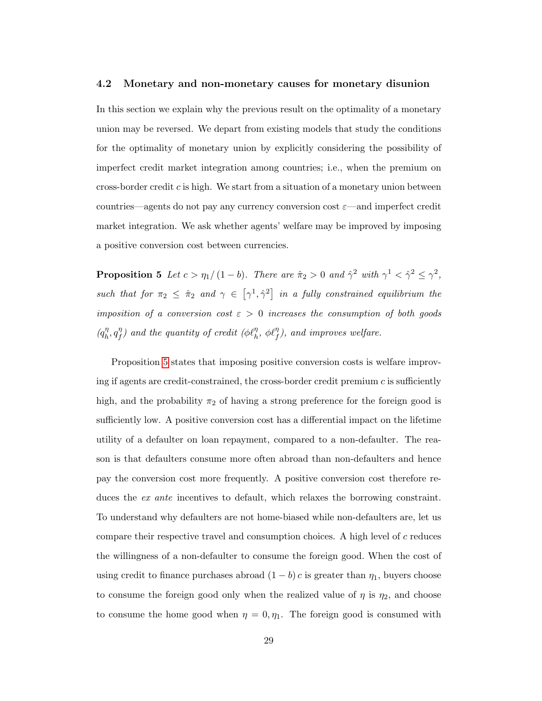#### 4.2 Monetary and non-monetary causes for monetary disunion

In this section we explain why the previous result on the optimality of a monetary union may be reversed. We depart from existing models that study the conditions for the optimality of monetary union by explicitly considering the possibility of imperfect credit market integration among countries; i.e., when the premium on cross-border credit  $c$  is high. We start from a situation of a monetary union between countries—agents do not pay any currency conversion cost  $\varepsilon$ —and imperfect credit market integration. We ask whether agents' welfare may be improved by imposing a positive conversion cost between currencies.

<span id="page-30-0"></span>**Proposition 5** Let  $c > \eta_1/(1-b)$ . There are  $\hat{\pi}_2 > 0$  and  $\hat{\gamma}^2$  with  $\gamma^1 < \hat{\gamma}^2 \leq \gamma^2$ , such that for  $\pi_2 \leq \hat{\pi}_2$  and  $\gamma \in [\gamma^1, \hat{\gamma}^2]$  in a fully constrained equilibrium the imposition of a conversion cost  $\varepsilon > 0$  increases the consumption of both goods  $(q_h^{\eta})$  $\eta_h^{\eta}, q_f^{\eta}$  $f(\eta)$  and the quantity of credit  $(\phi \ell_h^{\eta}, \phi \ell_f^{\eta})$ , and improves welfare.

Proposition [5](#page-30-0) states that imposing positive conversion costs is welfare improving if agents are credit-constrained, the cross-border credit premium  $c$  is sufficiently high, and the probability  $\pi_2$  of having a strong preference for the foreign good is sufficiently low. A positive conversion cost has a differential impact on the lifetime utility of a defaulter on loan repayment, compared to a non-defaulter. The reason is that defaulters consume more often abroad than non-defaulters and hence pay the conversion cost more frequently. A positive conversion cost therefore reduces the ex ante incentives to default, which relaxes the borrowing constraint. To understand why defaulters are not home-biased while non-defaulters are, let us compare their respective travel and consumption choices. A high level of c reduces the willingness of a non-defaulter to consume the foreign good. When the cost of using credit to finance purchases abroad  $(1 - b) c$  is greater than  $\eta_1$ , buyers choose to consume the foreign good only when the realized value of  $\eta$  is  $\eta_2$ , and choose to consume the home good when  $\eta = 0, \eta_1$ . The foreign good is consumed with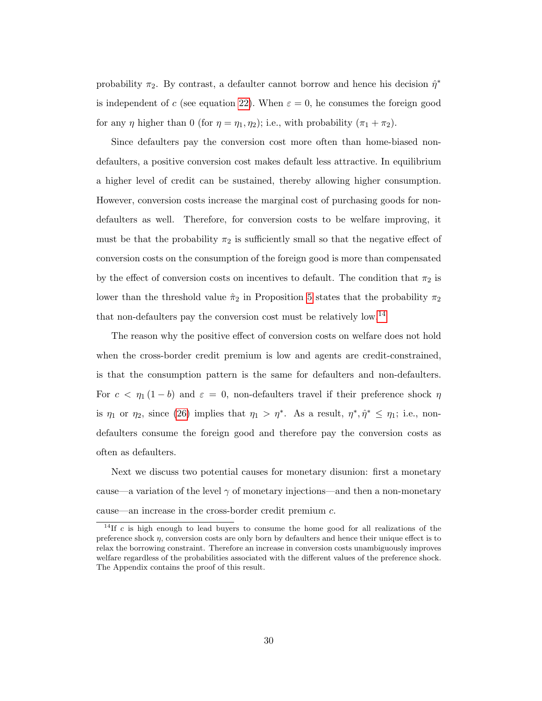probability  $\pi_2$ . By contrast, a defaulter cannot borrow and hence his decision  $\hat{\eta}^*$ is independent of c (see equation [22\)](#page-22-3). When  $\varepsilon = 0$ , he consumes the foreign good for any  $\eta$  higher than 0 (for  $\eta = \eta_1, \eta_2$ ); i.e., with probability  $(\pi_1 + \pi_2)$ .

Since defaulters pay the conversion cost more often than home-biased nondefaulters, a positive conversion cost makes default less attractive. In equilibrium a higher level of credit can be sustained, thereby allowing higher consumption. However, conversion costs increase the marginal cost of purchasing goods for nondefaulters as well. Therefore, for conversion costs to be welfare improving, it must be that the probability  $\pi_2$  is sufficiently small so that the negative effect of conversion costs on the consumption of the foreign good is more than compensated by the effect of conversion costs on incentives to default. The condition that  $\pi_2$  is lower than the threshold value  $\hat{\pi}_2$  in Proposition [5](#page-30-0) states that the probability  $\pi_2$ that non-defaulters pay the conversion cost must be relatively low.[14](#page-31-0)

The reason why the positive effect of conversion costs on welfare does not hold when the cross-border credit premium is low and agents are credit-constrained, is that the consumption pattern is the same for defaulters and non-defaulters. For  $c < \eta_1 (1 - b)$  and  $\varepsilon = 0$ , non-defaulters travel if their preference shock  $\eta$ is  $\eta_1$  or  $\eta_2$ , since [\(26\)](#page-25-1) implies that  $\eta_1 > \eta^*$ . As a result,  $\eta^*, \hat{\eta}^* \leq \eta_1$ ; i.e., nondefaulters consume the foreign good and therefore pay the conversion costs as often as defaulters.

Next we discuss two potential causes for monetary disunion: first a monetary cause—a variation of the level  $\gamma$  of monetary injections—and then a non-monetary cause—an increase in the cross-border credit premium c.

<span id="page-31-0"></span> $14$ If c is high enough to lead buyers to consume the home good for all realizations of the preference shock  $\eta$ , conversion costs are only born by defaulters and hence their unique effect is to relax the borrowing constraint. Therefore an increase in conversion costs unambiguously improves welfare regardless of the probabilities associated with the different values of the preference shock. The Appendix contains the proof of this result.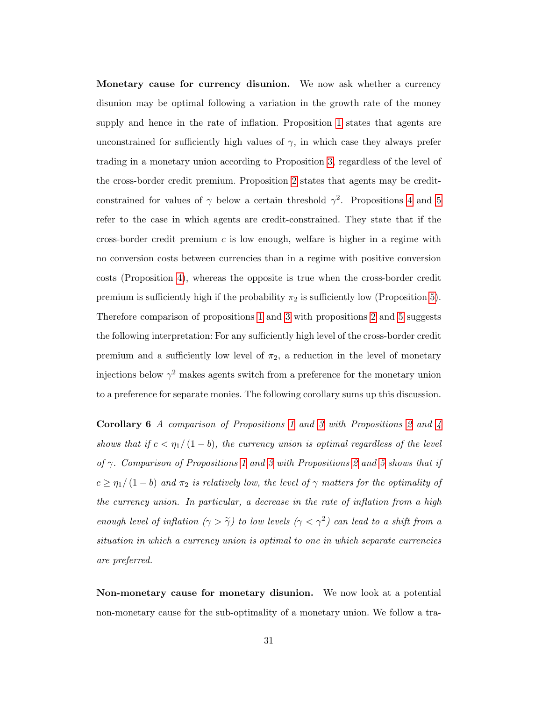Monetary cause for currency disunion. We now ask whether a currency disunion may be optimal following a variation in the growth rate of the money supply and hence in the rate of inflation. Proposition [1](#page-24-0) states that agents are unconstrained for sufficiently high values of  $\gamma$ , in which case they always prefer trading in a monetary union according to Proposition [3,](#page-28-0) regardless of the level of the cross-border credit premium. Proposition [2](#page-25-0) states that agents may be creditconstrained for values of  $\gamma$  below a certain threshold  $\gamma^2$ . Propositions [4](#page-29-0) and [5](#page-30-0) refer to the case in which agents are credit-constrained. They state that if the cross-border credit premium  $c$  is low enough, welfare is higher in a regime with no conversion costs between currencies than in a regime with positive conversion costs (Proposition [4\)](#page-29-0), whereas the opposite is true when the cross-border credit premium is sufficiently high if the probability  $\pi_2$  is sufficiently low (Proposition [5\)](#page-30-0). Therefore comparison of propositions [1](#page-24-0) and [3](#page-28-0) with propositions [2](#page-25-0) and [5](#page-30-0) suggests the following interpretation: For any sufficiently high level of the cross-border credit premium and a sufficiently low level of  $\pi_2$ , a reduction in the level of monetary injections below  $\gamma^2$  makes agents switch from a preference for the monetary union to a preference for separate monies. The following corollary sums up this discussion.

Corollary 6 A comparison of Propositions [1](#page-24-0) and [3](#page-28-0) with Propositions [2](#page-25-0) and [4](#page-29-0) shows that if  $c < \eta_1/(1-b)$ , the currency union is optimal regardless of the level of  $\gamma$ . Comparison of Propositions [1](#page-24-0) and [3](#page-28-0) with Propositions [2](#page-25-0) and [5](#page-30-0) shows that if  $c \geq \eta_1/(1-b)$  and  $\pi_2$  is relatively low, the level of  $\gamma$  matters for the optimality of the currency union. In particular, a decrease in the rate of inflation from a high enough level of inflation  $(\gamma > \tilde{\gamma})$  to low levels  $(\gamma < \gamma^2)$  can lead to a shift from a situation in which a currency union is optimal to one in which separate currencies are preferred.

Non-monetary cause for monetary disunion. We now look at a potential non-monetary cause for the sub-optimality of a monetary union. We follow a tra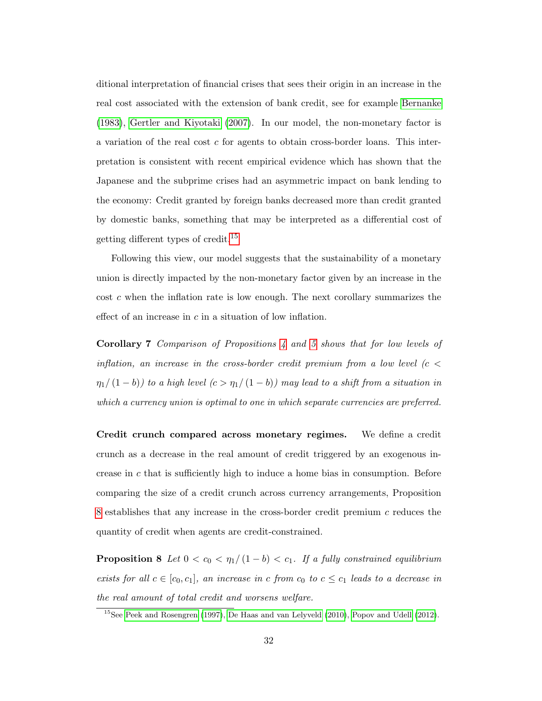ditional interpretation of financial crises that sees their origin in an increase in the real cost associated with the extension of bank credit, see for example [Bernanke](#page-71-3) [\(1983\)](#page-71-3), [Gertler and Kiyotaki \(2007\)](#page-73-3). In our model, the non-monetary factor is a variation of the real cost c for agents to obtain cross-border loans. This interpretation is consistent with recent empirical evidence which has shown that the Japanese and the subprime crises had an asymmetric impact on bank lending to the economy: Credit granted by foreign banks decreased more than credit granted by domestic banks, something that may be interpreted as a differential cost of getting different types of credit.[15](#page-33-0)

Following this view, our model suggests that the sustainability of a monetary union is directly impacted by the non-monetary factor given by an increase in the cost c when the inflation rate is low enough. The next corollary summarizes the effect of an increase in  $c$  in a situation of low inflation.

Corollary 7 Comparison of Propositions [4](#page-29-0) and [5](#page-30-0) shows that for low levels of inflation, an increase in the cross-border credit premium from a low level ( $c <$  $\eta_1/\left(1-b\right)$ ) to a high level  $(c > \eta_1/\left(1-b\right))$  may lead to a shift from a situation in which a currency union is optimal to one in which separate currencies are preferred.

Credit crunch compared across monetary regimes. We define a credit crunch as a decrease in the real amount of credit triggered by an exogenous increase in  $c$  that is sufficiently high to induce a home bias in consumption. Before comparing the size of a credit crunch across currency arrangements, Proposition [8](#page-33-1) establishes that any increase in the cross-border credit premium c reduces the quantity of credit when agents are credit-constrained.

<span id="page-33-1"></span>**Proposition 8** Let  $0 < c_0 < \eta_1/(1-b) < c_1$ . If a fully constrained equilibrium exists for all  $c \in [c_0, c_1]$ , an increase in c from  $c_0$  to  $c \leq c_1$  leads to a decrease in the real amount of total credit and worsens welfare.

<span id="page-33-0"></span><sup>&</sup>lt;sup>15</sup>See [Peek and Rosengren](#page-76-2) [\(1997\)](#page-76-2), [De Haas and van Lelyveld](#page-72-1) [\(2010\)](#page-72-1), [Popov and Udell](#page-76-3) [\(2012\)](#page-76-3).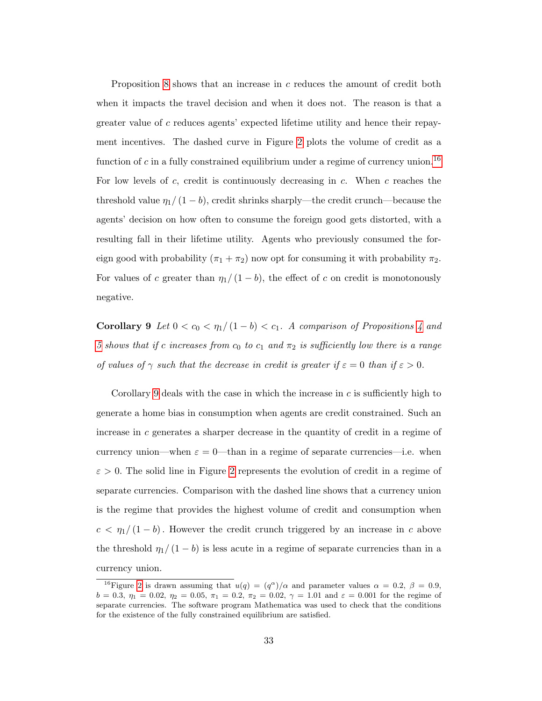Proposition [8](#page-33-1) shows that an increase in c reduces the amount of credit both when it impacts the travel decision and when it does not. The reason is that a greater value of c reduces agents' expected lifetime utility and hence their repayment incentives. The dashed curve in Figure [2](#page-79-0) plots the volume of credit as a function of c in a fully constrained equilibrium under a regime of currency union.<sup>[16](#page-34-0)</sup> For low levels of c, credit is continuously decreasing in  $c$ . When c reaches the threshold value  $\eta_1/(1-b)$ , credit shrinks sharply—the credit crunch—because the agents' decision on how often to consume the foreign good gets distorted, with a resulting fall in their lifetime utility. Agents who previously consumed the foreign good with probability  $(\pi_1 + \pi_2)$  now opt for consuming it with probability  $\pi_2$ . For values of c greater than  $\eta_1/(1-b)$ , the effect of c on credit is monotonously negative.

<span id="page-34-1"></span>Corollary 9 Let  $0 < c_0 < \eta_1/(1-b) < c_1$ . A comparison of Propositions [4](#page-29-0) and [5](#page-30-0) shows that if c increases from  $c_0$  to  $c_1$  and  $\pi_2$  is sufficiently low there is a range of values of  $\gamma$  such that the decrease in credit is greater if  $\varepsilon = 0$  than if  $\varepsilon > 0$ .

Corollary [9](#page-34-1) deals with the case in which the increase in  $c$  is sufficiently high to generate a home bias in consumption when agents are credit constrained. Such an increase in c generates a sharper decrease in the quantity of credit in a regime of currency union—when  $\varepsilon = 0$ —than in a regime of separate currencies—i.e. when  $\varepsilon > 0$ . The solid line in Figure [2](#page-79-0) represents the evolution of credit in a regime of separate currencies. Comparison with the dashed line shows that a currency union is the regime that provides the highest volume of credit and consumption when  $c < \eta_1/(1-b)$ . However the credit crunch triggered by an increase in c above the threshold  $\eta_1/(1-b)$  is less acute in a regime of separate currencies than in a currency union.

<span id="page-34-0"></span><sup>&</sup>lt;sup>16</sup>Figure [2](#page-79-0) is drawn assuming that  $u(q) = (q^{\alpha})/\alpha$  and parameter values  $\alpha = 0.2, \beta = 0.9$ ,  $b = 0.3, \eta_1 = 0.02, \eta_2 = 0.05, \pi_1 = 0.2, \pi_2 = 0.02, \gamma = 1.01$  and  $\varepsilon = 0.001$  for the regime of separate currencies. The software program Mathematica was used to check that the conditions for the existence of the fully constrained equilibrium are satisfied.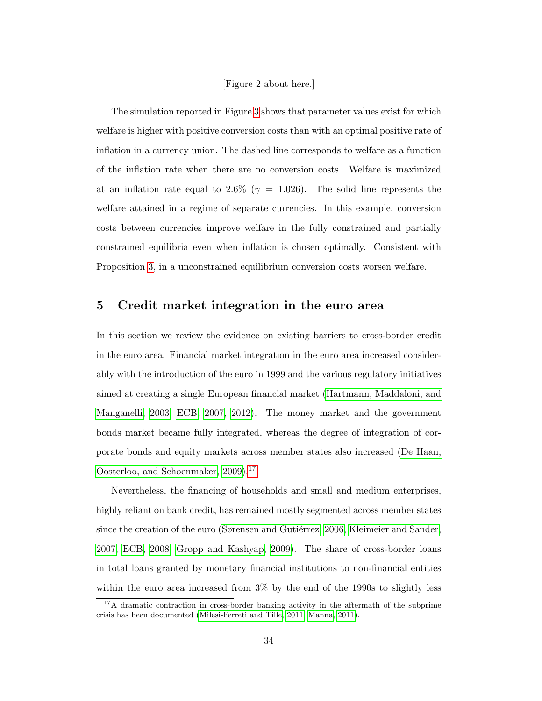#### [Figure 2 about here.]

The simulation reported in Figure [3](#page-80-0) shows that parameter values exist for which welfare is higher with positive conversion costs than with an optimal positive rate of inflation in a currency union. The dashed line corresponds to welfare as a function of the inflation rate when there are no conversion costs. Welfare is maximized at an inflation rate equal to 2.6% ( $\gamma = 1.026$ ). The solid line represents the welfare attained in a regime of separate currencies. In this example, conversion costs between currencies improve welfare in the fully constrained and partially constrained equilibria even when inflation is chosen optimally. Consistent with Proposition [3,](#page-28-0) in a unconstrained equilibrium conversion costs worsen welfare.

## <span id="page-35-0"></span>5 Credit market integration in the euro area

In this section we review the evidence on existing barriers to cross-border credit in the euro area. Financial market integration in the euro area increased considerably with the introduction of the euro in 1999 and the various regulatory initiatives aimed at creating a single European financial market [\(Hartmann, Maddaloni, and](#page-74-3) [Manganelli, 2003,](#page-74-3) [ECB, 2007,](#page-72-2) [2012\)](#page-72-3). The money market and the government bonds market became fully integrated, whereas the degree of integration of corporate bonds and equity markets across member states also increased [\(De Haan,](#page-72-4) [Oosterloo, and Schoenmaker, 2009\)](#page-72-4).<sup>[17](#page-35-1)</sup>

Nevertheless, the financing of households and small and medium enterprises, highly reliant on bank credit, has remained mostly segmented across member states since the creation of the euro (Sørensen and Gutiérrez, 2006, [Kleimeier and Sander,](#page-75-0) [2007,](#page-75-0) [ECB, 2008,](#page-72-5) [Gropp and Kashyap, 2009\)](#page-73-4). The share of cross-border loans in total loans granted by monetary financial institutions to non-financial entities within the euro area increased from 3% by the end of the 1990s to slightly less

<span id="page-35-1"></span> $17A$  dramatic contraction in cross-border banking activity in the aftermath of the subprime crisis has been documented [\(Milesi-Ferreti and Tille, 2011,](#page-75-1) [Manna, 2011\)](#page-75-2).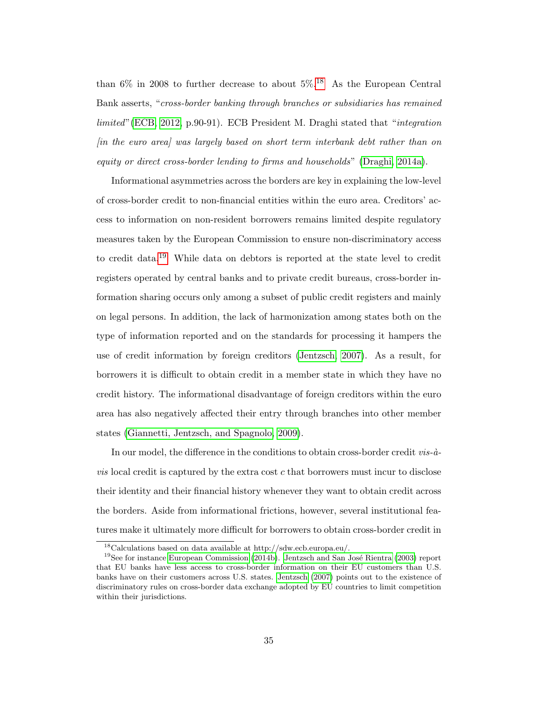than  $6\%$  in 2008 to further decrease to about  $5\%$ <sup>[18](#page-36-0)</sup> As the European Central Bank asserts, "cross-border banking through branches or subsidiaries has remained limited"[\(ECB, 2012,](#page-72-0) p.90-91). ECB President M. Draghi stated that "integration [in the euro area] was largely based on short term interbank debt rather than on equity or direct cross-border lending to firms and households" [\(Draghi, 2014a\)](#page-72-1).

Informational asymmetries across the borders are key in explaining the low-level of cross-border credit to non-financial entities within the euro area. Creditors' access to information on non-resident borrowers remains limited despite regulatory measures taken by the European Commission to ensure non-discriminatory access to credit data.[19](#page-36-1) While data on debtors is reported at the state level to credit registers operated by central banks and to private credit bureaus, cross-border information sharing occurs only among a subset of public credit registers and mainly on legal persons. In addition, the lack of harmonization among states both on the type of information reported and on the standards for processing it hampers the use of credit information by foreign creditors [\(Jentzsch, 2007\)](#page-74-0). As a result, for borrowers it is difficult to obtain credit in a member state in which they have no credit history. The informational disadvantage of foreign creditors within the euro area has also negatively affected their entry through branches into other member states [\(Giannetti, Jentzsch, and Spagnolo, 2009\)](#page-73-0).

In our model, the difference in the conditions to obtain cross-border credit  $vis-\hat{a}$  $vis$  local credit is captured by the extra cost  $c$  that borrowers must incur to disclose their identity and their financial history whenever they want to obtain credit across the borders. Aside from informational frictions, however, several institutional features make it ultimately more difficult for borrowers to obtain cross-border credit in

<span id="page-36-1"></span><span id="page-36-0"></span> $^{18}$  Calculations based on data available at http://sdw.ecb.europa.eu/.

 $19$ See for instance [European Commission](#page-73-1) [\(2014b\)](#page-73-1). Jentzsch and San José Rientra [\(2003\)](#page-74-1) report that EU banks have less access to cross-border information on their EU customers than U.S. banks have on their customers across U.S. states. [Jentzsch](#page-74-0) [\(2007\)](#page-74-0) points out to the existence of discriminatory rules on cross-border data exchange adopted by EU countries to limit competition within their jurisdictions.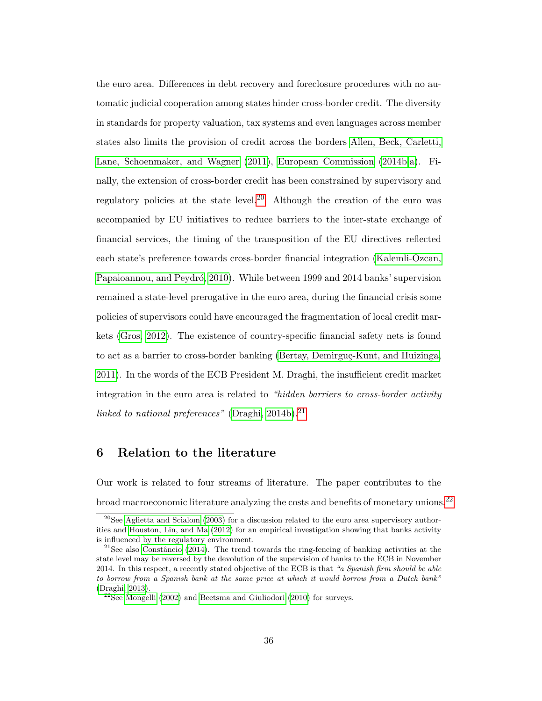the euro area. Differences in debt recovery and foreclosure procedures with no automatic judicial cooperation among states hinder cross-border credit. The diversity in standards for property valuation, tax systems and even languages across member states also limits the provision of credit across the borders [Allen, Beck, Carletti,](#page-70-0) [Lane, Schoenmaker, and Wagner \(2011\)](#page-70-0), [European Commission \(2014b,](#page-73-1)[a\)](#page-73-2). Finally, the extension of cross-border credit has been constrained by supervisory and regulatory policies at the state level.<sup>[20](#page-37-0)</sup> Although the creation of the euro was accompanied by EU initiatives to reduce barriers to the inter-state exchange of financial services, the timing of the transposition of the EU directives reflected each state's preference towards cross-border financial integration [\(Kalemli-Ozcan,](#page-74-2) Papaioannou, and Peydró, 2010). While between 1999 and 2014 banks' supervision remained a state-level prerogative in the euro area, during the financial crisis some policies of supervisors could have encouraged the fragmentation of local credit markets [\(Gros, 2012\)](#page-73-3). The existence of country-specific financial safety nets is found to act as a barrier to cross-border banking (Bertay, Demirguç-Kunt, and Huizinga, [2011\)](#page-71-0). In the words of the ECB President M. Draghi, the insufficient credit market integration in the euro area is related to "hidden barriers to cross-border activity linked to national preferences" [\(Draghi, 2014b\)](#page-72-2). $^{21}$  $^{21}$  $^{21}$ 

## 6 Relation to the literature

Our work is related to four streams of literature. The paper contributes to the broad macroeconomic literature analyzing the costs and benefits of monetary unions.[22](#page-37-2)

<span id="page-37-0"></span> $^{20}$ See [Aglietta and Scialom](#page-70-1) [\(2003\)](#page-70-1) for a discussion related to the euro area supervisory authorities and [Houston, Lin, and Ma](#page-74-3) [\(2012\)](#page-74-3) for an empirical investigation showing that banks activity is influenced by the regulatory environment.

<span id="page-37-1"></span> $^{21}$ See also Constâncio [\(2014\)](#page-71-1). The trend towards the ring-fencing of banking activities at the state level may be reversed by the devolution of the supervision of banks to the ECB in November 2014. In this respect, a recently stated objective of the ECB is that "a Spanish firm should be able to borrow from a Spanish bank at the same price at which it would borrow from a Dutch bank" [\(Draghi, 2013\)](#page-72-3).

<span id="page-37-2"></span> $22$ See [Mongelli](#page-75-0) [\(2002\)](#page-75-0) and [Beetsma and Giuliodori](#page-70-2) [\(2010\)](#page-70-2) for surveys.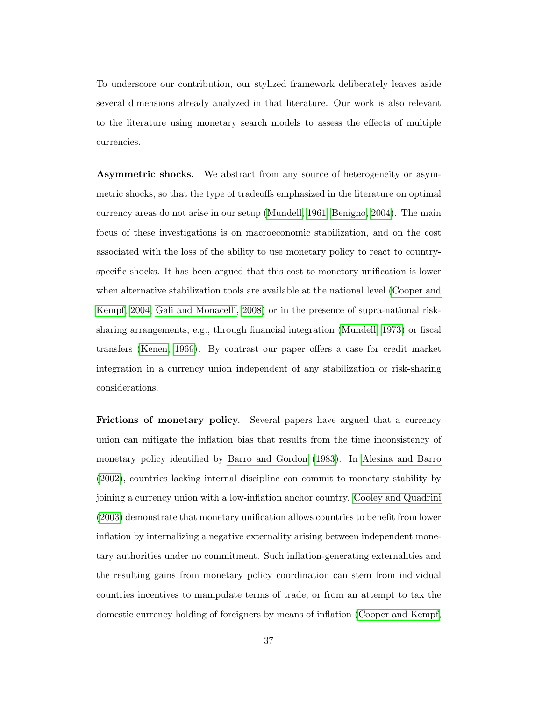To underscore our contribution, our stylized framework deliberately leaves aside several dimensions already analyzed in that literature. Our work is also relevant to the literature using monetary search models to assess the effects of multiple currencies.

Asymmetric shocks. We abstract from any source of heterogeneity or asymmetric shocks, so that the type of tradeoffs emphasized in the literature on optimal currency areas do not arise in our setup [\(Mundell, 1961,](#page-75-1) [Benigno, 2004\)](#page-71-2). The main focus of these investigations is on macroeconomic stabilization, and on the cost associated with the loss of the ability to use monetary policy to react to countryspecific shocks. It has been argued that this cost to monetary unification is lower when alternative stabilization tools are available at the national level [\(Cooper and](#page-71-3) [Kempf, 2004,](#page-71-3) [Gali and Monacelli, 2008\)](#page-73-4) or in the presence of supra-national risksharing arrangements; e.g., through financial integration [\(Mundell, 1973\)](#page-75-2) or fiscal transfers [\(Kenen, 1969\)](#page-74-4). By contrast our paper offers a case for credit market integration in a currency union independent of any stabilization or risk-sharing considerations.

Frictions of monetary policy. Several papers have argued that a currency union can mitigate the inflation bias that results from the time inconsistency of monetary policy identified by [Barro and Gordon \(1983\)](#page-70-3). In [Alesina and Barro](#page-70-4) [\(2002\)](#page-70-4), countries lacking internal discipline can commit to monetary stability by joining a currency union with a low-inflation anchor country. [Cooley and Quadrini](#page-71-4) [\(2003\)](#page-71-4) demonstrate that monetary unification allows countries to benefit from lower inflation by internalizing a negative externality arising between independent monetary authorities under no commitment. Such inflation-generating externalities and the resulting gains from monetary policy coordination can stem from individual countries incentives to manipulate terms of trade, or from an attempt to tax the domestic currency holding of foreigners by means of inflation [\(Cooper and Kempf,](#page-71-5)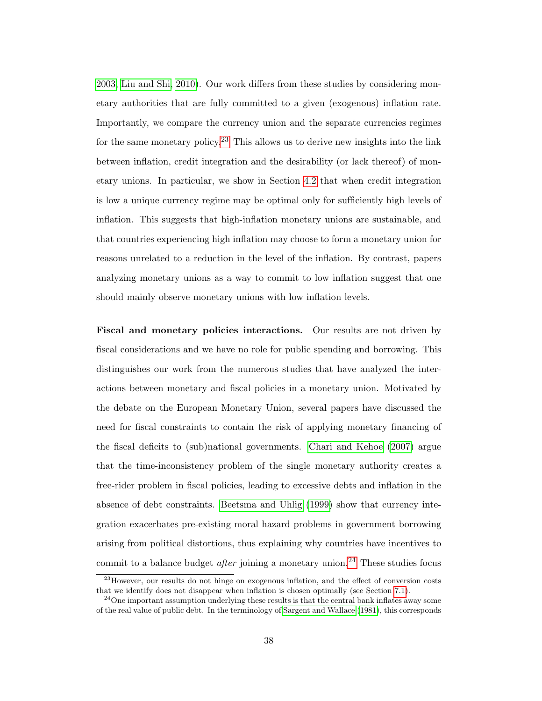[2003,](#page-71-5) [Liu and Shi, 2010\)](#page-75-3). Our work differs from these studies by considering monetary authorities that are fully committed to a given (exogenous) inflation rate. Importantly, we compare the currency union and the separate currencies regimes for the same monetary policy.<sup>[23](#page-39-0)</sup> This allows us to derive new insights into the link between inflation, credit integration and the desirability (or lack thereof) of monetary unions. In particular, we show in Section [4.2](#page-30-0) that when credit integration is low a unique currency regime may be optimal only for sufficiently high levels of inflation. This suggests that high-inflation monetary unions are sustainable, and that countries experiencing high inflation may choose to form a monetary union for reasons unrelated to a reduction in the level of the inflation. By contrast, papers analyzing monetary unions as a way to commit to low inflation suggest that one should mainly observe monetary unions with low inflation levels.

Fiscal and monetary policies interactions. Our results are not driven by fiscal considerations and we have no role for public spending and borrowing. This distinguishes our work from the numerous studies that have analyzed the interactions between monetary and fiscal policies in a monetary union. Motivated by the debate on the European Monetary Union, several papers have discussed the need for fiscal constraints to contain the risk of applying monetary financing of the fiscal deficits to (sub)national governments. [Chari and Kehoe \(2007\)](#page-71-6) argue that the time-inconsistency problem of the single monetary authority creates a free-rider problem in fiscal policies, leading to excessive debts and inflation in the absence of debt constraints. [Beetsma and Uhlig \(1999\)](#page-70-5) show that currency integration exacerbates pre-existing moral hazard problems in government borrowing arising from political distortions, thus explaining why countries have incentives to commit to a balance budget *after* joining a monetary union.<sup>[24](#page-39-1)</sup> These studies focus

<span id="page-39-0"></span> $^{23}$ However, our results do not hinge on exogenous inflation, and the effect of conversion costs that we identify does not disappear when inflation is chosen optimally (see Section [7.1\)](#page-79-0).

<span id="page-39-1"></span> $^{24}$ One important assumption underlying these results is that the central bank inflates away some of the real value of public debt. In the terminology of [Sargent and Wallace](#page-76-0) [\(1981\)](#page-76-0), this corresponds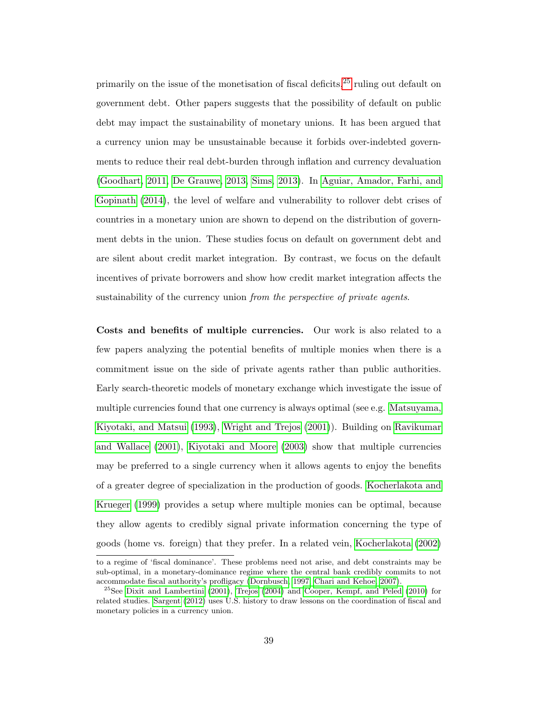primarily on the issue of the monetisation of fiscal deficits,[25](#page-40-0) ruling out default on government debt. Other papers suggests that the possibility of default on public debt may impact the sustainability of monetary unions. It has been argued that a currency union may be unsustainable because it forbids over-indebted governments to reduce their real debt-burden through inflation and currency devaluation [\(Goodhart, 2011,](#page-73-5) [De Grauwe, 2013,](#page-72-4) [Sims, 2013\)](#page-76-1). In [Aguiar, Amador, Farhi, and](#page-70-6) [Gopinath \(2014\)](#page-70-6), the level of welfare and vulnerability to rollover debt crises of countries in a monetary union are shown to depend on the distribution of government debts in the union. These studies focus on default on government debt and are silent about credit market integration. By contrast, we focus on the default incentives of private borrowers and show how credit market integration affects the sustainability of the currency union from the perspective of private agents.

Costs and benefits of multiple currencies. Our work is also related to a few papers analyzing the potential benefits of multiple monies when there is a commitment issue on the side of private agents rather than public authorities. Early search-theoretic models of monetary exchange which investigate the issue of multiple currencies found that one currency is always optimal (see e.g. [Matsuyama,](#page-75-4) [Kiyotaki, and Matsui \(1993\)](#page-75-4), [Wright and Trejos \(2001\)](#page-77-0)). Building on [Ravikumar](#page-76-2) [and Wallace \(2001\)](#page-76-2), [Kiyotaki and Moore \(2003\)](#page-74-5) show that multiple currencies may be preferred to a single currency when it allows agents to enjoy the benefits of a greater degree of specialization in the production of goods. [Kocherlakota and](#page-75-5) [Krueger \(1999\)](#page-75-5) provides a setup where multiple monies can be optimal, because they allow agents to credibly signal private information concerning the type of goods (home vs. foreign) that they prefer. In a related vein, [Kocherlakota \(2002\)](#page-75-6)

to a regime of 'fiscal dominance'. These problems need not arise, and debt constraints may be sub-optimal, in a monetary-dominance regime where the central bank credibly commits to not accommodate fiscal authority's profligacy [\(Dornbusch, 1997,](#page-72-5) [Chari and Kehoe, 2007\)](#page-71-6).

<span id="page-40-0"></span><sup>&</sup>lt;sup>25</sup>See [Dixit and Lambertini](#page-72-6) [\(2001\)](#page-72-6), [Trejos](#page-77-1) [\(2004\)](#page-77-1) and [Cooper, Kempf, and Peled](#page-72-7) [\(2010\)](#page-72-7) for related studies. [Sargent](#page-76-3) [\(2012\)](#page-76-3) uses U.S. history to draw lessons on the coordination of fiscal and monetary policies in a currency union.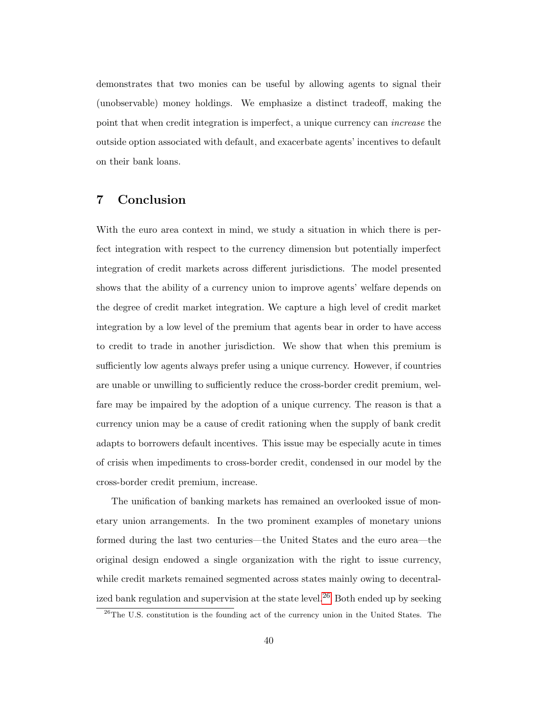demonstrates that two monies can be useful by allowing agents to signal their (unobservable) money holdings. We emphasize a distinct tradeoff, making the point that when credit integration is imperfect, a unique currency can increase the outside option associated with default, and exacerbate agents' incentives to default on their bank loans.

## 7 Conclusion

With the euro area context in mind, we study a situation in which there is perfect integration with respect to the currency dimension but potentially imperfect integration of credit markets across different jurisdictions. The model presented shows that the ability of a currency union to improve agents' welfare depends on the degree of credit market integration. We capture a high level of credit market integration by a low level of the premium that agents bear in order to have access to credit to trade in another jurisdiction. We show that when this premium is sufficiently low agents always prefer using a unique currency. However, if countries are unable or unwilling to sufficiently reduce the cross-border credit premium, welfare may be impaired by the adoption of a unique currency. The reason is that a currency union may be a cause of credit rationing when the supply of bank credit adapts to borrowers default incentives. This issue may be especially acute in times of crisis when impediments to cross-border credit, condensed in our model by the cross-border credit premium, increase.

The unification of banking markets has remained an overlooked issue of monetary union arrangements. In the two prominent examples of monetary unions formed during the last two centuries—the United States and the euro area—the original design endowed a single organization with the right to issue currency, while credit markets remained segmented across states mainly owing to decentral-ized bank regulation and supervision at the state level.<sup>[26](#page-41-0)</sup> Both ended up by seeking

<span id="page-41-0"></span><sup>26</sup>The U.S. constitution is the founding act of the currency union in the United States. The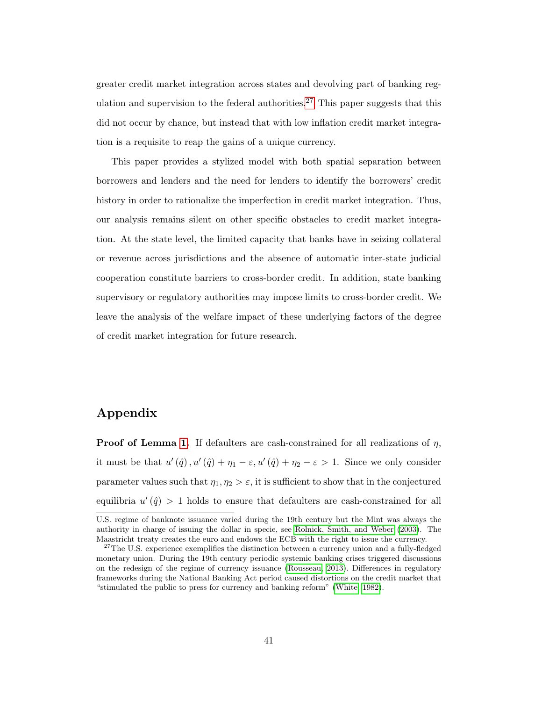greater credit market integration across states and devolving part of banking reg-ulation and supervision to the federal authorities.<sup>[27](#page-42-0)</sup> This paper suggests that this did not occur by chance, but instead that with low inflation credit market integration is a requisite to reap the gains of a unique currency.

This paper provides a stylized model with both spatial separation between borrowers and lenders and the need for lenders to identify the borrowers' credit history in order to rationalize the imperfection in credit market integration. Thus, our analysis remains silent on other specific obstacles to credit market integration. At the state level, the limited capacity that banks have in seizing collateral or revenue across jurisdictions and the absence of automatic inter-state judicial cooperation constitute barriers to cross-border credit. In addition, state banking supervisory or regulatory authorities may impose limits to cross-border credit. We leave the analysis of the welfare impact of these underlying factors of the degree of credit market integration for future research.

## Appendix

**Proof of Lemma [1.](#page-21-0)** If defaulters are cash-constrained for all realizations of  $\eta$ , it must be that  $u'(\hat{q})$ ,  $u'(\hat{q}) + \eta_1 - \varepsilon$ ,  $u'(\hat{q}) + \eta_2 - \varepsilon > 1$ . Since we only consider parameter values such that  $\eta_1, \eta_2 > \varepsilon$ , it is sufficient to show that in the conjectured equilibria  $u'(\hat{q}) > 1$  holds to ensure that defaulters are cash-constrained for all

U.S. regime of banknote issuance varied during the 19th century but the Mint was always the authority in charge of issuing the dollar in specie, see [Rolnick, Smith, and Weber](#page-76-4) [\(2003\)](#page-76-4). The Maastricht treaty creates the euro and endows the ECB with the right to issue the currency.

<span id="page-42-0"></span> $27$ The U.S. experience exemplifies the distinction between a currency union and a fully-fledged monetary union. During the 19th century periodic systemic banking crises triggered discussions on the redesign of the regime of currency issuance [\(Rousseau, 2013\)](#page-76-5). Differences in regulatory frameworks during the National Banking Act period caused distortions on the credit market that "stimulated the public to press for currency and banking reform" [\(White, 1982\)](#page-77-2).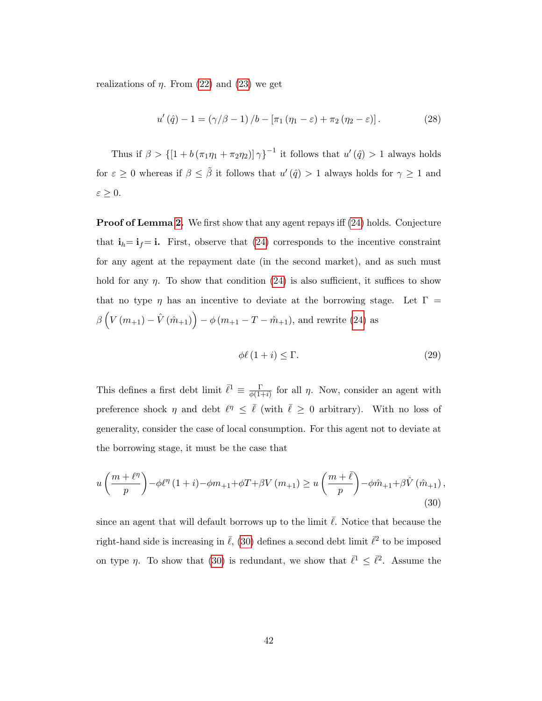realizations of  $\eta$ . From [\(22\)](#page-22-0) and [\(23\)](#page-22-1) we get

<span id="page-43-1"></span>
$$
u'(\hat{q}) - 1 = (\gamma/\beta - 1) / b - [\pi_1 (\eta_1 - \varepsilon) + \pi_2 (\eta_2 - \varepsilon)].
$$
 (28)

Thus if  $\beta > \left\{ \left[1 + b\left(\pi_1\eta_1 + \pi_2\eta_2\right)\right]\gamma \right\}^{-1}$  it follows that  $u'(\hat{q}) > 1$  always holds for  $\varepsilon \geq 0$  whereas if  $\beta \leq \tilde{\beta}$  it follows that  $u'(\hat{q}) > 1$  always holds for  $\gamma \geq 1$  and  $\varepsilon \geq 0.$ 

**Proof of Lemma [2.](#page-22-2)** We first show that any agent repays iff [\(24\)](#page-22-3) holds. Conjecture that  $\mathbf{i}_h = \mathbf{i}_f = \mathbf{i}$ . First, observe that [\(24\)](#page-22-3) corresponds to the incentive constraint for any agent at the repayment date (in the second market), and as such must hold for any  $\eta$ . To show that condition [\(24\)](#page-22-3) is also sufficient, it suffices to show that no type  $\eta$  has an incentive to deviate at the borrowing stage. Let  $\Gamma =$  $\beta\left(V\left(m_{+1}\right)-\hat{V}\left(\hat{m}_{+1}\right)\right)-\phi\left(m_{+1}-T-\hat{m}_{+1}\right),$  and rewrite [\(24\)](#page-22-3) as

$$
\phi \ell \left(1+i\right) \le \Gamma. \tag{29}
$$

This defines a first debt limit  $\bar{\ell}^1 \equiv \frac{\Gamma}{\phi(1-\Gamma)}$  $\frac{1}{\phi(1+i)}$  for all  $\eta$ . Now, consider an agent with preference shock  $\eta$  and debt  $\ell^{\eta} \leq \bar{\ell}$  (with  $\bar{\ell} \geq 0$  arbitrary). With no loss of generality, consider the case of local consumption. For this agent not to deviate at the borrowing stage, it must be the case that

<span id="page-43-0"></span>
$$
u\left(\frac{m+\ell^{\eta}}{p}\right) - \phi \ell^{\eta} (1+i) - \phi m_{+1} + \phi T + \beta V(m_{+1}) \ge u\left(\frac{m+\bar{\ell}}{p}\right) - \phi \hat{m}_{+1} + \beta \hat{V}(\hat{m}_{+1}),
$$
\n(30)

since an agent that will default borrows up to the limit  $\overline{\ell}$ . Notice that because the right-hand side is increasing in  $\bar{\ell}$ , [\(30\)](#page-43-0) defines a second debt limit  $\bar{\ell}^2$  to be imposed on type  $\eta$ . To show that [\(30\)](#page-43-0) is redundant, we show that  $\bar{\ell}^1 \leq \bar{\ell}^2$ . Assume the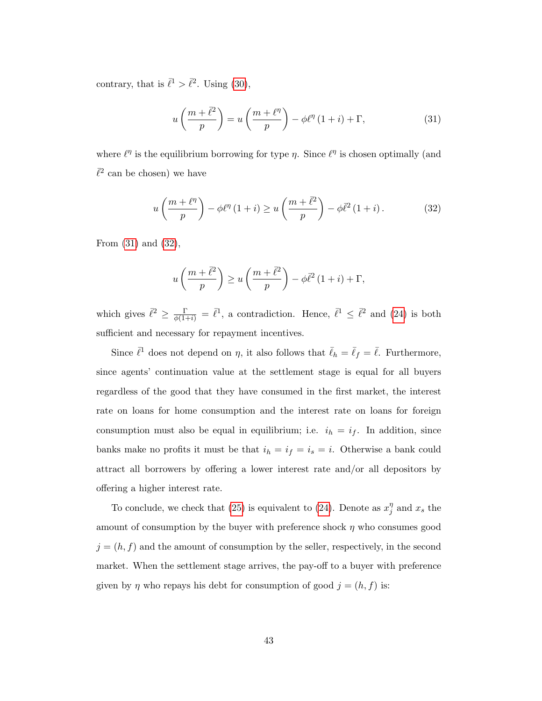contrary, that is  $\bar{\ell}^1 > \bar{\ell}^2$ . Using [\(30\)](#page-43-0),

<span id="page-44-0"></span>
$$
u\left(\frac{m+\bar{\ell}^2}{p}\right) = u\left(\frac{m+\ell^{\eta}}{p}\right) - \phi\ell^{\eta}\left(1+i\right) + \Gamma,\tag{31}
$$

where  $\ell^{\eta}$  is the equilibrium borrowing for type  $\eta$ . Since  $\ell^{\eta}$  is chosen optimally (and  $\bar{\ell}^2$  can be chosen) we have

<span id="page-44-1"></span>
$$
u\left(\frac{m+\ell^n}{p}\right) - \phi\ell^\eta \left(1+i\right) \ge u\left(\frac{m+\bar{\ell}^2}{p}\right) - \phi\bar{\ell}^2 \left(1+i\right). \tag{32}
$$

From [\(31\)](#page-44-0) and [\(32\)](#page-44-1),

$$
u\left(\frac{m+\bar{\ell}^2}{p}\right) \geq u\left(\frac{m+\bar{\ell}^2}{p}\right) - \phi\bar{\ell}^2 (1+i) + \Gamma,
$$

which gives  $\bar{\ell}^2 \geq \frac{\Gamma}{\phi(1+i)} = \bar{\ell}^1$ , a contradiction. Hence,  $\bar{\ell}^1 \leq \bar{\ell}^2$  and [\(24\)](#page-22-3) is both sufficient and necessary for repayment incentives.

Since  $\bar{\ell}^1$  does not depend on  $\eta$ , it also follows that  $\bar{\ell}_h = \bar{\ell}_f = \bar{\ell}$ . Furthermore, since agents' continuation value at the settlement stage is equal for all buyers regardless of the good that they have consumed in the first market, the interest rate on loans for home consumption and the interest rate on loans for foreign consumption must also be equal in equilibrium; i.e.  $i_h = i_f$ . In addition, since banks make no profits it must be that  $i_h = i_f = i_s = i$ . Otherwise a bank could attract all borrowers by offering a lower interest rate and/or all depositors by offering a higher interest rate.

To conclude, we check that [\(25\)](#page-23-0) is equivalent to [\(24\)](#page-22-3). Denote as  $x_i^{\eta}$  $j'$  and  $x_s$  the amount of consumption by the buyer with preference shock  $\eta$  who consumes good  $j = (h, f)$  and the amount of consumption by the seller, respectively, in the second market. When the settlement stage arrives, the pay-off to a buyer with preference given by  $\eta$  who repays his debt for consumption of good  $j = (h, f)$  is: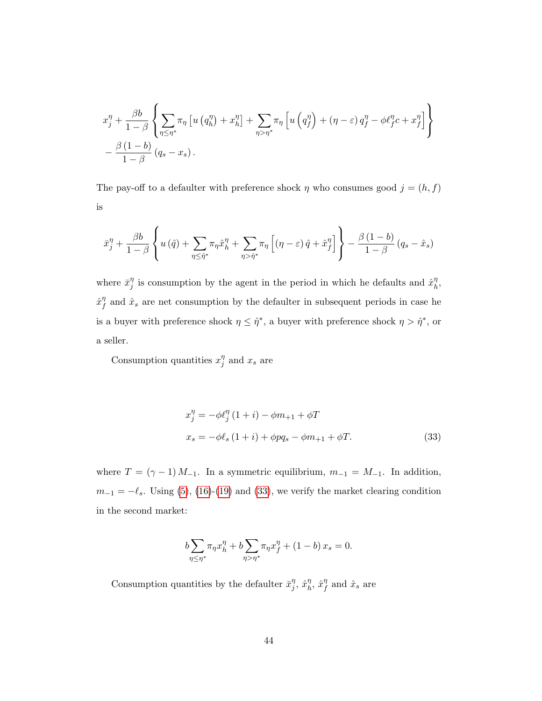$$
x_j^{\eta} + \frac{\beta b}{1 - \beta} \left\{ \sum_{\eta \leq \eta^*} \pi_{\eta} \left[ u \left( q_h^{\eta} \right) + x_h^{\eta} \right] + \sum_{\eta > \eta^*} \pi_{\eta} \left[ u \left( q_f^{\eta} \right) + (\eta - \varepsilon) q_f^{\eta} - \phi \ell_f^{\eta} c + x_f^{\eta} \right] \right\}
$$

$$
- \frac{\beta (1 - b)}{1 - \beta} (q_s - x_s).
$$

The pay-off to a defaulter with preference shock  $\eta$  who consumes good  $j=(h,f)$ is

$$
\bar{x}_j^{\eta} + \frac{\beta b}{1-\beta} \left\{ u(\hat{q}) + \sum_{\eta \leq \hat{\eta}^*} \pi_{\eta} \hat{x}_h^{\eta} + \sum_{\eta > \hat{\eta}^*} \pi_{\eta} \left[ (\eta - \varepsilon) \, \hat{q} + \hat{x}_f^{\eta} \right] \right\} - \frac{\beta \, (1-b)}{1-\beta} \, (q_s - \hat{x}_s)
$$

where  $\bar{x}_i^{\eta}$  $\eta$  is consumption by the agent in the period in which he defaults and  $\hat{x}_h^{\eta}$  $_h^\eta,$  $\hat{x}^{\eta}_{f}$  $\hat{x}_s$  and  $\hat{x}_s$  are net consumption by the defaulter in subsequent periods in case he is a buyer with preference shock  $\eta \leq \hat{\eta}^*$ , a buyer with preference shock  $\eta > \hat{\eta}^*$ , or a seller.

Consumption quantities  $x_i^{\eta}$  $j<sup>η</sup>$  and  $x<sub>s</sub>$  are

<span id="page-45-0"></span>
$$
x_j^{\eta} = -\phi \ell_j^{\eta} (1 + i) - \phi m_{+1} + \phi T
$$
  

$$
x_s = -\phi \ell_s (1 + i) + \phi p q_s - \phi m_{+1} + \phi T.
$$
 (33)

where  $T = (\gamma - 1) M_{-1}$ . In a symmetric equilibrium,  $m_{-1} = M_{-1}$ . In addition,  $m_{-1} = -\ell_s$ . Using [\(5\)](#page-15-0), [\(16\)](#page-18-0)-[\(19\)](#page-19-0) and [\(33\)](#page-45-0), we verify the market clearing condition in the second market:

$$
b\sum_{\eta \le \eta^*} \pi_\eta x_h^{\eta} + b\sum_{\eta > \eta^*} \pi_\eta x_f^{\eta} + (1 - b) x_s = 0.
$$

Consumption quantities by the defaulter  $\bar{x}_i^{\eta}$  $j^{\eta}, \hat{x}_h^{\eta}$  $\hat{r}^{\eta}_h$ ,  $\hat{x}^{\eta}_f$  $\int_{f}^{\eta}$  and  $\hat{x}_s$  are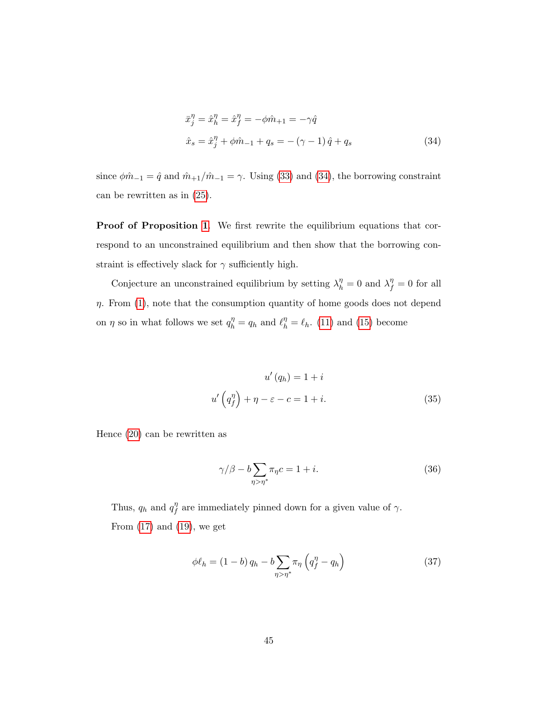<span id="page-46-0"></span>
$$
\begin{aligned}\n\bar{x}_j^\eta &= \hat{x}_h^\eta = \hat{x}_f^\eta = -\phi \hat{m}_{+1} = -\gamma \hat{q} \\
\hat{x}_s &= \hat{x}_j^\eta + \phi \hat{m}_{-1} + q_s = -\left(\gamma - 1\right) \hat{q} + q_s\n\end{aligned} \tag{34}
$$

since  $\phi \hat{m}_{-1} = \hat{q}$  and  $\hat{m}_{+1}/\hat{m}_{-1} = \gamma$ . Using [\(33\)](#page-45-0) and [\(34\)](#page-46-0), the borrowing constraint can be rewritten as in [\(25\)](#page-23-0).

Proof of Proposition [1](#page-24-0). We first rewrite the equilibrium equations that correspond to an unconstrained equilibrium and then show that the borrowing constraint is effectively slack for  $\gamma$  sufficiently high.

Conjecture an unconstrained equilibrium by setting  $\lambda_h^{\eta} = 0$  and  $\lambda_f^{\eta} = 0$  for all  $\eta$ . From [\(1\)](#page-10-0), note that the consumption quantity of home goods does not depend on  $\eta$  so in what follows we set  $q_h^{\eta} = q_h$  and  $\ell_h^{\eta} = \ell_h$ . [\(11\)](#page-17-0) and [\(15\)](#page-18-1) become

<span id="page-46-1"></span>
$$
u'(q_h) = 1 + i
$$
  

$$
u'\left(q_f^{\eta}\right) + \eta - \varepsilon - c = 1 + i.
$$
 (35)

Hence [\(20\)](#page-20-0) can be rewritten as

<span id="page-46-2"></span>
$$
\gamma/\beta - b \sum_{\eta > \eta^*} \pi_\eta c = 1 + i. \tag{36}
$$

Thus,  $q_h$  and  $q_f^{\eta}$  $\int_{f}^{\eta}$  are immediately pinned down for a given value of  $\gamma$ . From  $(17)$  and  $(19)$ , we get

<span id="page-46-3"></span>
$$
\phi \ell_h = (1 - b) q_h - b \sum_{\eta > \eta^*} \pi_\eta \left( q_f^\eta - q_h \right) \tag{37}
$$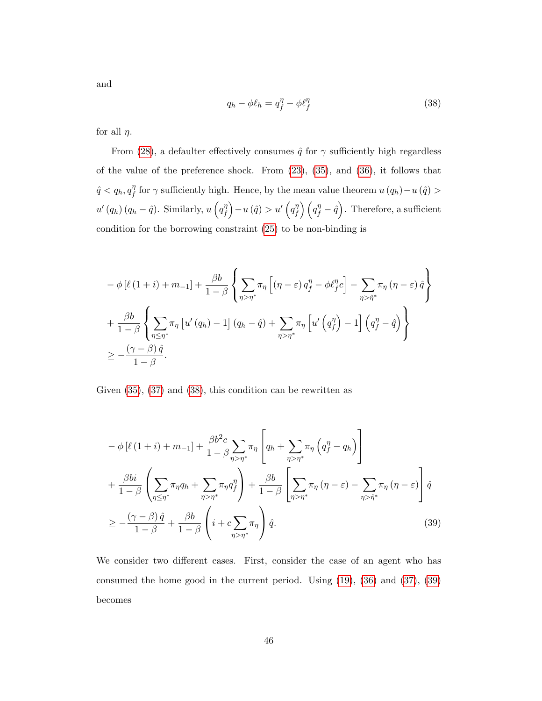and

<span id="page-47-0"></span>
$$
q_h - \phi \ell_h = q_f^{\eta} - \phi \ell_f^{\eta} \tag{38}
$$

for all  $\eta$ .

From [\(28\)](#page-43-1), a defaulter effectively consumes  $\hat{q}$  for  $\gamma$  sufficiently high regardless of the value of the preference shock. From [\(23\)](#page-22-1), [\(35\)](#page-46-1), and [\(36\)](#page-46-2), it follows that  $\hat{q} < q_h, q_f^{\eta}$  $f'$  for  $\gamma$  sufficiently high. Hence, by the mean value theorem  $u(q_h) - u(q) >$  $u'\left(q_h\right)\left(q_h-\hat{q}\right)$ . Similarly,  $u\left(q_f^\eta\right)$  $\begin{pmatrix} \eta \ f \end{pmatrix} - u \left( \hat{q} \right) > u' \left( q \eta \right)$  $\binom{\eta}{f}\left(q_f^\eta-\hat{q}\right)$ . Therefore, a sufficient condition for the borrowing constraint [\(25\)](#page-23-0) to be non-binding is

$$
-\phi\left[\ell\left(1+i\right)+m_{-1}\right]+\frac{\beta b}{1-\beta}\left\{\sum_{\eta>\eta^*}\pi_{\eta}\left[\left(\eta-\varepsilon\right)q_{f}^{\eta}-\phi\ell_{f}^{\eta}c\right]-\sum_{\eta>\hat{\eta}^*}\pi_{\eta}\left(\eta-\varepsilon\right)\hat{q}\right\}
$$

$$
+\frac{\beta b}{1-\beta}\left\{\sum_{\eta\leq\eta^*}\pi_{\eta}\left[u'\left(q_{h}\right)-1\right]\left(q_{h}-\hat{q}\right)+\sum_{\eta>\eta^*}\pi_{\eta}\left[u'\left(q_{f}^{\eta}\right)-1\right]\left(q_{f}^{\eta}-\hat{q}\right)\right\}
$$

$$
\geq-\frac{\left(\gamma-\beta\right)\hat{q}}{1-\beta}.
$$

Given [\(35\)](#page-46-1), [\(37\)](#page-46-3) and [\(38\)](#page-47-0), this condition can be rewritten as

<span id="page-47-1"></span>
$$
-\phi\left[\ell\left(1+i\right)+m_{-1}\right]+\frac{\beta b^2 c}{1-\beta}\sum_{\eta>\eta^*}\pi_{\eta}\left[q_h+\sum_{\eta>\eta^*}\pi_{\eta}\left(q_f^{\eta}-q_h\right)\right]
$$

$$
+\frac{\beta bi}{1-\beta}\left(\sum_{\eta\leq\eta^*}\pi_{\eta}q_h+\sum_{\eta>\eta^*}\pi_{\eta}q_f^{\eta}\right)+\frac{\beta b}{1-\beta}\left[\sum_{\eta>\eta^*}\pi_{\eta}\left(\eta-\varepsilon\right)-\sum_{\eta>\hat{\eta}^*}\pi_{\eta}\left(\eta-\varepsilon\right)\right]\hat{q}
$$

$$
\geq-\frac{\left(\gamma-\beta\right)\hat{q}}{1-\beta}+\frac{\beta b}{1-\beta}\left(i+c\sum_{\eta>\eta^*}\pi_{\eta}\right)\hat{q}.\tag{39}
$$

We consider two different cases. First, consider the case of an agent who has consumed the home good in the current period. Using [\(19\)](#page-19-0), [\(36\)](#page-46-2) and [\(37\)](#page-46-3), [\(39\)](#page-47-1) becomes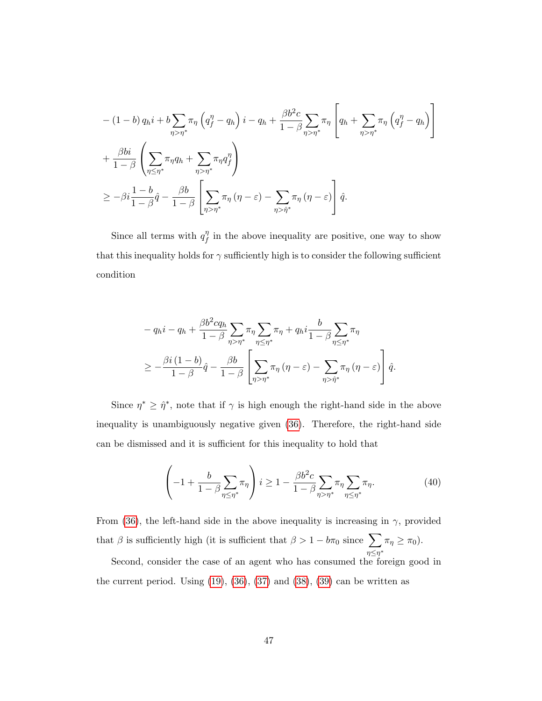$$
-(1-b) q_h i + b \sum_{\eta > \eta^*} \pi_{\eta} \left( q_f^{\eta} - q_h \right) i - q_h + \frac{\beta b^2 c}{1 - \beta} \sum_{\eta > \eta^*} \pi_{\eta} \left[ q_h + \sum_{\eta > \eta^*} \pi_{\eta} \left( q_f^{\eta} - q_h \right) \right]
$$
  
+ 
$$
\frac{\beta bi}{1 - \beta} \left( \sum_{\eta \leq \eta^*} \pi_{\eta} q_h + \sum_{\eta > \eta^*} \pi_{\eta} q_f^{\eta} \right)
$$
  

$$
\geq -\beta i \frac{1 - b}{1 - \beta} \hat{q} - \frac{\beta b}{1 - \beta} \left[ \sum_{\eta > \eta^*} \pi_{\eta} \left( \eta - \varepsilon \right) - \sum_{\eta > \hat{\eta}^*} \pi_{\eta} \left( \eta - \varepsilon \right) \right] \hat{q}.
$$

Since all terms with  $q_f^{\eta}$  $\int_{f}^{\eta}$  in the above inequality are positive, one way to show that this inequality holds for  $\gamma$  sufficiently high is to consider the following sufficient condition

$$
- q_h i - q_h + \frac{\beta b^2 c q_h}{1 - \beta} \sum_{\eta > \eta^*} \pi_\eta \sum_{\eta \le \eta^*} \pi_\eta + q_h i \frac{b}{1 - \beta} \sum_{\eta \le \eta^*} \pi_\eta
$$
  

$$
\ge -\frac{\beta i (1 - b)}{1 - \beta} \hat{q} - \frac{\beta b}{1 - \beta} \left[ \sum_{\eta > \eta^*} \pi_\eta (\eta - \varepsilon) - \sum_{\eta > \hat{\eta}^*} \pi_\eta (\eta - \varepsilon) \right] \hat{q}.
$$

Since  $\eta^* \geq \hat{\eta}^*$ , note that if  $\gamma$  is high enough the right-hand side in the above inequality is unambiguously negative given [\(36\)](#page-46-2). Therefore, the right-hand side can be dismissed and it is sufficient for this inequality to hold that

<span id="page-48-0"></span>
$$
\left(-1+\frac{b}{1-\beta}\sum_{\eta\leq\eta^*}\pi_{\eta}\right)i\geq 1-\frac{\beta b^2c}{1-\beta}\sum_{\eta>\eta^*}\pi_{\eta}\sum_{\eta\leq\eta^*}\pi_{\eta}.\tag{40}
$$

From [\(36\)](#page-46-2), the left-hand side in the above inequality is increasing in  $\gamma$ , provided that  $\beta$  is sufficiently high (it is sufficient that  $\beta > 1 - b\pi_0$  since  $\sum$  $\sum_{\eta \leq \eta^*} \pi_\eta \geq \pi_0$ ).

Second, consider the case of an agent who has consumed the foreign good in the current period. Using  $(19)$ ,  $(36)$ ,  $(37)$  and  $(38)$ ,  $(39)$  can be written as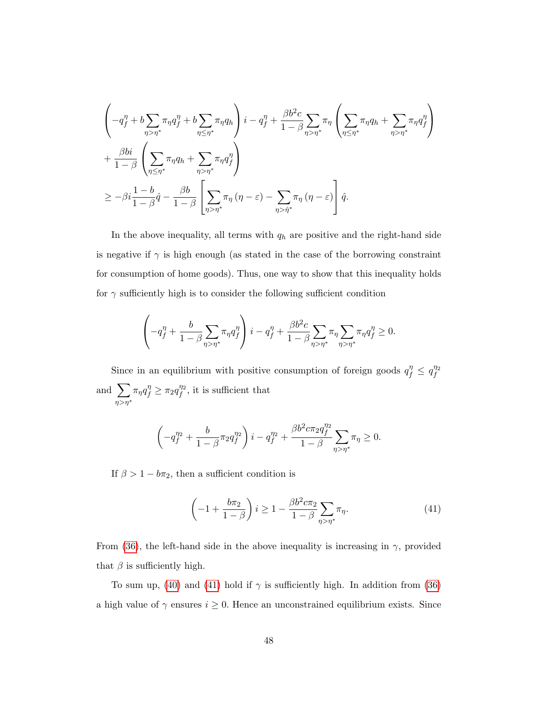$$
\left(-q_f^{\eta} + b \sum_{\eta > \eta^*} \pi_{\eta} q_f^{\eta} + b \sum_{\eta \leq \eta^*} \pi_{\eta} q_h\right) i - q_f^{\eta} + \frac{\beta b^2 c}{1 - \beta} \sum_{\eta > \eta^*} \pi_{\eta} \left(\sum_{\eta \leq \eta^*} \pi_{\eta} q_h + \sum_{\eta > \eta^*} \pi_{\eta} q_f^{\eta}\right) + \frac{\beta bi}{1 - \beta} \left(\sum_{\eta \leq \eta^*} \pi_{\eta} q_h + \sum_{\eta > \eta^*} \pi_{\eta} q_f^{\eta}\right) \geq -\beta i \frac{1 - b}{1 - \beta} \hat{q} - \frac{\beta b}{1 - \beta} \left[\sum_{\eta > \eta^*} \pi_{\eta} (\eta - \varepsilon) - \sum_{\eta > \hat{\eta}^*} \pi_{\eta} (\eta - \varepsilon) \right] \hat{q}.
$$

In the above inequality, all terms with  $q_h$  are positive and the right-hand side is negative if  $\gamma$  is high enough (as stated in the case of the borrowing constraint for consumption of home goods). Thus, one way to show that this inequality holds for  $\gamma$  sufficiently high is to consider the following sufficient condition

$$
\left(-q_f^{\eta} + \frac{b}{1-\beta} \sum_{\eta > \eta^*} \pi_{\eta} q_f^{\eta}\right) i - q_f^{\eta} + \frac{\beta b^2 c}{1-\beta} \sum_{\eta > \eta^*} \pi_{\eta} \sum_{\eta > \eta^*} \pi_{\eta} q_f^{\eta} \ge 0.
$$

Since in an equilibrium with positive consumption of foreign goods  $q_f^{\eta} \le q_f^{\eta_2}$ f and  $\sum$  $\eta > \eta^*$  $\pi_{\eta}q_f^{\eta} \geq \pi_2q_f^{\eta_2}$  $f''^2$ , it is sufficient that

$$
\left(-q_{f}^{\eta_2}+\frac{b}{1-\beta}\pi_2 q_{f}^{\eta_2}\right)i-q_{f}^{\eta_2}+\frac{\beta b^2 c \pi_2 q_{f}^{\eta_2}}{1-\beta}\!\!\sum_{\eta>\eta^*}\!\!\pi_\eta\geq 0.
$$

If  $\beta > 1 - b\pi_2$ , then a sufficient condition is

<span id="page-49-0"></span>
$$
\left(-1+\frac{b\pi_2}{1-\beta}\right)i \ge 1-\frac{\beta b^2 c \pi_2}{1-\beta} \sum_{\eta>\eta^*} \pi_\eta. \tag{41}
$$

From [\(36\)](#page-46-2), the left-hand side in the above inequality is increasing in  $\gamma$ , provided that  $\beta$  is sufficiently high.

To sum up, [\(40\)](#page-48-0) and [\(41\)](#page-49-0) hold if  $\gamma$  is sufficiently high. In addition from [\(36\)](#page-46-2) a high value of  $\gamma$  ensures  $i \geq 0$ . Hence an unconstrained equilibrium exists. Since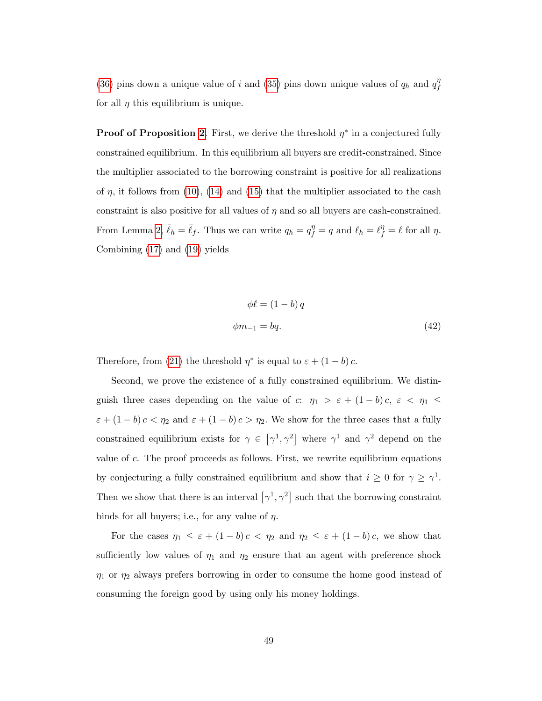[\(36\)](#page-46-2) pins down a unique value of i and [\(35\)](#page-46-1) pins down unique values of  $q_h$  and  $q_f^{\eta}$ f for all  $\eta$  this equilibrium is unique.

**Proof of Proposition [2](#page-25-0).** First, we derive the threshold  $\eta^*$  in a conjectured fully constrained equilibrium. In this equilibrium all buyers are credit-constrained. Since the multiplier associated to the borrowing constraint is positive for all realizations of  $\eta$ , it follows from [\(10\)](#page-17-1), [\(14\)](#page-18-2) and [\(15\)](#page-18-1) that the multiplier associated to the cash constraint is also positive for all values of  $\eta$  and so all buyers are cash-constrained. From Lemma [2,](#page-22-2)  $\bar{\ell}_h = \bar{\ell}_f$ . Thus we can write  $q_h = q_f^{\eta} = q$  and  $\ell_h = \ell_f^{\eta} = \ell$  for all  $\eta$ . Combining [\(17\)](#page-19-1) and [\(19\)](#page-19-0) yields

<span id="page-50-0"></span>
$$
\phi \ell = (1 - b) q
$$
  

$$
\phi m_{-1} = bq.
$$
 (42)

Therefore, from [\(21\)](#page-20-1) the threshold  $\eta^*$  is equal to  $\varepsilon + (1 - b) c$ .

Second, we prove the existence of a fully constrained equilibrium. We distinguish three cases depending on the value of c:  $\eta_1 > \varepsilon + (1-b)c, \varepsilon < \eta_1 \leq$  $\varepsilon + (1 - b) c < \eta_2$  and  $\varepsilon + (1 - b) c > \eta_2$ . We show for the three cases that a fully constrained equilibrium exists for  $\gamma \in [\gamma^1, \gamma^2]$  where  $\gamma^1$  and  $\gamma^2$  depend on the value of  $c$ . The proof proceeds as follows. First, we rewrite equilibrium equations by conjecturing a fully constrained equilibrium and show that  $i \geq 0$  for  $\gamma \geq \gamma^1$ . Then we show that there is an interval  $[\gamma^1, \gamma^2]$  such that the borrowing constraint binds for all buyers; i.e., for any value of  $\eta$ .

For the cases  $\eta_1 \leq \varepsilon + (1 - b)c < \eta_2$  and  $\eta_2 \leq \varepsilon + (1 - b)c$ , we show that sufficiently low values of  $\eta_1$  and  $\eta_2$  ensure that an agent with preference shock  $\eta_1$  or  $\eta_2$  always prefers borrowing in order to consume the home good instead of consuming the foreign good by using only his money holdings.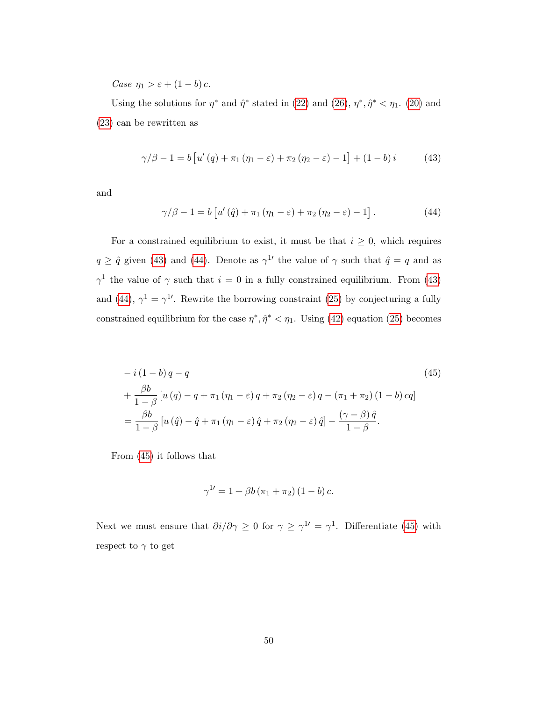Case  $\eta_1 > \varepsilon + (1 - b) c$ .

Using the solutions for  $\eta^*$  and  $\hat{\eta}^*$  stated in [\(22\)](#page-22-0) and [\(26\)](#page-25-1),  $\eta^*, \hat{\eta}^* < \eta_1$ . [\(20\)](#page-20-0) and [\(23\)](#page-22-1) can be rewritten as

<span id="page-51-0"></span>
$$
\gamma/\beta - 1 = b \left[ u'(q) + \pi_1 (\eta_1 - \varepsilon) + \pi_2 (\eta_2 - \varepsilon) - 1 \right] + (1 - b)i \tag{43}
$$

and

<span id="page-51-1"></span>
$$
\gamma/\beta - 1 = b \left[ u' \left( \hat{q} \right) + \pi_1 \left( \eta_1 - \varepsilon \right) + \pi_2 \left( \eta_2 - \varepsilon \right) - 1 \right]. \tag{44}
$$

For a constrained equilibrium to exist, it must be that  $i \geq 0$ , which requires  $q \geq \hat{q}$  given [\(43\)](#page-51-0) and [\(44\)](#page-51-1). Denote as  $\gamma^{1}$  the value of  $\gamma$  such that  $\hat{q} = q$  and as  $\gamma^1$  the value of  $\gamma$  such that  $i = 0$  in a fully constrained equilibrium. From [\(43\)](#page-51-0) and [\(44\)](#page-51-1),  $\gamma^1 = \gamma^1$ . Rewrite the borrowing constraint [\(25\)](#page-23-0) by conjecturing a fully constrained equilibrium for the case  $\eta^*, \hat{\eta}^* < \eta_1$ . Using [\(42\)](#page-50-0) equation [\(25\)](#page-23-0) becomes

$$
-i(1-b)q - q
$$
\n
$$
+ \frac{\beta b}{1-\beta} [u(q) - q + \pi_1 (\eta_1 - \varepsilon) q + \pi_2 (\eta_2 - \varepsilon) q - (\pi_1 + \pi_2) (1-b) cq]
$$
\n
$$
= \frac{\beta b}{1-\beta} [u(\hat{q}) - \hat{q} + \pi_1 (\eta_1 - \varepsilon) \hat{q} + \pi_2 (\eta_2 - \varepsilon) \hat{q}] - \frac{(\gamma - \beta) \hat{q}}{1-\beta}.
$$
\n(45)

From [\(45\)](#page-51-2) it follows that

<span id="page-51-2"></span>
$$
\gamma^{1\prime} = 1 + \beta b (\pi_1 + \pi_2) (1 - b) c.
$$

Next we must ensure that  $\partial i/\partial \gamma \geq 0$  for  $\gamma \geq \gamma^{1'} = \gamma^1$ . Differentiate [\(45\)](#page-51-2) with respect to  $\gamma$  to get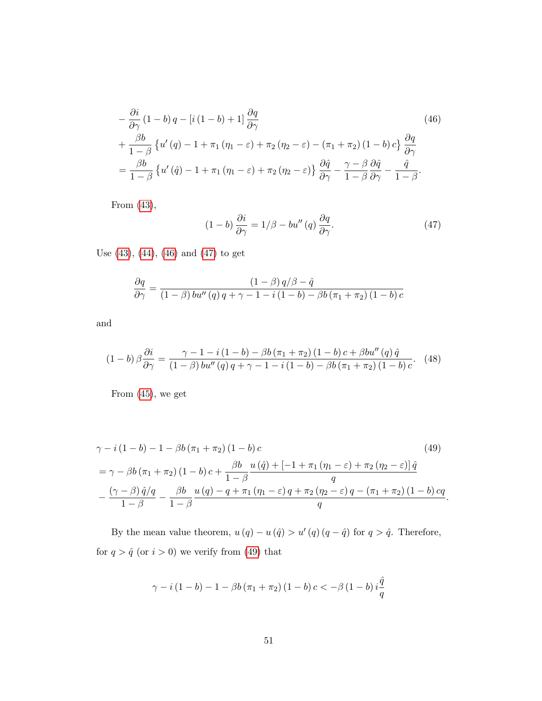$$
-\frac{\partial i}{\partial \gamma} (1 - b) q - [i (1 - b) + 1] \frac{\partial q}{\partial \gamma}
$$
(46)  
 
$$
+\frac{\beta b}{1 - \beta} \{ u'(q) - 1 + \pi_1 (\eta_1 - \varepsilon) + \pi_2 (\eta_2 - \varepsilon) - (\pi_1 + \pi_2) (1 - b) c \} \frac{\partial q}{\partial \gamma}
$$
  

$$
= \frac{\beta b}{1 - \beta} \{ u'(q) - 1 + \pi_1 (\eta_1 - \varepsilon) + \pi_2 (\eta_2 - \varepsilon) \} \frac{\partial \hat{q}}{\partial \gamma} - \frac{\gamma - \beta}{1 - \beta} \frac{\partial \hat{q}}{\partial \gamma} - \frac{\hat{q}}{1 - \beta}.
$$

From [\(43\)](#page-51-0),

<span id="page-52-2"></span><span id="page-52-1"></span><span id="page-52-0"></span>
$$
(1-b)\frac{\partial i}{\partial \gamma} = 1/\beta - bu''(q)\frac{\partial q}{\partial \gamma}.
$$
 (47)

Use [\(43\)](#page-51-0), [\(44\)](#page-51-1), [\(46\)](#page-52-0) and [\(47\)](#page-52-1) to get

$$
\frac{\partial q}{\partial \gamma} = \frac{\left(1 - \beta\right) q/\beta - \hat{q}}{\left(1 - \beta\right) bu''\left(q\right) q + \gamma - 1 - i\left(1 - b\right) - \beta b \left(\pi_1 + \pi_2\right)\left(1 - b\right)c}
$$

and

<span id="page-52-3"></span>
$$
(1-b)\,\beta\frac{\partial i}{\partial \gamma} = \frac{\gamma - 1 - i\,(1-b) - \beta b\,(\pi_1 + \pi_2)\,(1-b)\,c + \beta bu''\,(q)\,\hat{q}}{(1-\beta)\,bu''\,(q)\,q + \gamma - 1 - i\,(1-b) - \beta b\,(\pi_1 + \pi_2)\,(1-b)\,c}.\tag{48}
$$

From [\(45\)](#page-51-2), we get

$$
\gamma - i (1 - b) - 1 - \beta b (\pi_1 + \pi_2) (1 - b) c
$$
\n
$$
= \gamma - \beta b (\pi_1 + \pi_2) (1 - b) c + \frac{\beta b}{1 - \beta} \frac{u(\hat{q}) + [-1 + \pi_1 (\eta_1 - \varepsilon) + \pi_2 (\eta_2 - \varepsilon)] \hat{q}}{q}
$$
\n
$$
- \frac{(\gamma - \beta) \hat{q}/q}{1 - \beta} - \frac{\beta b}{1 - \beta} \frac{u(q) - q + \pi_1 (\eta_1 - \varepsilon) q + \pi_2 (\eta_2 - \varepsilon) q - (\pi_1 + \pi_2) (1 - b) c q}{q}.
$$
\n(49)

By the mean value theorem,  $u(q) - u(\hat{q}) > u'(q)(q - \hat{q})$  for  $q > \hat{q}$ . Therefore, for  $q>\hat{q}$  (or  $i>0)$  we verify from [\(49\)](#page-52-2) that

$$
\gamma - i (1 - b) - 1 - \beta b (\pi_1 + \pi_2) (1 - b) c < -\beta (1 - b) i \frac{\hat{q}}{q}
$$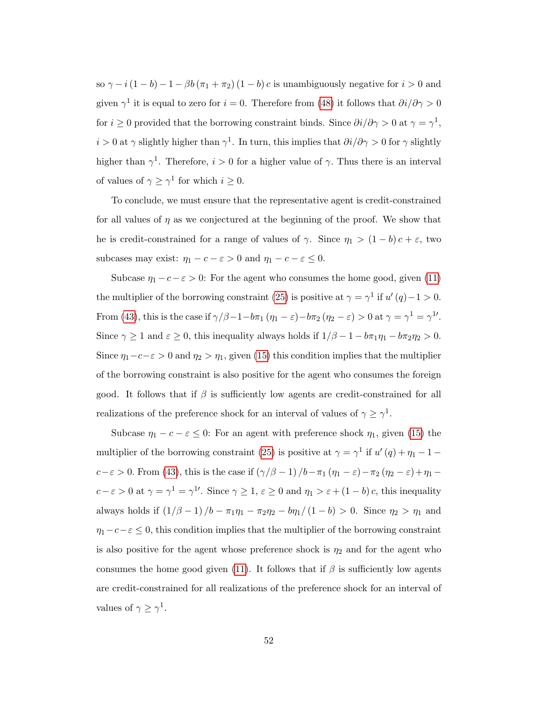so  $\gamma - i(1 - b) - 1 - \beta b(\pi_1 + \pi_2)(1 - b)$  c is unambiguously negative for  $i > 0$  and given  $\gamma^1$  it is equal to zero for  $i = 0$ . Therefore from [\(48\)](#page-52-3) it follows that  $\partial i/\partial \gamma > 0$ for  $i \geq 0$  provided that the borrowing constraint binds. Since  $\partial i/\partial \gamma > 0$  at  $\gamma = \gamma^1$ ,  $i > 0$  at  $\gamma$  slightly higher than  $\gamma^1$ . In turn, this implies that  $\partial i/\partial \gamma > 0$  for  $\gamma$  slightly higher than  $\gamma^1$ . Therefore,  $i > 0$  for a higher value of  $\gamma$ . Thus there is an interval of values of  $\gamma \geq \gamma^1$  for which  $i \geq 0$ .

To conclude, we must ensure that the representative agent is credit-constrained for all values of  $\eta$  as we conjectured at the beginning of the proof. We show that he is credit-constrained for a range of values of  $\gamma$ . Since  $\eta_1 > (1 - b)c + \varepsilon$ , two subcases may exist:  $\eta_1 - c - \varepsilon > 0$  and  $\eta_1 - c - \varepsilon \leq 0$ .

Subcase  $\eta_1 - c - \varepsilon > 0$ : For the agent who consumes the home good, given [\(11\)](#page-17-0) the multiplier of the borrowing constraint [\(25\)](#page-23-0) is positive at  $\gamma = \gamma^1$  if  $u'(q) - 1 > 0$ . From [\(43\)](#page-51-0), this is the case if  $\gamma/\beta - 1 - b\pi_1 (\eta_1 - \varepsilon) - b\pi_2 (\eta_2 - \varepsilon) > 0$  at  $\gamma = \gamma^1 = \gamma^{1'}$ . Since  $\gamma \ge 1$  and  $\varepsilon \ge 0$ , this inequality always holds if  $1/\beta - 1 - b\pi_1\eta_1 - b\pi_2\eta_2 > 0$ . Since  $\eta_1-c-\varepsilon > 0$  and  $\eta_2 > \eta_1$ , given [\(15\)](#page-18-1) this condition implies that the multiplier of the borrowing constraint is also positive for the agent who consumes the foreign good. It follows that if  $\beta$  is sufficiently low agents are credit-constrained for all realizations of the preference shock for an interval of values of  $\gamma \geq \gamma^1$ .

Subcase  $\eta_1 - c - \varepsilon \leq 0$ : For an agent with preference shock  $\eta_1$ , given [\(15\)](#page-18-1) the multiplier of the borrowing constraint [\(25\)](#page-23-0) is positive at  $\gamma = \gamma^1$  if  $u'(q) + \eta_1 - 1$  $c-\varepsilon > 0$ . From [\(43\)](#page-51-0), this is the case if  $(\gamma/\beta - 1) / b - \pi_1 (\eta_1 - \varepsilon) - \pi_2 (\eta_2 - \varepsilon) + \eta_1$  $c - \varepsilon > 0$  at  $\gamma = \gamma^1 = \gamma^1$ . Since  $\gamma \ge 1$ ,  $\varepsilon \ge 0$  and  $\eta_1 > \varepsilon + (1 - b) c$ , this inequality always holds if  $(1/\beta - 1)/b - \pi_1 \eta_1 - \pi_2 \eta_2 - b \eta_1/(1 - b) > 0$ . Since  $\eta_2 > \eta_1$  and  $\eta_1-c-\varepsilon\leq 0$ , this condition implies that the multiplier of the borrowing constraint is also positive for the agent whose preference shock is  $\eta_2$  and for the agent who consumes the home good given [\(11\)](#page-17-0). It follows that if  $\beta$  is sufficiently low agents are credit-constrained for all realizations of the preference shock for an interval of values of  $\gamma \geq \gamma^1$ .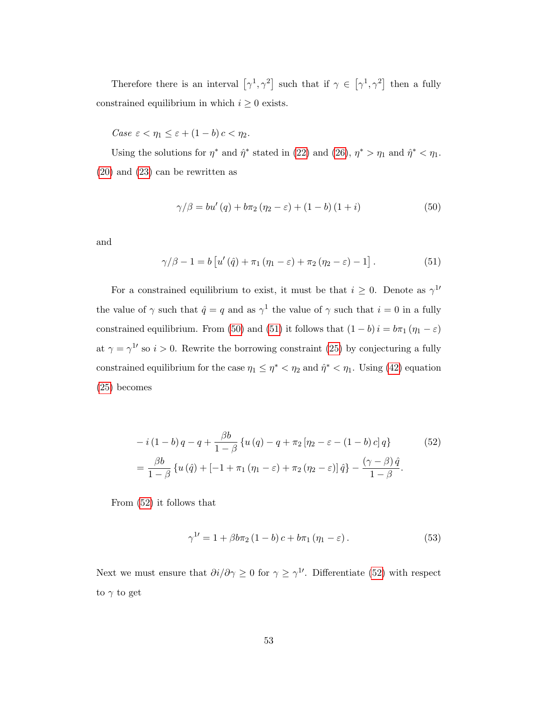Therefore there is an interval  $[\gamma^1, \gamma^2]$  such that if  $\gamma \in [\gamma^1, \gamma^2]$  then a fully constrained equilibrium in which  $i \geq 0$  exists.

Case  $\varepsilon < \eta_1 \leq \varepsilon + (1 - b) c < \eta_2$ .

Using the solutions for  $\eta^*$  and  $\hat{\eta}^*$  stated in [\(22\)](#page-22-0) and [\(26\)](#page-25-1),  $\eta^* > \eta_1$  and  $\hat{\eta}^* < \eta_1$ . [\(20\)](#page-20-0) and [\(23\)](#page-22-1) can be rewritten as

<span id="page-54-0"></span>
$$
\gamma/\beta = bu'(q) + b\pi_2 (\eta_2 - \varepsilon) + (1 - b)(1 + i)
$$
\n(50)

and

<span id="page-54-1"></span>
$$
\gamma/\beta - 1 = b \left[ u'(\hat{q}) + \pi_1 (\eta_1 - \varepsilon) + \pi_2 (\eta_2 - \varepsilon) - 1 \right]. \tag{51}
$$

For a constrained equilibrium to exist, it must be that  $i \geq 0$ . Denote as  $\gamma^{1}$ the value of  $\gamma$  such that  $\hat{q} = q$  and as  $\gamma^1$  the value of  $\gamma$  such that  $i = 0$  in a fully constrained equilibrium. From [\(50\)](#page-54-0) and [\(51\)](#page-54-1) it follows that  $(1 - b)i = b\pi_1 (\eta_1 - \varepsilon)$ at  $\gamma = \gamma^{1}$  so  $i > 0$ . Rewrite the borrowing constraint [\(25\)](#page-23-0) by conjecturing a fully constrained equilibrium for the case  $\eta_1 \leq \eta^* < \eta_2$  and  $\hat{\eta}^* < \eta_1$ . Using [\(42\)](#page-50-0) equation [\(25\)](#page-23-0) becomes

$$
-i(1-b)q - q + \frac{\beta b}{1-\beta} \{u(q) - q + \pi_2 [\eta_2 - \varepsilon - (1-b) c] q\}
$$
(52)  
= 
$$
\frac{\beta b}{1-\beta} \{u(\hat{q}) + [-1 + \pi_1 (\eta_1 - \varepsilon) + \pi_2 (\eta_2 - \varepsilon)] \hat{q}\} - \frac{(\gamma - \beta) \hat{q}}{1-\beta}.
$$

From [\(52\)](#page-54-2) it follows that

<span id="page-54-3"></span><span id="page-54-2"></span>
$$
\gamma^{1'} = 1 + \beta b \pi_2 (1 - b) c + b \pi_1 (\eta_1 - \varepsilon).
$$
 (53)

Next we must ensure that  $\partial i/\partial \gamma \geq 0$  for  $\gamma \geq \gamma^{1}$ . Differentiate [\(52\)](#page-54-2) with respect to  $\gamma$  to get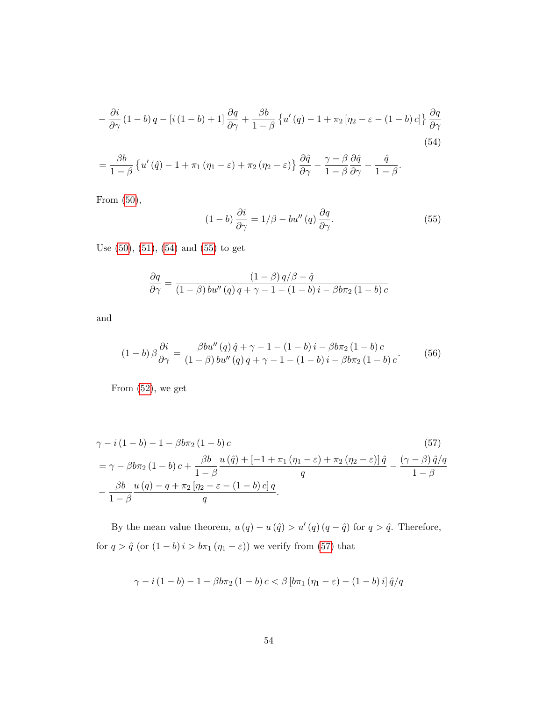$$
-\frac{\partial i}{\partial \gamma} (1-b) q - [i (1-b) + 1] \frac{\partial q}{\partial \gamma} + \frac{\beta b}{1-\beta} \{ u'(q) - 1 + \pi_2 [\eta_2 - \varepsilon - (1-b) c] \} \frac{\partial q}{\partial \gamma}
$$
  

$$
= \frac{\beta b}{1-\beta} \{ u'(q) - 1 + \pi_1 (\eta_1 - \varepsilon) + \pi_2 (\eta_2 - \varepsilon) \} \frac{\partial \hat{q}}{\partial \gamma} - \frac{\gamma - \beta}{1-\beta} \frac{\partial \hat{q}}{\partial \gamma} - \frac{\hat{q}}{1-\beta}.
$$
 (54)

From [\(50\)](#page-54-0),

<span id="page-55-2"></span><span id="page-55-1"></span><span id="page-55-0"></span>
$$
(1-b)\frac{\partial i}{\partial \gamma} = 1/\beta - bu''(q)\frac{\partial q}{\partial \gamma}.
$$
 (55)

Use [\(50\)](#page-54-0), [\(51\)](#page-54-1), [\(54\)](#page-55-0) and [\(55\)](#page-55-1) to get

$$
\frac{\partial q}{\partial \gamma} = \frac{(1-\beta) q/\beta - \hat{q}}{(1-\beta) bu''(q) q + \gamma - 1 - (1-b) i - \beta b \pi_2 (1-b) c}
$$

and

<span id="page-55-3"></span>
$$
(1-b)\,\beta\frac{\partial i}{\partial \gamma} = \frac{\beta bu''(q)\,\hat{q} + \gamma - 1 - (1-b)\,i - \beta b\pi_2\,(1-b)\,c}{(1-\beta)\,bu''(q)\,q + \gamma - 1 - (1-b)\,i - \beta b\pi_2\,(1-b)\,c}.\tag{56}
$$

From [\(52\)](#page-54-2), we get

$$
\gamma - i(1 - b) - 1 - \beta b \pi_2 (1 - b) c \qquad (57)
$$
  
=  $\gamma - \beta b \pi_2 (1 - b) c + \frac{\beta b}{1 - \beta} \frac{u(\hat{q}) + [-1 + \pi_1 (\eta_1 - \varepsilon) + \pi_2 (\eta_2 - \varepsilon)] \hat{q}}{q} - \frac{(\gamma - \beta) \hat{q}/q}{1 - \beta}$   
-  $\frac{\beta b}{1 - \beta} \frac{u(q) - q + \pi_2 [\eta_2 - \varepsilon - (1 - b) c] q}{q}.$  (57)

By the mean value theorem,  $u(q) - u(\hat{q}) > u'(q)(q - \hat{q})$  for  $q > \hat{q}$ . Therefore, for  $q > \hat{q}$  (or  $(1 - b)i > b\pi_1 (\eta_1 - \varepsilon)$ ) we verify from [\(57\)](#page-55-2) that

$$
\gamma - i(1 - b) - 1 - \beta b \pi_2 (1 - b) c < \beta \left[ b \pi_1 (\eta_1 - \varepsilon) - (1 - b) i \right] \hat{q}/q
$$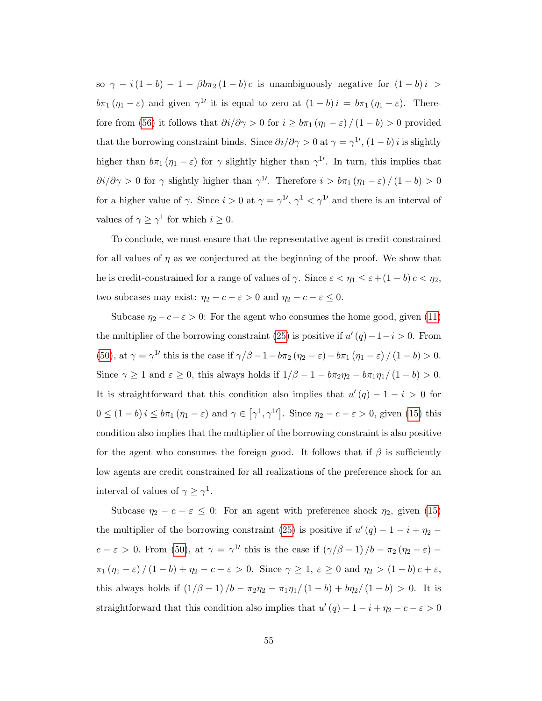so  $\gamma - i(1 - b) - 1 - \beta b \pi_2 (1 - b) c$  is unambiguously negative for  $(1 - b)i$  $b\pi_1(\eta_1-\varepsilon)$  and given  $\gamma^{1'}$  it is equal to zero at  $(1-b)i = b\pi_1(\eta_1-\varepsilon)$ . There-fore from [\(56\)](#page-55-3) it follows that  $\partial i/\partial \gamma>0$  for  $i\geq b\pi_1\left(\eta_1-\varepsilon\right)/\left(1-b\right)>0$  provided that the borrowing constraint binds. Since  $\partial i/\partial \gamma > 0$  at  $\gamma = \gamma^{1}$ ,  $(1 - b)i$  is slightly higher than  $b\pi_1(\eta_1-\varepsilon)$  for  $\gamma$  slightly higher than  $\gamma^{1'}$ . In turn, this implies that  $\partial i/\partial \gamma > 0$  for  $\gamma$  slightly higher than  $\gamma^{1'}$ . Therefore  $i > b\pi_1 (\eta_1 - \varepsilon) / (1 - b) > 0$ for a higher value of  $\gamma$ . Since  $i > 0$  at  $\gamma = \gamma^{1'}$ ,  $\gamma^{1} < \gamma^{1'}$  and there is an interval of values of  $\gamma \geq \gamma^1$  for which  $i \geq 0$ .

To conclude, we must ensure that the representative agent is credit-constrained for all values of  $\eta$  as we conjectured at the beginning of the proof. We show that he is credit-constrained for a range of values of  $\gamma$ . Since  $\varepsilon < \eta_1 \leq \varepsilon + (1 - b)c < \eta_2$ , two subcases may exist:  $\eta_2 - c - \varepsilon > 0$  and  $\eta_2 - c - \varepsilon \leq 0$ .

Subcase  $\eta_2 - c - \varepsilon > 0$ : For the agent who consumes the home good, given [\(11\)](#page-17-0) the multiplier of the borrowing constraint [\(25\)](#page-23-0) is positive if  $u'(q) - 1 - i > 0$ . From [\(50\)](#page-54-0), at  $\gamma = \gamma^{1}$  this is the case if  $\gamma/\beta - 1 - b\pi_2 (\eta_2 - \varepsilon) - b\pi_1 (\eta_1 - \varepsilon) / (1 - b) > 0$ . Since  $\gamma \ge 1$  and  $\varepsilon \ge 0$ , this always holds if  $1/\beta - 1 - b\pi_2\eta_2 - b\pi_1\eta_1/(1-b) > 0$ . It is straightforward that this condition also implies that  $u'(q) - 1 - i > 0$  for  $0 \leq (1 - b) i \leq b\pi_1 (\eta_1 - \varepsilon)$  and  $\gamma \in [\gamma^1, \gamma^{1'}]$ . Since  $\eta_2 - c - \varepsilon > 0$ , given [\(15\)](#page-18-1) this condition also implies that the multiplier of the borrowing constraint is also positive for the agent who consumes the foreign good. It follows that if  $\beta$  is sufficiently low agents are credit constrained for all realizations of the preference shock for an interval of values of  $\gamma \geq \gamma^1$ .

Subcase  $\eta_2 - c - \varepsilon \leq 0$ : For an agent with preference shock  $\eta_2$ , given [\(15\)](#page-18-1) the multiplier of the borrowing constraint [\(25\)](#page-23-0) is positive if  $u'(q) - 1 - i + \eta_2$  $c - \varepsilon > 0$ . From [\(50\)](#page-54-0), at  $\gamma = \gamma^{1}$  this is the case if  $(\gamma/\beta - 1)/b - \pi_2(\eta_2 - \varepsilon)$  $\pi_1 (\eta_1 - \varepsilon) / (1 - b) + \eta_2 - c - \varepsilon > 0$ . Since  $\gamma \ge 1$ ,  $\varepsilon \ge 0$  and  $\eta_2 > (1 - b) c + \varepsilon$ , this always holds if  $\left(\frac{1}{\beta}-1\right)/b - \pi_2\eta_2 - \pi_1\eta_1/(1-b) + \frac{b\eta_2}{(1-b)} > 0$ . It is straightforward that this condition also implies that  $u'(q) - 1 - i + \eta_2 - c - \varepsilon > 0$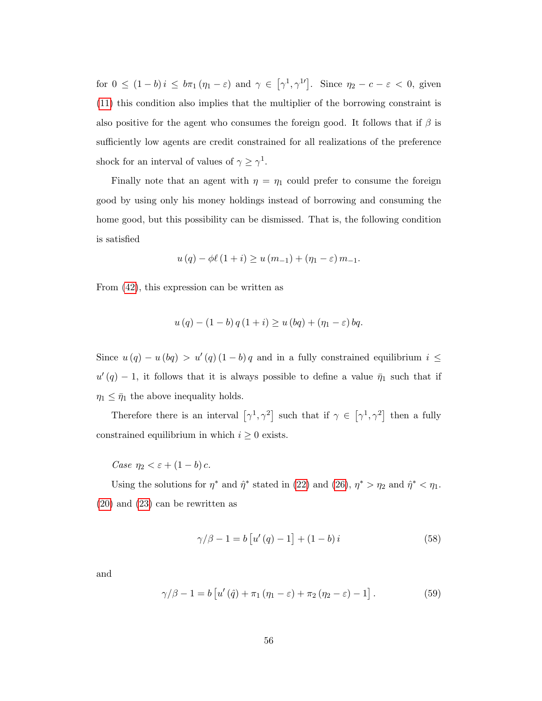for  $0 \leq (1-b)i \leq b\pi_1(\eta_1-\varepsilon)$  and  $\gamma \in [\gamma^1, \gamma^{1'}]$ . Since  $\eta_2 - c - \varepsilon < 0$ , given [\(11\)](#page-17-0) this condition also implies that the multiplier of the borrowing constraint is also positive for the agent who consumes the foreign good. It follows that if  $\beta$  is sufficiently low agents are credit constrained for all realizations of the preference shock for an interval of values of  $\gamma \geq \gamma^1$ .

Finally note that an agent with  $\eta = \eta_1$  could prefer to consume the foreign good by using only his money holdings instead of borrowing and consuming the home good, but this possibility can be dismissed. That is, the following condition is satisfied

$$
u(q) - \phi\ell(1 + i) \ge u(m_{-1}) + (\eta_1 - \varepsilon) m_{-1}.
$$

From [\(42\)](#page-50-0), this expression can be written as

$$
u(q) - (1 - b) q (1 + i) \ge u (bq) + (\eta_1 - \varepsilon) bq.
$$

Since  $u(q) - u(bq) > u'(q) (1 - b) q$  and in a fully constrained equilibrium  $i \leq$  $u'(q) - 1$ , it follows that it is always possible to define a value  $\bar{\eta}_1$  such that if  $\eta_1 \leq \bar{\eta}_1$  the above inequality holds.

Therefore there is an interval  $[\gamma^1, \gamma^2]$  such that if  $\gamma \in [\gamma^1, \gamma^2]$  then a fully constrained equilibrium in which  $i \geq 0$  exists.

Case  $\eta_2 < \varepsilon + (1 - b) c$ .

Using the solutions for  $\eta^*$  and  $\hat{\eta}^*$  stated in [\(22\)](#page-22-0) and [\(26\)](#page-25-1),  $\eta^* > \eta_2$  and  $\hat{\eta}^* < \eta_1$ . [\(20\)](#page-20-0) and [\(23\)](#page-22-1) can be rewritten as

<span id="page-57-0"></span>
$$
\gamma/\beta - 1 = b [u'(q) - 1] + (1 - b)i \tag{58}
$$

and

<span id="page-57-1"></span>
$$
\gamma/\beta - 1 = b \left[ u'(\hat{q}) + \pi_1 (\eta_1 - \varepsilon) + \pi_2 (\eta_2 - \varepsilon) - 1 \right]. \tag{59}
$$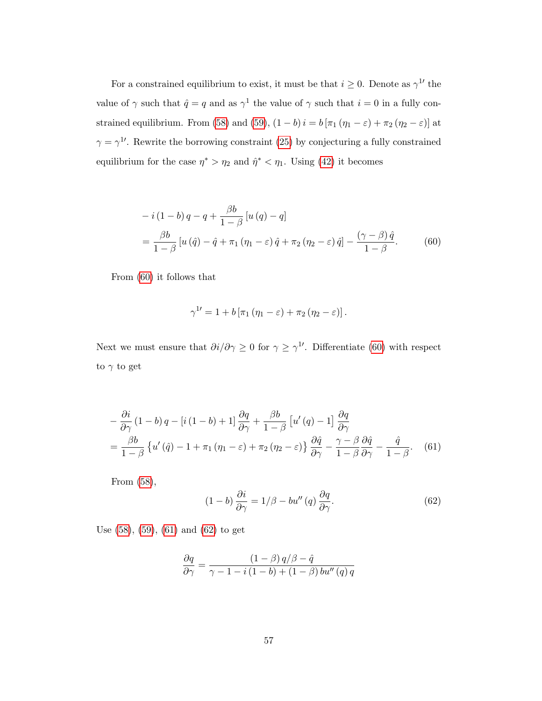For a constrained equilibrium to exist, it must be that  $i \geq 0$ . Denote as  $\gamma^{1}$  the value of  $\gamma$  such that  $\hat{q} = q$  and as  $\gamma^1$  the value of  $\gamma$  such that  $i = 0$  in a fully con-strained equilibrium. From [\(58\)](#page-57-0) and [\(59\)](#page-57-1),  $(1 - b)i = b [\pi_1 (\eta_1 - \varepsilon) + \pi_2 (\eta_2 - \varepsilon)]$  at  $\gamma = \gamma^{1}$ . Rewrite the borrowing constraint [\(25\)](#page-23-0) by conjecturing a fully constrained equilibrium for the case  $\eta^* > \eta_2$  and  $\hat{\eta}^* < \eta_1$ . Using [\(42\)](#page-50-0) it becomes

$$
-i(1-b)q - q + \frac{\beta b}{1-\beta} [u(q) - q]
$$
  
= 
$$
\frac{\beta b}{1-\beta} [u(\hat{q}) - \hat{q} + \pi_1 (\eta_1 - \varepsilon) \hat{q} + \pi_2 (\eta_2 - \varepsilon) \hat{q}] - \frac{(\gamma - \beta) \hat{q}}{1-\beta}.
$$
 (60)

From [\(60\)](#page-58-0) it follows that

<span id="page-58-0"></span>
$$
\gamma^{1\prime}=1+b\left[\pi_1\left(\eta_1-\varepsilon\right)+\pi_2\left(\eta_2-\varepsilon\right)\right].
$$

Next we must ensure that  $\partial i/\partial \gamma \geq 0$  for  $\gamma \geq \gamma^{1}$ . Differentiate [\(60\)](#page-58-0) with respect to  $\gamma$  to get

$$
-\frac{\partial i}{\partial \gamma} (1 - b) q - [i (1 - b) + 1] \frac{\partial q}{\partial \gamma} + \frac{\beta b}{1 - \beta} [u'(q) - 1] \frac{\partial q}{\partial \gamma}
$$
  
= 
$$
\frac{\beta b}{1 - \beta} \{ u'(q) - 1 + \pi_1 (\eta_1 - \varepsilon) + \pi_2 (\eta_2 - \varepsilon) \} \frac{\partial \hat{q}}{\partial \gamma} - \frac{\gamma - \beta}{1 - \beta} \frac{\partial \hat{q}}{\partial \gamma} - \frac{\hat{q}}{1 - \beta}.
$$
 (61)

From [\(58\)](#page-57-0),

<span id="page-58-2"></span><span id="page-58-1"></span>
$$
(1-b)\frac{\partial i}{\partial \gamma} = 1/\beta - bu''(q)\frac{\partial q}{\partial \gamma}.
$$
 (62)

Use [\(58\)](#page-57-0), [\(59\)](#page-57-1), [\(61\)](#page-58-1) and [\(62\)](#page-58-2) to get

$$
\frac{\partial q}{\partial \gamma} = \frac{(1-\beta) q/\beta - \hat{q}}{\gamma - 1 - i (1-b) + (1-\beta) bu''(q) q}
$$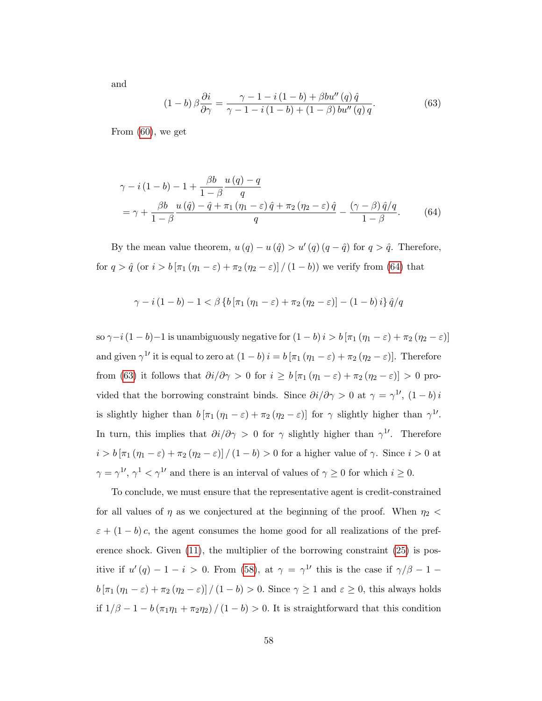and

<span id="page-59-1"></span><span id="page-59-0"></span>
$$
(1-b)\,\beta\frac{\partial i}{\partial \gamma} = \frac{\gamma - 1 - i\,(1-b) + \beta bu''\,(q)\,\hat{q}}{\gamma - 1 - i\,(1-b) + (1-\beta)\,bu''\,(q)\,q}.\tag{63}
$$

From [\(60\)](#page-58-0), we get

$$
\gamma - i(1 - b) - 1 + \frac{\beta b}{1 - \beta} \frac{u(q) - q}{q}
$$
  
= 
$$
\gamma + \frac{\beta b}{1 - \beta} \frac{u(\hat{q}) - \hat{q} + \pi_1(\eta_1 - \varepsilon) \hat{q} + \pi_2(\eta_2 - \varepsilon) \hat{q}}{q} - \frac{(\gamma - \beta) \hat{q}/q}{1 - \beta}.
$$
 (64)

By the mean value theorem,  $u(q) - u(\hat{q}) > u'(q)(q - \hat{q})$  for  $q > \hat{q}$ . Therefore, for  $q > \hat{q}$  (or  $i > b \left[ \pi_1 (\eta_1 - \varepsilon) + \pi_2 (\eta_2 - \varepsilon) \right] / (1 - b)$ ) we verify from [\(64\)](#page-59-0) that

$$
\gamma - i (1 - b) - 1 < \beta \left\{ b \left[ \pi_1 (\eta_1 - \varepsilon) + \pi_2 (\eta_2 - \varepsilon) \right] - (1 - b) i \right\} \hat{q}/q
$$

so  $\gamma-i(1-b)-1$  is unambiguously negative for  $(1-b)i > b \left[\pi_1(\eta_1-\varepsilon) + \pi_2(\eta_2-\varepsilon)\right]$ and given  $\gamma^{1}$  it is equal to zero at  $(1-b)i = b [\pi_1 (\eta_1 - \varepsilon) + \pi_2 (\eta_2 - \varepsilon)].$  Therefore from [\(63\)](#page-59-1) it follows that  $\partial i/\partial \gamma > 0$  for  $i \ge b [\pi_1 (\eta_1 - \varepsilon) + \pi_2 (\eta_2 - \varepsilon)] > 0$  provided that the borrowing constraint binds. Since  $\partial i/\partial \gamma > 0$  at  $\gamma = \gamma^{1}$ ,  $(1 - b)i$ is slightly higher than  $b [\pi_1 (\eta_1 - \varepsilon) + \pi_2 (\eta_2 - \varepsilon)]$  for  $\gamma$  slightly higher than  $\gamma^{1'}$ . In turn, this implies that  $\partial i/\partial \gamma > 0$  for  $\gamma$  slightly higher than  $\gamma^{1}$ . Therefore  $i > b \left[\pi_1 (\eta_1 - \varepsilon) + \pi_2 (\eta_2 - \varepsilon)\right] / (1 - b) > 0$  for a higher value of  $\gamma$ . Since  $i > 0$  at  $\gamma = \gamma^{1'}$ ,  $\gamma^{1} < \gamma^{1'}$  and there is an interval of values of  $\gamma \ge 0$  for which  $i \ge 0$ .

To conclude, we must ensure that the representative agent is credit-constrained for all values of  $\eta$  as we conjectured at the beginning of the proof. When  $\eta_2$  <  $\varepsilon + (1 - b)c$ , the agent consumes the home good for all realizations of the preference shock. Given [\(11\)](#page-17-0), the multiplier of the borrowing constraint [\(25\)](#page-23-0) is positive if  $u'(q) - 1 - i > 0$ . From [\(58\)](#page-57-0), at  $\gamma = \gamma^{1}$  this is the case if  $\gamma/\beta - 1$  $b \left[\pi_1 (\eta_1 - \varepsilon) + \pi_2 (\eta_2 - \varepsilon)\right] / (1 - b) > 0$ . Since  $\gamma \ge 1$  and  $\varepsilon \ge 0$ , this always holds if  $1/\beta - 1 - b(\pi_1 \eta_1 + \pi_2 \eta_2) / (1 - b) > 0$ . It is straightforward that this condition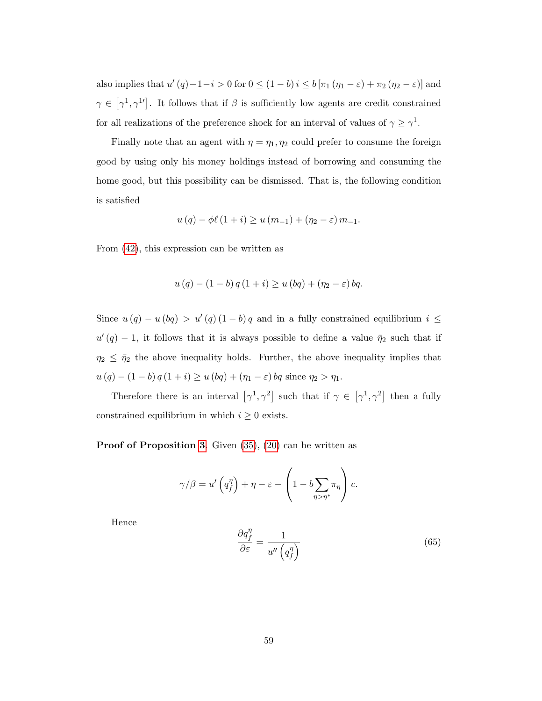also implies that  $u'(q) - 1 - i > 0$  for  $0 \le (1 - b)i \le b [\pi_1 (\eta_1 - \varepsilon) + \pi_2 (\eta_2 - \varepsilon)]$  and  $\gamma \in \left[\gamma^1, \gamma^1\right]$ . It follows that if  $\beta$  is sufficiently low agents are credit constrained for all realizations of the preference shock for an interval of values of  $\gamma \geq \gamma^1$ .

Finally note that an agent with  $\eta = \eta_1, \eta_2$  could prefer to consume the foreign good by using only his money holdings instead of borrowing and consuming the home good, but this possibility can be dismissed. That is, the following condition is satisfied

$$
u(q) - \phi\ell(1 + i) \ge u(m_{-1}) + (\eta_2 - \varepsilon) m_{-1}.
$$

From [\(42\)](#page-50-0), this expression can be written as

$$
u(q) - (1 - b) q (1 + i) \ge u (bq) + (\eta_2 - \varepsilon) bq.
$$

Since  $u(q) - u(bq) > u'(q) (1 - b) q$  and in a fully constrained equilibrium  $i \leq$  $u'(q) - 1$ , it follows that it is always possible to define a value  $\bar{\eta}_2$  such that if  $\eta_2 \leq \bar{\eta}_2$  the above inequality holds. Further, the above inequality implies that  $u (q) - (1 - b) q (1 + i) \ge u (bq) + (\eta_1 - \varepsilon) bq$  since  $\eta_2 > \eta_1$ .

Therefore there is an interval  $[\gamma^1, \gamma^2]$  such that if  $\gamma \in [\gamma^1, \gamma^2]$  then a fully constrained equilibrium in which  $i \geq 0$  exists.

Proof of Proposition [3](#page-28-0). Given  $(35)$ ,  $(20)$  can be written as

$$
\gamma/\beta = u'\left(q_f^{\eta}\right) + \eta - \varepsilon - \left(1 - b \sum_{\eta > \eta^*} \pi_{\eta}\right) c.
$$

Hence

<span id="page-60-0"></span>
$$
\frac{\partial q_f^{\eta}}{\partial \varepsilon} = \frac{1}{u'' \left( q_f^{\eta} \right)}\tag{65}
$$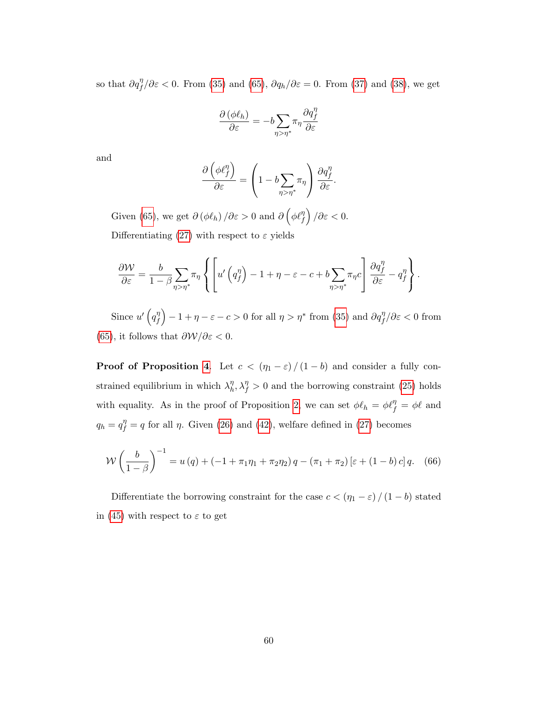so that  $\partial q_f^{\eta}/\partial \varepsilon < 0$ . From [\(35\)](#page-46-1) and [\(65\)](#page-60-0),  $\partial q_h/\partial \varepsilon = 0$ . From [\(37\)](#page-46-3) and [\(38\)](#page-47-0), we get

$$
\frac{\partial \left(\phi \ell_{h}\right)}{\partial \varepsilon}=-b\underset{\eta>\eta^{*}}{\sum}\pi_{\eta}\frac{\partial q_{f}^{\eta}}{\partial \varepsilon}
$$

and

$$
\frac{\partial \left(\phi \ell_f^{\eta}\right)}{\partial \varepsilon} = \left(1 - b \sum_{\eta > \eta^*} \pi_\eta\right) \frac{\partial q_f^{\eta}}{\partial \varepsilon}.
$$

Given [\(65\)](#page-60-0), we get  $\partial (\phi \ell_h) / \partial \varepsilon > 0$  and  $\partial (\phi \ell_f^{\eta}) / \partial \varepsilon < 0$ . Differentiating [\(27\)](#page-27-0) with respect to  $\varepsilon$  yields

$$
\frac{\partial \mathcal{W}}{\partial \varepsilon} = \frac{b}{1 - \beta} \sum_{\eta > \eta^*} \pi_{\eta} \left\{ \left[ u' \left( q_f^{\eta} \right) - 1 + \eta - \varepsilon - c + b \sum_{\eta > \eta^*} \pi_{\eta} c \right] \frac{\partial q_f^{\eta}}{\partial \varepsilon} - q_f^{\eta} \right\}.
$$

Since  $u'$   $\left(q_{f}^{\eta}\right)$  $\binom{n}{f} - 1 + \eta - \varepsilon - c > 0$  for all  $\eta > \eta^*$  from [\(35\)](#page-46-1) and  $\partial q_f^{\eta}/\partial \varepsilon < 0$  from [\(65\)](#page-60-0), it follows that  $\frac{\partial W}{\partial \varepsilon} < 0$ .

**Proof of Proposition [4](#page-29-0).** Let  $c < (\eta_1 - \varepsilon) / (1 - b)$  and consider a fully constrained equilibrium in which  $\lambda_h^{\eta}$  $\eta_h^{\eta}, \lambda_f^{\eta} > 0$  and the borrowing constraint [\(25\)](#page-23-0) holds with equality. As in the proof of Proposition [2,](#page-25-0) we can set  $\phi \ell_h = \phi \ell_f^{\eta} = \phi \ell$  and  $q_h = q_f^{\eta} = q$  for all  $\eta$ . Given [\(26\)](#page-25-1) and [\(42\)](#page-50-0), welfare defined in [\(27\)](#page-27-0) becomes

<span id="page-61-0"></span>
$$
W\left(\frac{b}{1-\beta}\right)^{-1} = u(q) + (-1 + \pi_1 \eta_1 + \pi_2 \eta_2) q - (\pi_1 + \pi_2) \left[\varepsilon + (1-b)c\right] q. \tag{66}
$$

Differentiate the borrowing constraint for the case  $c < \left(\eta_1 - \varepsilon\right)/\left(1 - b\right)$  stated in [\(45\)](#page-51-2) with respect to  $\varepsilon$  to get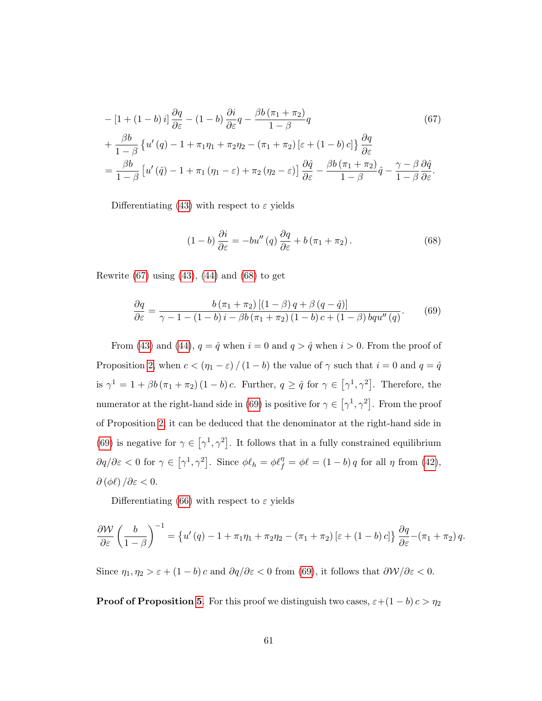$$
- [1 + (1 - b) i] \frac{\partial q}{\partial \varepsilon} - (1 - b) \frac{\partial i}{\partial \varepsilon} q - \frac{\beta b (\pi_1 + \pi_2)}{1 - \beta} q
$$
(67)  
+ 
$$
\frac{\beta b}{1 - \beta} \{ u'(q) - 1 + \pi_1 \eta_1 + \pi_2 \eta_2 - (\pi_1 + \pi_2) [\varepsilon + (1 - b) c] \} \frac{\partial q}{\partial \varepsilon}
$$
  
= 
$$
\frac{\beta b}{1 - \beta} [u'(q) - 1 + \pi_1 (\eta_1 - \varepsilon) + \pi_2 (\eta_2 - \varepsilon)] \frac{\partial \hat{q}}{\partial \varepsilon} - \frac{\beta b (\pi_1 + \pi_2)}{1 - \beta} \hat{q} - \frac{\gamma - \beta}{1 - \beta} \frac{\partial \hat{q}}{\partial \varepsilon}.
$$

Differentiating [\(43\)](#page-51-0) with respect to  $\varepsilon$  yields

<span id="page-62-1"></span><span id="page-62-0"></span>
$$
(1-b)\frac{\partial i}{\partial \varepsilon} = -bu''(q)\frac{\partial q}{\partial \varepsilon} + b(\pi_1 + \pi_2).
$$
 (68)

Rewrite  $(67)$  using  $(43)$ ,  $(44)$  and  $(68)$  to get

<span id="page-62-2"></span>
$$
\frac{\partial q}{\partial \varepsilon} = \frac{b(\pi_1 + \pi_2) [(1 - \beta) q + \beta (q - \hat{q})]}{\gamma - 1 - (1 - b) i - \beta b (\pi_1 + \pi_2) (1 - b) c + (1 - \beta) b q u''(q)}.
$$
(69)

From [\(43\)](#page-51-0) and [\(44\)](#page-51-1),  $q = \hat{q}$  when  $i = 0$  and  $q > \hat{q}$  when  $i > 0$ . From the proof of Proposition [2,](#page-25-0) when  $c < (\eta_1 - \varepsilon) / (1 - b)$  the value of  $\gamma$  such that  $i = 0$  and  $q = \hat{q}$ is  $\gamma^1 = 1 + \beta b (\pi_1 + \pi_2) (1 - b) c$ . Further,  $q \ge \hat{q}$  for  $\gamma \in [\gamma^1, \gamma^2]$ . Therefore, the numerator at the right-hand side in [\(69\)](#page-62-2) is positive for  $\gamma \in [\gamma^1, \gamma^2]$ . From the proof of Proposition [2,](#page-25-0) it can be deduced that the denominator at the right-hand side in [\(69\)](#page-62-2) is negative for  $\gamma \in [\gamma^1, \gamma^2]$ . It follows that in a fully constrained equilibrium  $\partial q/\partial \varepsilon < 0$  for  $\gamma \in [\gamma^1, \gamma^2]$ . Since  $\phi \ell_h = \phi \ell_f^{\eta} = \phi \ell = (1 - b) q$  for all  $\eta$  from [\(42\)](#page-50-0),  $\partial (\phi \ell) / \partial \varepsilon < 0.$ 

Differentiating [\(66\)](#page-61-0) with respect to  $\varepsilon$  yields

$$
\frac{\partial \mathcal{W}}{\partial \varepsilon} \left( \frac{b}{1-\beta} \right)^{-1} = \left\{ u'(q) - 1 + \pi_1 \eta_1 + \pi_2 \eta_2 - (\pi_1 + \pi_2) \left[ \varepsilon + (1-b) c \right] \right\} \frac{\partial q}{\partial \varepsilon} - (\pi_1 + \pi_2) q.
$$

Since  $\eta_1, \eta_2 > \varepsilon + (1 - b)c$  and  $\partial q/\partial \varepsilon < 0$  from [\(69\)](#page-62-2), it follows that  $\partial \mathcal{W}/\partial \varepsilon < 0$ .

**Proof of Proposition [5](#page-30-1).** For this proof we distinguish two cases,  $\varepsilon + (1 - b)c > \eta_2$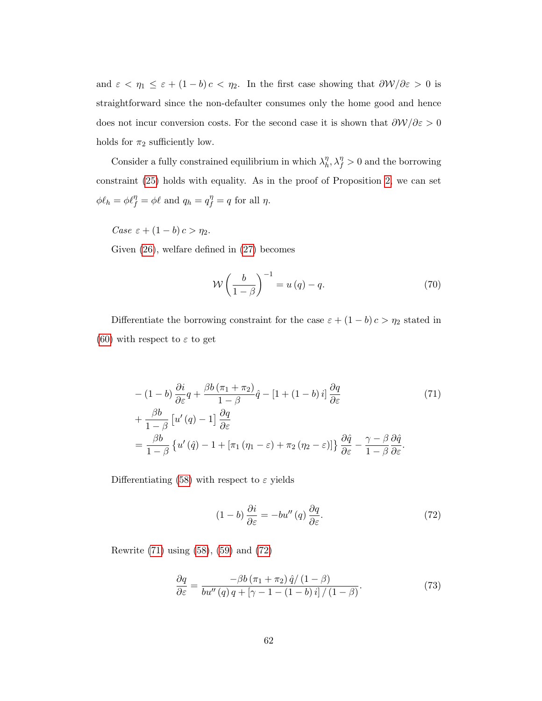and  $\varepsilon < \eta_1 \leq \varepsilon + (1 - b)c < \eta_2$ . In the first case showing that  $\partial \mathcal{W}/\partial \varepsilon > 0$  is straightforward since the non-defaulter consumes only the home good and hence does not incur conversion costs. For the second case it is shown that  $\frac{\partial \mathcal{W}}{\partial \varepsilon} > 0$ holds for  $\pi_2$  sufficiently low.

Consider a fully constrained equilibrium in which  $\lambda_h^{\eta}$  $\eta_h^{\eta}, \lambda_f^{\eta} > 0$  and the borrowing constraint [\(25\)](#page-23-0) holds with equality. As in the proof of Proposition [2,](#page-25-0) we can set  $\phi \ell_h = \phi \ell_f^{\eta} = \phi \ell \text{ and } q_h = q_f^{\eta} = q \text{ for all } \eta.$ 

Case  $\varepsilon + (1 - b) c > \eta_2$ .

Given [\(26\)](#page-25-1), welfare defined in [\(27\)](#page-27-0) becomes

<span id="page-63-3"></span><span id="page-63-0"></span>
$$
\mathcal{W}\left(\frac{b}{1-\beta}\right)^{-1} = u(q) - q. \tag{70}
$$

Differentiate the borrowing constraint for the case  $\varepsilon + (1 - b) c > \eta_2$  stated in [\(60\)](#page-58-0) with respect to  $\varepsilon$  to get

$$
-(1-b)\frac{\partial i}{\partial \varepsilon}q + \frac{\beta b(\pi_1 + \pi_2)}{1-\beta}\hat{q} - [1+(1-b)i]\frac{\partial q}{\partial \varepsilon}
$$
(71)  
+ 
$$
\frac{\beta b}{1-\beta} [u'(q) - 1]\frac{\partial q}{\partial \varepsilon}
$$

$$
= \frac{\beta b}{1-\beta} \left\{ u'(q) - 1 + [\pi_1(\eta_1 - \varepsilon) + \pi_2(\eta_2 - \varepsilon)] \right\} \frac{\partial \hat{q}}{\partial \varepsilon} - \frac{\gamma - \beta}{1-\beta} \frac{\partial \hat{q}}{\partial \varepsilon}.
$$

Differentiating [\(58\)](#page-57-0) with respect to  $\varepsilon$  yields

<span id="page-63-1"></span>
$$
(1-b)\frac{\partial i}{\partial \varepsilon} = -bu''(q)\frac{\partial q}{\partial \varepsilon}.
$$
 (72)

Rewrite [\(71\)](#page-63-0) using [\(58\)](#page-57-0), [\(59\)](#page-57-1) and [\(72\)](#page-63-1)

<span id="page-63-2"></span>
$$
\frac{\partial q}{\partial \varepsilon} = \frac{-\beta b \left(\pi_1 + \pi_2\right) \hat{q} / \left(1 - \beta\right)}{b u'' \left(q\right) q + \left[\gamma - 1 - \left(1 - b\right) i\right] / \left(1 - \beta\right)}.\tag{73}
$$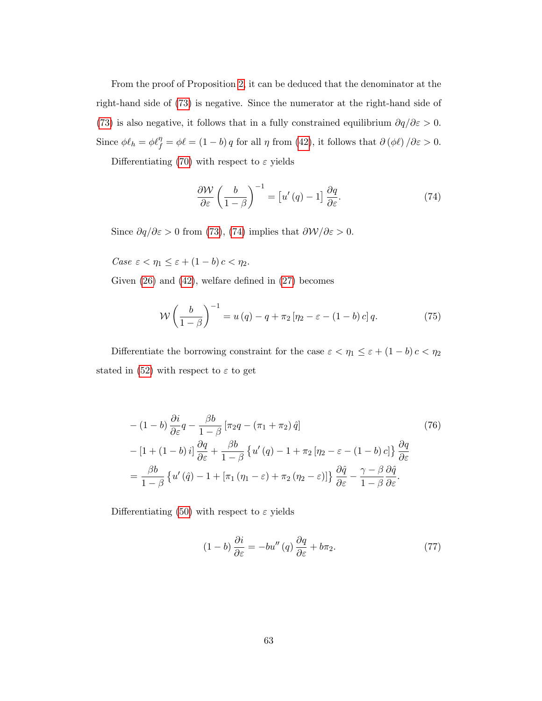From the proof of Proposition [2,](#page-25-0) it can be deduced that the denominator at the right-hand side of [\(73\)](#page-63-2) is negative. Since the numerator at the right-hand side of [\(73\)](#page-63-2) is also negative, it follows that in a fully constrained equilibrium  $\partial q/\partial \epsilon > 0$ . Since  $\phi \ell_h = \phi \ell_f^{\eta} = \phi \ell = (1 - b) q$  for all  $\eta$  from [\(42\)](#page-50-0), it follows that  $\partial (\phi \ell) / \partial \varepsilon > 0$ .

Differentiating [\(70\)](#page-63-3) with respect to  $\varepsilon$  yields

<span id="page-64-0"></span>
$$
\frac{\partial \mathcal{W}}{\partial \varepsilon} \left( \frac{b}{1 - \beta} \right)^{-1} = \left[ u'(q) - 1 \right] \frac{\partial q}{\partial \varepsilon}.
$$
 (74)

Since  $\partial q/\partial \varepsilon > 0$  from [\(73\)](#page-63-2), [\(74\)](#page-64-0) implies that  $\partial \mathcal{W}/\partial \varepsilon > 0$ .

Case  $\varepsilon < \eta_1 \leq \varepsilon + (1 - b) c < \eta_2$ .

Given [\(26\)](#page-25-1) and [\(42\)](#page-50-0), welfare defined in [\(27\)](#page-27-0) becomes

<span id="page-64-3"></span>
$$
\mathcal{W}\left(\frac{b}{1-\beta}\right)^{-1} = u(q) - q + \pi_2 \left[\eta_2 - \varepsilon - (1-b)c\right]q. \tag{75}
$$

Differentiate the borrowing constraint for the case  $\varepsilon < \eta_1 \leq \varepsilon + (1-b)\,c < \eta_2$ stated in [\(52\)](#page-54-2) with respect to  $\varepsilon$  to get

$$
-(1-b)\frac{\partial i}{\partial \varepsilon}q - \frac{\beta b}{1-\beta} \left[\pi_2 q - (\pi_1 + \pi_2)\hat{q}\right]
$$
(76)  

$$
- [1 + (1-b)i] \frac{\partial q}{\partial \varepsilon} + \frac{\beta b}{1-\beta} \left\{u'(q) - 1 + \pi_2 \left[\eta_2 - \varepsilon - (1-b)c\right]\right\} \frac{\partial q}{\partial \varepsilon}
$$
  

$$
= \frac{\beta b}{1-\beta} \left\{u'(q) - 1 + \left[\pi_1 \left(\eta_1 - \varepsilon\right) + \pi_2 \left(\eta_2 - \varepsilon\right)\right]\right\} \frac{\partial \hat{q}}{\partial \varepsilon} - \frac{\gamma - \beta}{1-\beta} \frac{\partial \hat{q}}{\partial \varepsilon}.
$$

Differentiating [\(50\)](#page-54-0) with respect to  $\varepsilon$  yields

<span id="page-64-2"></span><span id="page-64-1"></span>
$$
(1-b)\frac{\partial i}{\partial \varepsilon} = -bu''(q)\frac{\partial q}{\partial \varepsilon} + b\pi_2.
$$
 (77)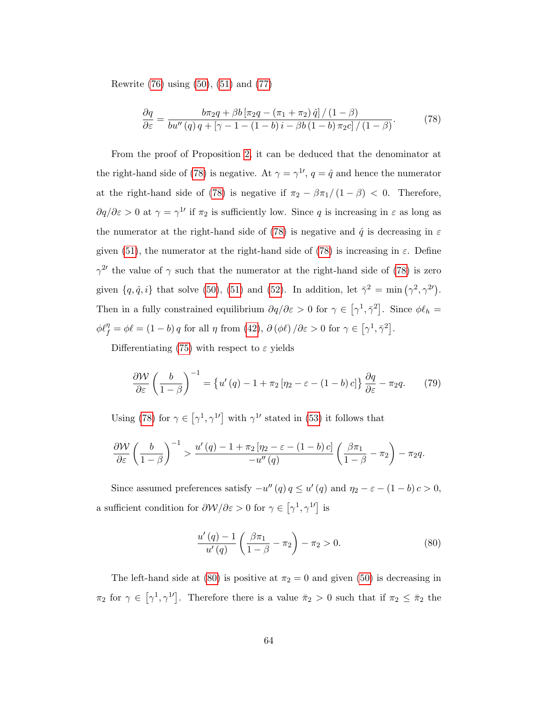Rewrite [\(76\)](#page-64-1) using [\(50\)](#page-54-0), [\(51\)](#page-54-1) and [\(77\)](#page-64-2)

<span id="page-65-0"></span>
$$
\frac{\partial q}{\partial \varepsilon} = \frac{b\pi_2 q + \beta b \left[ \pi_2 q - (\pi_1 + \pi_2) \hat{q} \right] / (1 - \beta)}{b u''(q) q + \left[ \gamma - 1 - (1 - b) i - \beta b (1 - b) \pi_2 c \right] / (1 - \beta)}.
$$
(78)

From the proof of Proposition [2,](#page-25-0) it can be deduced that the denominator at the right-hand side of [\(78\)](#page-65-0) is negative. At  $\gamma = \gamma^{1}$ ,  $q = \hat{q}$  and hence the numerator at the right-hand side of [\(78\)](#page-65-0) is negative if  $\pi_2 - \beta \pi_1/(1 - \beta) < 0$ . Therefore,  $\partial q/\partial \varepsilon > 0$  at  $\gamma = \gamma^{1}$  if  $\pi_2$  is sufficiently low. Since q is increasing in  $\varepsilon$  as long as the numerator at the right-hand side of [\(78\)](#page-65-0) is negative and  $\hat{q}$  is decreasing in  $\varepsilon$ given [\(51\)](#page-54-1), the numerator at the right-hand side of [\(78\)](#page-65-0) is increasing in  $\varepsilon$ . Define  $\gamma^{2}$  the value of  $\gamma$  such that the numerator at the right-hand side of [\(78\)](#page-65-0) is zero given  $\{q, \hat{q}, i\}$  that solve [\(50\)](#page-54-0), [\(51\)](#page-54-1) and [\(52\)](#page-54-2). In addition, let  $\bar{\gamma}^2 = \min(\gamma^2, \gamma^{2\prime})$ . Then in a fully constrained equilibrium  $\partial q/\partial \varepsilon > 0$  for  $\gamma \in [\gamma^1, \bar{\gamma}^2]$ . Since  $\phi \ell_h =$  $\phi \ell_f^{\eta} = \phi \ell = (1 - b) q$  for all  $\eta$  from [\(42\)](#page-50-0),  $\partial (\phi \ell) / \partial \varepsilon > 0$  for  $\gamma \in [\gamma^1, \bar{\gamma}^2]$ .

Differentiating [\(75\)](#page-64-3) with respect to  $\varepsilon$  yields

$$
\frac{\partial W}{\partial \varepsilon} \left( \frac{b}{1 - \beta} \right)^{-1} = \left\{ u'(q) - 1 + \pi_2 \left[ \eta_2 - \varepsilon - (1 - b) c \right] \right\} \frac{\partial q}{\partial \varepsilon} - \pi_2 q. \tag{79}
$$

Using [\(78\)](#page-65-0) for  $\gamma \in [\gamma^1, \gamma^{1'}]$  with  $\gamma^{1'}$  stated in [\(53\)](#page-54-3) it follows that

$$
\frac{\partial \mathcal{W}}{\partial \varepsilon} \left( \frac{b}{1-\beta} \right)^{-1} > \frac{u'(q) - 1 + \pi_2 \left[ \eta_2 - \varepsilon - (1-b) c \right]}{-u''(q)} \left( \frac{\beta \pi_1}{1-\beta} - \pi_2 \right) - \pi_2 q.
$$

Since assumed preferences satisfy  $-u''(q) \, q \le u'(q)$  and  $\eta_2 - \varepsilon - (1 - b) \, c > 0$ , a sufficient condition for  $\partial \mathcal{W}/\partial \varepsilon > 0$  for  $\gamma \in [\gamma^1, \gamma^1]$  is

<span id="page-65-1"></span>
$$
\frac{u'(q) - 1}{u'(q)} \left( \frac{\beta \pi_1}{1 - \beta} - \pi_2 \right) - \pi_2 > 0.
$$
 (80)

The left-hand side at [\(80\)](#page-65-1) is positive at  $\pi_2 = 0$  and given [\(50\)](#page-54-0) is decreasing in  $\pi_2$  for  $\gamma \in [\gamma^1, \gamma^{1'}]$ . Therefore there is a value  $\bar{\pi}_2 > 0$  such that if  $\pi_2 \leq \bar{\pi}_2$  the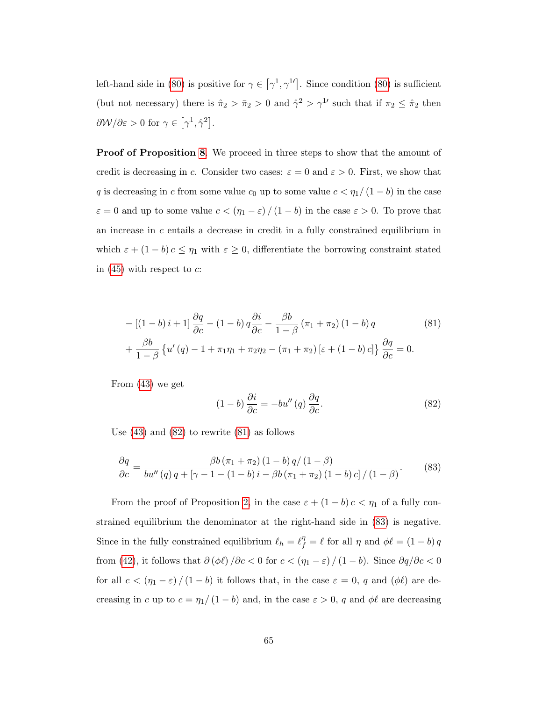left-hand side in [\(80\)](#page-65-1) is positive for  $\gamma \in [\gamma^1, \gamma^{1'}]$ . Since condition (80) is sufficient (but not necessary) there is  $\hat{\pi}_2 > \bar{\pi}_2 > 0$  and  $\hat{\gamma}^2 > \gamma^{1}$  such that if  $\pi_2 \leq \hat{\pi}_2$  then  $\frac{\partial \mathcal{W}}{\partial \varepsilon} > 0 \text{ for } \gamma \in \left[\gamma^1, \hat{\gamma}^2\right].$ 

**Proof of Proposition [8](#page-33-0).** We proceed in three steps to show that the amount of credit is decreasing in c. Consider two cases:  $\varepsilon = 0$  and  $\varepsilon > 0$ . First, we show that q is decreasing in c from some value  $c_0$  up to some value  $c < \eta_1/(1-b)$  in the case  $\varepsilon = 0$  and up to some value  $c < (\eta_1 - \varepsilon) / (1 - b)$  in the case  $\varepsilon > 0$ . To prove that an increase in  $c$  entails a decrease in credit in a fully constrained equilibrium in which  $\varepsilon + (1 - b)c \le \eta_1$  with  $\varepsilon \ge 0$ , differentiate the borrowing constraint stated in  $(45)$  with respect to c:

$$
-[(1-b)i+1]\frac{\partial q}{\partial c} - (1-b)q\frac{\partial i}{\partial c} - \frac{\beta b}{1-\beta}(\pi_1 + \pi_2)(1-b)q
$$
\n
$$
+\frac{\beta b}{1-\beta}\left\{u'(q) - 1 + \pi_1\eta_1 + \pi_2\eta_2 - (\pi_1 + \pi_2)[\varepsilon + (1-b)c]\right\}\frac{\partial q}{\partial c} = 0.
$$
\n(81)

From [\(43\)](#page-51-0) we get

<span id="page-66-1"></span><span id="page-66-0"></span>
$$
(1-b)\frac{\partial i}{\partial c} = -bu''(q)\frac{\partial q}{\partial c}.
$$
\n(82)

Use  $(43)$  and  $(82)$  to rewrite  $(81)$  as follows

<span id="page-66-2"></span>
$$
\frac{\partial q}{\partial c} = \frac{\beta b (\pi_1 + \pi_2) (1 - b) q / (1 - \beta)}{b u'' (q) q + [\gamma - 1 - (1 - b) i - \beta b (\pi_1 + \pi_2) (1 - b) c] / (1 - \beta)}.
$$
(83)

From the proof of Proposition [2,](#page-25-0) in the case  $\varepsilon + (1 - b)c < \eta_1$  of a fully constrained equilibrium the denominator at the right-hand side in [\(83\)](#page-66-2) is negative. Since in the fully constrained equilibrium  $\ell_h = \ell_f^{\eta} = \ell$  for all  $\eta$  and  $\phi \ell = (1 - b) q$ from [\(42\)](#page-50-0), it follows that  $\partial (\phi \ell)/\partial c <0$  for  $c<(\eta_1 - \varepsilon)/(1-b)$ . Since  $\partial q/\partial c <0$ for all  $c < (\eta_1 - \varepsilon) / (1 - b)$  it follows that, in the case  $\varepsilon = 0$ , q and  $(\phi \ell)$  are decreasing in c up to  $c = \eta_1/(1 - b)$  and, in the case  $\varepsilon > 0$ , q and  $\phi\ell$  are decreasing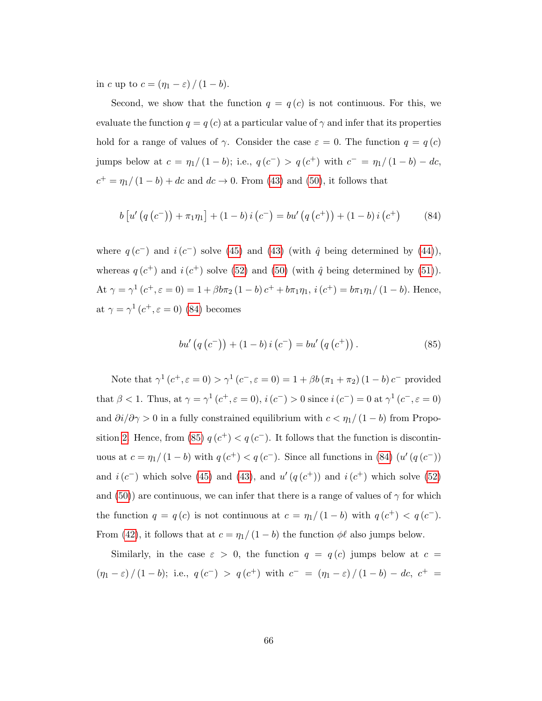in c up to  $c = (\eta_1 - \varepsilon) / (1 - b)$ .

Second, we show that the function  $q = q(c)$  is not continuous. For this, we evaluate the function  $q = q(c)$  at a particular value of  $\gamma$  and infer that its properties hold for a range of values of  $\gamma$ . Consider the case  $\varepsilon = 0$ . The function  $q = q(c)$ jumps below at  $c = \eta_1/(1-b)$ ; i.e.,  $q(c^-) > q(c^+)$  with  $c^- = \eta_1/(1-b) - dc$ ,  $c^+ = \eta_1/(1-b) + dc$  and  $dc \to 0$ . From [\(43\)](#page-51-0) and [\(50\)](#page-54-0), it follows that

<span id="page-67-0"></span>
$$
b [u' (q (c-)) + \pi_1 \eta_1] + (1 - b) i (c-) = bu' (q (c+)) + (1 - b) i (c+)
$$
 (84)

where  $q(c^-)$  and  $i(c^-)$  solve [\(45\)](#page-51-2) and [\(43\)](#page-51-0) (with  $\hat{q}$  being determined by [\(44\)](#page-51-1)), whereas  $q(c^+)$  and  $i(c^+)$  solve [\(52\)](#page-54-2) and [\(50\)](#page-54-0) (with  $\hat{q}$  being determined by [\(51\)](#page-54-1)). At  $\gamma = \gamma^1(c^+, \varepsilon = 0) = 1 + \beta b \pi_2 (1 - b) c^+ + b \pi_1 \eta_1$ ,  $i(c^+) = b \pi_1 \eta_1 / (1 - b)$ . Hence, at  $\gamma = \gamma^1(c^+, \varepsilon = 0)$  [\(84\)](#page-67-0) becomes

<span id="page-67-1"></span>
$$
bu'\left(q\left(c^{-}\right)\right) + \left(1-b\right)i\left(c^{-}\right) = bu'\left(q\left(c^{+}\right)\right). \tag{85}
$$

Note that  $\gamma^1(c^+,\varepsilon = 0) > \gamma^1(c^-,\varepsilon = 0) = 1 + \beta b (\pi_1 + \pi_2) (1 - b) c^-$  provided that  $\beta < 1$ . Thus, at  $\gamma = \gamma^1(c^+, \varepsilon = 0)$ ,  $i(c^-) > 0$  since  $i(c^-) = 0$  at  $\gamma^1(c^-, \varepsilon = 0)$ and  $\partial i/\partial \gamma > 0$  in a fully constrained equilibrium with  $c < \eta_1/(1-b)$  from Propo-sition [2.](#page-25-0) Hence, from [\(85\)](#page-67-1)  $q(c^+) < q(c^-)$ . It follows that the function is discontinuous at  $c = \eta_1/(1-b)$  with  $q(c^+) < q(c^-)$ . Since all functions in [\(84\)](#page-67-0)  $(u'(q(c^-))$ and  $i(c^-)$  which solve [\(45\)](#page-51-2) and [\(43\)](#page-51-0), and  $u'(q(c^+))$  and  $i(c^+)$  which solve [\(52\)](#page-54-2) and [\(50\)](#page-54-0)) are continuous, we can infer that there is a range of values of  $\gamma$  for which the function  $q = q(c)$  is not continuous at  $c = \eta_1/(1-b)$  with  $q(c^+) < q(c^-)$ . From [\(42\)](#page-50-0), it follows that at  $c = \eta_1/(1 - b)$  the function  $\phi\ell$  also jumps below.

Similarly, in the case  $\varepsilon > 0$ , the function  $q = q(c)$  jumps below at  $c =$  $(\eta_1 - \varepsilon) / (1 - b);$  i.e.,  $q(c^{-}) > q(c^{+})$  with  $c^{-} = (\eta_1 - \varepsilon) / (1 - b) - dc, c^{+} =$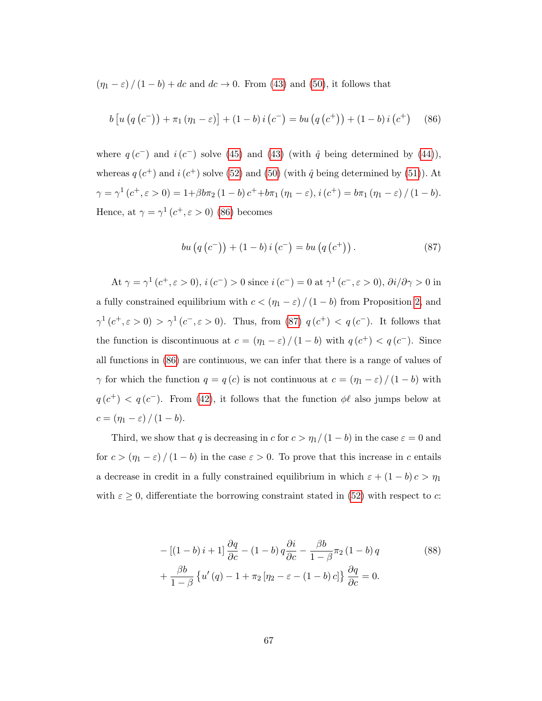$(\eta_1 - \varepsilon) / (1 - b) + dc$  and  $dc \to 0$ . From [\(43\)](#page-51-0) and [\(50\)](#page-54-0), it follows that

<span id="page-68-0"></span>
$$
b [u (q (c-)) + \pi_1 (\eta_1 - \varepsilon)] + (1 - b) i (c-) = bu (q (c+)) + (1 - b) i (c+)
$$
 (86)

where  $q(c^-)$  and  $i(c^-)$  solve [\(45\)](#page-51-2) and [\(43\)](#page-51-0) (with  $\hat{q}$  being determined by [\(44\)](#page-51-1)), whereas  $q(c^+)$  and  $i(c^+)$  solve [\(52\)](#page-54-2) and [\(50\)](#page-54-0) (with  $\hat{q}$  being determined by [\(51\)](#page-54-1)). At  $\gamma = \gamma^1 (c^+, \varepsilon > 0) = 1 + \beta b \pi_2 (1 - b) c^+ + b \pi_1 (\eta_1 - \varepsilon), i (c^+) = b \pi_1 (\eta_1 - \varepsilon) / (1 - b).$ Hence, at  $\gamma = \gamma^1(c^+, \varepsilon > 0)$  [\(86\)](#page-68-0) becomes

<span id="page-68-1"></span>
$$
bu(q (c-)) + (1 - b) i (c-) = bu(q (c+)).
$$
\n(87)

At  $\gamma = \gamma^1(c^+, \varepsilon > 0), i(c^-) > 0$  since  $i(c^-) = 0$  at  $\gamma^1(c^-, \varepsilon > 0), \partial i/\partial \gamma > 0$  in a fully constrained equilibrium with  $c < (\eta_1 - \varepsilon) / (1 - b)$  from Proposition [2,](#page-25-0) and  $\gamma^1(c^+,\varepsilon>0) > \gamma^1(c^-,\varepsilon>0)$ . Thus, from [\(87\)](#page-68-1)  $q(c^+) < q(c^-)$ . It follows that the function is discontinuous at  $c = (\eta_1 - \varepsilon) / (1 - b)$  with  $q(c^+) < q(c^-)$ . Since all functions in [\(86\)](#page-68-0) are continuous, we can infer that there is a range of values of  $\gamma$  for which the function  $q = q(c)$  is not continuous at  $c = (\eta_1 - \varepsilon) / (1 - b)$  with  $q(c^+) < q(c^-)$ . From [\(42\)](#page-50-0), it follows that the function  $\phi\ell$  also jumps below at  $c = (\eta_1 - \varepsilon) / (1 - b).$ 

Third, we show that q is decreasing in c for  $c > \eta_1/(1 - b)$  in the case  $\varepsilon = 0$  and for  $c > (\eta_1 - \varepsilon) / (1 - b)$  in the case  $\varepsilon > 0$ . To prove that this increase in c entails a decrease in credit in a fully constrained equilibrium in which  $\varepsilon + (1 - b) c > \eta_1$ with  $\varepsilon \geq 0$ , differentiate the borrowing constraint stated in [\(52\)](#page-54-2) with respect to c:

<span id="page-68-2"></span>
$$
-[(1-b)i+1]\frac{\partial q}{\partial c} - (1-b)q\frac{\partial i}{\partial c} - \frac{\beta b}{1-\beta}\pi_2(1-b)q
$$
  
+ 
$$
\frac{\beta b}{1-\beta}\left\{u'(q) - 1 + \pi_2[\eta_2 - \varepsilon - (1-b)c]\right\}\frac{\partial q}{\partial c} = 0.
$$
 (88)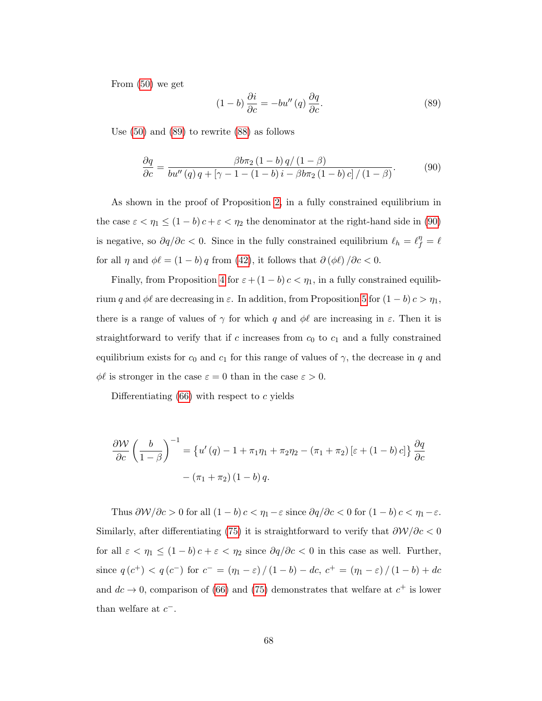From [\(50\)](#page-54-0) we get

<span id="page-69-0"></span>
$$
(1-b)\frac{\partial i}{\partial c} = -bu''(q)\frac{\partial q}{\partial c}.
$$
 (89)

Use [\(50\)](#page-54-0) and [\(89\)](#page-69-0) to rewrite [\(88\)](#page-68-2) as follows

<span id="page-69-1"></span>
$$
\frac{\partial q}{\partial c} = \frac{\beta b \pi_2 (1 - b) q / (1 - \beta)}{b u''(q) q + [\gamma - 1 - (1 - b) i - \beta b \pi_2 (1 - b) c] / (1 - \beta)}.
$$
(90)

As shown in the proof of Proposition [2,](#page-25-0) in a fully constrained equilibrium in the case  $\varepsilon < \eta_1 \leq (1-b)c + \varepsilon < \eta_2$  the denominator at the right-hand side in [\(90\)](#page-69-1) is negative, so  $\partial q/\partial c < 0$ . Since in the fully constrained equilibrium  $\ell_h = \ell_f^{\eta} = \ell$ for all  $\eta$  and  $\phi \ell = (1 - b) q$  from [\(42\)](#page-50-0), it follows that  $\partial (\phi \ell) / \partial c < 0$ .

Finally, from Proposition [4](#page-29-0) for  $\varepsilon + (1 - b) c < \eta_1$ , in a fully constrained equilibrium q and  $\phi\ell$  are decreasing in  $\varepsilon$ . In addition, from Proposition [5](#page-30-1) for  $(1 - b) c > \eta_1$ , there is a range of values of  $\gamma$  for which q and  $\phi\ell$  are increasing in  $\varepsilon$ . Then it is straightforward to verify that if c increases from  $c_0$  to  $c_1$  and a fully constrained equilibrium exists for  $c_0$  and  $c_1$  for this range of values of  $\gamma$ , the decrease in q and  $\phi\ell$  is stronger in the case  $\varepsilon = 0$  than in the case  $\varepsilon > 0$ .

Differentiating  $(66)$  with respect to c yields

$$
\frac{\partial \mathcal{W}}{\partial c} \left( \frac{b}{1 - \beta} \right)^{-1} = \left\{ u'(q) - 1 + \pi_1 \eta_1 + \pi_2 \eta_2 - (\pi_1 + \pi_2) \left[ \varepsilon + (1 - b) c \right] \right\} \frac{\partial q}{\partial c}
$$

$$
- (\pi_1 + \pi_2) (1 - b) q.
$$

Thus  $\frac{\partial \mathcal{W}}{\partial c} > 0$  for all  $(1 - b) c < \eta_1 - \varepsilon$  since  $\frac{\partial q}{\partial c} < 0$  for  $(1 - b) c < \eta_1 - \varepsilon$ . Similarly, after differentiating [\(75\)](#page-64-3) it is straightforward to verify that  $\frac{\partial W}{\partial c} < 0$ for all  $\varepsilon < \eta_1 \le (1 - b)c + \varepsilon < \eta_2$  since  $\partial q / \partial c < 0$  in this case as well. Further, since  $q(c^{+}) < q(c^{-})$  for  $c^{-} = (\eta_1 - \varepsilon) / (1 - b) - dc$ ,  $c^{+} = (\eta_1 - \varepsilon) / (1 - b) + dc$ and  $dc \rightarrow 0$ , comparison of [\(66\)](#page-61-0) and [\(75\)](#page-64-3) demonstrates that welfare at  $c^{+}$  is lower than welfare at  $c^-$ .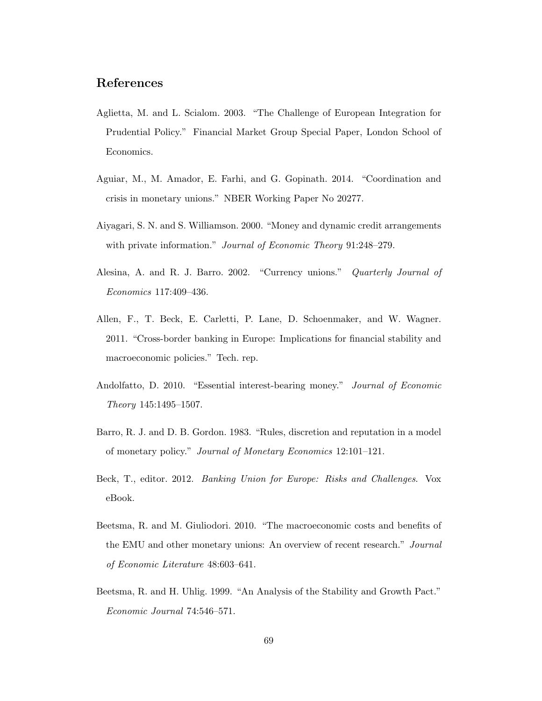## References

- <span id="page-70-1"></span>Aglietta, M. and L. Scialom. 2003. "The Challenge of European Integration for Prudential Policy." Financial Market Group Special Paper, London School of Economics.
- <span id="page-70-6"></span>Aguiar, M., M. Amador, E. Farhi, and G. Gopinath. 2014. "Coordination and crisis in monetary unions." NBER Working Paper No 20277.
- Aiyagari, S. N. and S. Williamson. 2000. "Money and dynamic credit arrangements with private information." *Journal of Economic Theory* 91:248–279.
- <span id="page-70-4"></span>Alesina, A. and R. J. Barro. 2002. "Currency unions." Quarterly Journal of Economics 117:409–436.
- <span id="page-70-0"></span>Allen, F., T. Beck, E. Carletti, P. Lane, D. Schoenmaker, and W. Wagner. 2011. "Cross-border banking in Europe: Implications for financial stability and macroeconomic policies." Tech. rep.
- Andolfatto, D. 2010. "Essential interest-bearing money." Journal of Economic Theory 145:1495–1507.
- <span id="page-70-3"></span>Barro, R. J. and D. B. Gordon. 1983. "Rules, discretion and reputation in a model of monetary policy." Journal of Monetary Economics 12:101–121.
- Beck, T., editor. 2012. Banking Union for Europe: Risks and Challenges. Vox eBook.
- <span id="page-70-2"></span>Beetsma, R. and M. Giuliodori. 2010. "The macroeconomic costs and benefits of the EMU and other monetary unions: An overview of recent research." Journal of Economic Literature 48:603–641.
- <span id="page-70-5"></span>Beetsma, R. and H. Uhlig. 1999. "An Analysis of the Stability and Growth Pact." Economic Journal 74:546–571.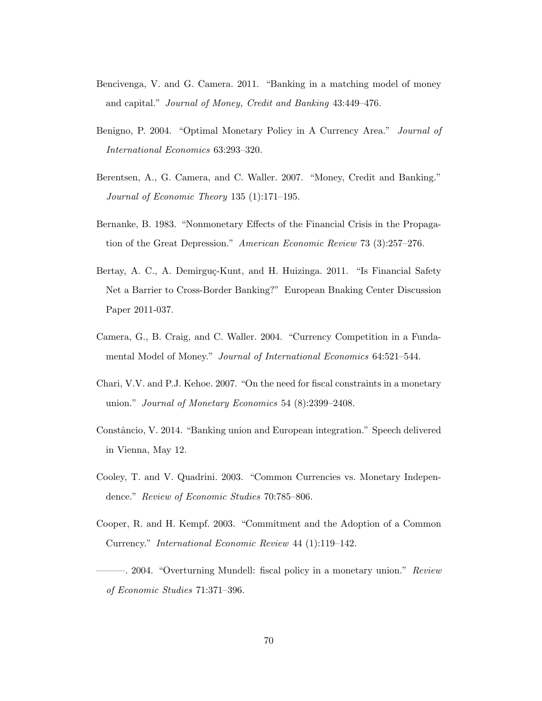- Bencivenga, V. and G. Camera. 2011. "Banking in a matching model of money and capital." Journal of Money, Credit and Banking 43:449–476.
- <span id="page-71-2"></span>Benigno, P. 2004. "Optimal Monetary Policy in A Currency Area." Journal of International Economics 63:293–320.
- Berentsen, A., G. Camera, and C. Waller. 2007. "Money, Credit and Banking." Journal of Economic Theory 135 (1):171–195.
- Bernanke, B. 1983. "Nonmonetary Effects of the Financial Crisis in the Propagation of the Great Depression." American Economic Review 73 (3):257–276.
- <span id="page-71-0"></span>Bertay, A. C., A. Demirguç-Kunt, and H. Huizinga. 2011. "Is Financial Safety Net a Barrier to Cross-Border Banking?" European Bnaking Center Discussion Paper 2011-037.
- Camera, G., B. Craig, and C. Waller. 2004. "Currency Competition in a Fundamental Model of Money." Journal of International Economics 64:521–544.
- <span id="page-71-6"></span>Chari, V.V. and P.J. Kehoe. 2007. "On the need for fiscal constraints in a monetary union." Journal of Monetary Economics 54 (8):2399–2408.
- <span id="page-71-1"></span>Constâncio, V. 2014. "Banking union and European integration." Speech delivered in Vienna, May 12.
- <span id="page-71-4"></span>Cooley, T. and V. Quadrini. 2003. "Common Currencies vs. Monetary Independence." Review of Economic Studies 70:785–806.
- <span id="page-71-5"></span>Cooper, R. and H. Kempf. 2003. "Commitment and the Adoption of a Common Currency." International Economic Review 44 (1):119–142.
- <span id="page-71-3"></span>-. 2004. "Overturning Mundell: fiscal policy in a monetary union." Review of Economic Studies 71:371–396.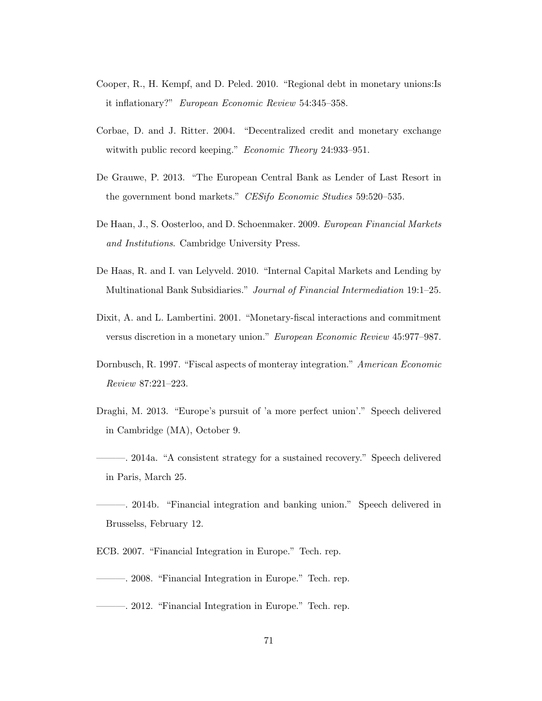- Cooper, R., H. Kempf, and D. Peled. 2010. "Regional debt in monetary unions:Is it inflationary?" European Economic Review 54:345–358.
- Corbae, D. and J. Ritter. 2004. "Decentralized credit and monetary exchange witwith public record keeping." Economic Theory 24:933–951.
- De Grauwe, P. 2013. "The European Central Bank as Lender of Last Resort in the government bond markets." CESifo Economic Studies 59:520–535.
- De Haan, J., S. Oosterloo, and D. Schoenmaker. 2009. European Financial Markets and Institutions. Cambridge University Press.
- De Haas, R. and I. van Lelyveld. 2010. "Internal Capital Markets and Lending by Multinational Bank Subsidiaries." Journal of Financial Intermediation 19:1–25.
- Dixit, A. and L. Lambertini. 2001. "Monetary-fiscal interactions and commitment versus discretion in a monetary union." European Economic Review 45:977–987.
- Dornbusch, R. 1997. "Fiscal aspects of monteray integration." American Economic Review 87:221–223.
- Draghi, M. 2013. "Europe's pursuit of 'a more perfect union'." Speech delivered in Cambridge (MA), October 9.
- ———. 2014a. "A consistent strategy for a sustained recovery." Speech delivered in Paris, March 25.
- ———. 2014b. "Financial integration and banking union." Speech delivered in Brusselss, February 12.
- ECB. 2007. "Financial Integration in Europe." Tech. rep.
- ———. 2008. "Financial Integration in Europe." Tech. rep.
- ———. 2012. "Financial Integration in Europe." Tech. rep.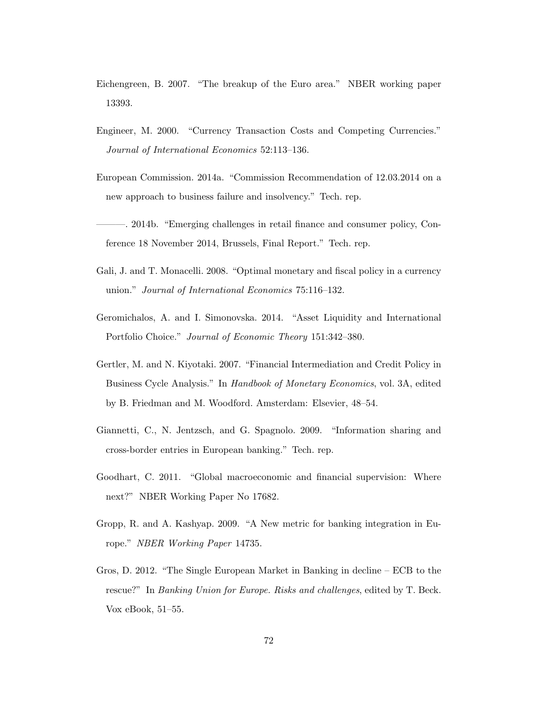- Eichengreen, B. 2007. "The breakup of the Euro area." NBER working paper 13393.
- Engineer, M. 2000. "Currency Transaction Costs and Competing Currencies." Journal of International Economics 52:113–136.
- European Commission. 2014a. "Commission Recommendation of 12.03.2014 on a new approach to business failure and insolvency." Tech. rep.
- ———. 2014b. "Emerging challenges in retail finance and consumer policy, Conference 18 November 2014, Brussels, Final Report." Tech. rep.
- Gali, J. and T. Monacelli. 2008. "Optimal monetary and fiscal policy in a currency union." Journal of International Economics 75:116–132.
- Geromichalos, A. and I. Simonovska. 2014. "Asset Liquidity and International Portfolio Choice." Journal of Economic Theory 151:342–380.
- Gertler, M. and N. Kiyotaki. 2007. "Financial Intermediation and Credit Policy in Business Cycle Analysis." In Handbook of Monetary Economics, vol. 3A, edited by B. Friedman and M. Woodford. Amsterdam: Elsevier, 48–54.
- Giannetti, C., N. Jentzsch, and G. Spagnolo. 2009. "Information sharing and cross-border entries in European banking." Tech. rep.
- Goodhart, C. 2011. "Global macroeconomic and financial supervision: Where next?" NBER Working Paper No 17682.
- Gropp, R. and A. Kashyap. 2009. "A New metric for banking integration in Europe." NBER Working Paper 14735.
- Gros, D. 2012. "The Single European Market in Banking in decline ECB to the rescue?" In Banking Union for Europe. Risks and challenges, edited by T. Beck. Vox eBook, 51–55.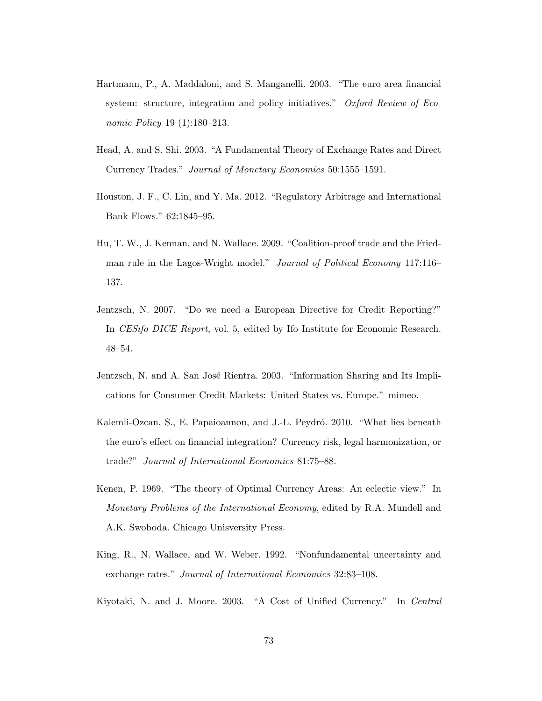- Hartmann, P., A. Maddaloni, and S. Manganelli. 2003. "The euro area financial system: structure, integration and policy initiatives." Oxford Review of Economic Policy 19 (1):180–213.
- Head, A. and S. Shi. 2003. "A Fundamental Theory of Exchange Rates and Direct Currency Trades." Journal of Monetary Economics 50:1555–1591.
- Houston, J. F., C. Lin, and Y. Ma. 2012. "Regulatory Arbitrage and International Bank Flows." 62:1845–95.
- Hu, T. W., J. Kennan, and N. Wallace. 2009. "Coalition-proof trade and the Friedman rule in the Lagos-Wright model." Journal of Political Economy 117:116– 137.
- Jentzsch, N. 2007. "Do we need a European Directive for Credit Reporting?" In CESifo DICE Report, vol. 5, edited by Ifo Institute for Economic Research. 48–54.
- Jentzsch, N. and A. San José Rientra. 2003. "Information Sharing and Its Implications for Consumer Credit Markets: United States vs. Europe." mimeo.
- Kalemli-Ozcan, S., E. Papaioannou, and J.-L. Peydró. 2010. "What lies beneath the euro's effect on financial integration? Currency risk, legal harmonization, or trade?" Journal of International Economics 81:75–88.
- Kenen, P. 1969. "The theory of Optimal Currency Areas: An eclectic view." In Monetary Problems of the International Economy, edited by R.A. Mundell and A.K. Swoboda. Chicago Unisversity Press.
- King, R., N. Wallace, and W. Weber. 1992. "Nonfundamental uncertainty and exchange rates." Journal of International Economics 32:83–108.
- Kiyotaki, N. and J. Moore. 2003. "A Cost of Unified Currency." In Central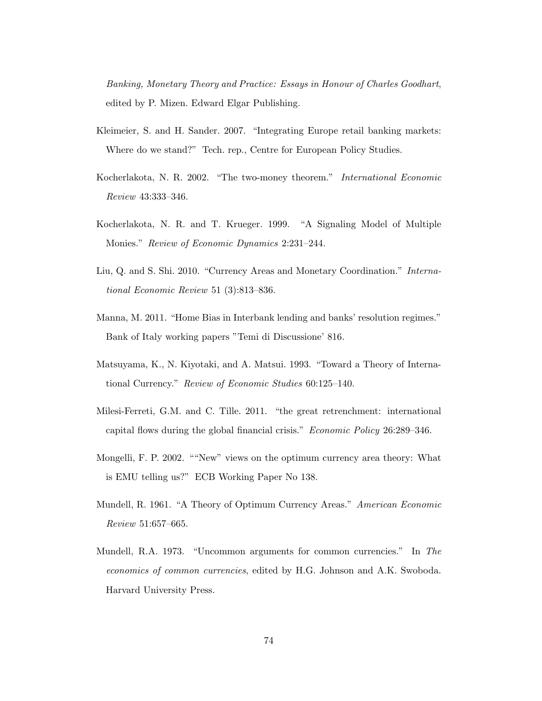Banking, Monetary Theory and Practice: Essays in Honour of Charles Goodhart, edited by P. Mizen. Edward Elgar Publishing.

- Kleimeier, S. and H. Sander. 2007. "Integrating Europe retail banking markets: Where do we stand?" Tech. rep., Centre for European Policy Studies.
- Kocherlakota, N. R. 2002. "The two-money theorem." International Economic Review 43:333–346.
- Kocherlakota, N. R. and T. Krueger. 1999. "A Signaling Model of Multiple Monies." Review of Economic Dynamics 2:231–244.
- Liu, Q. and S. Shi. 2010. "Currency Areas and Monetary Coordination." International Economic Review 51 (3):813–836.
- Manna, M. 2011. "Home Bias in Interbank lending and banks' resolution regimes." Bank of Italy working papers "Temi di Discussione' 816.
- Matsuyama, K., N. Kiyotaki, and A. Matsui. 1993. "Toward a Theory of International Currency." Review of Economic Studies 60:125–140.
- Milesi-Ferreti, G.M. and C. Tille. 2011. "the great retrenchment: international capital flows during the global financial crisis." Economic Policy 26:289–346.
- Mongelli, F. P. 2002. ""New" views on the optimum currency area theory: What is EMU telling us?" ECB Working Paper No 138.
- Mundell, R. 1961. "A Theory of Optimum Currency Areas." American Economic Review 51:657–665.
- Mundell, R.A. 1973. "Uncommon arguments for common currencies." In The economics of common currencies, edited by H.G. Johnson and A.K. Swoboda. Harvard University Press.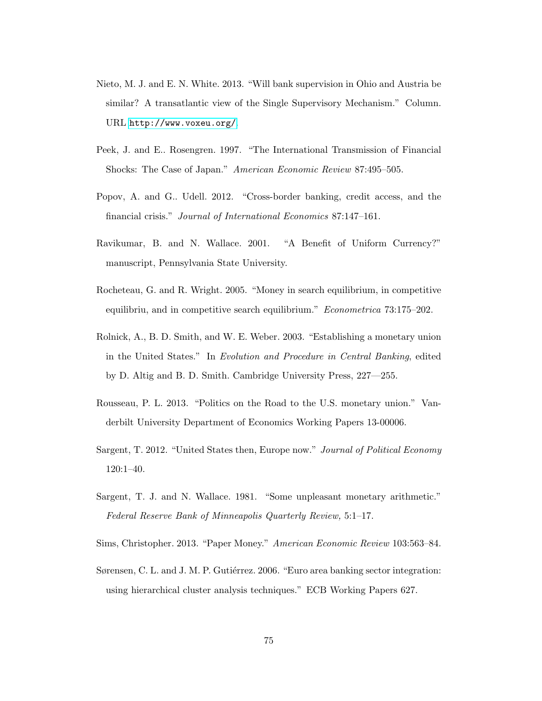- Nieto, M. J. and E. N. White. 2013. "Will bank supervision in Ohio and Austria be similar? A transatlantic view of the Single Supervisory Mechanism." Column. URL <http://www.voxeu.org/>.
- Peek, J. and E.. Rosengren. 1997. "The International Transmission of Financial Shocks: The Case of Japan." American Economic Review 87:495–505.
- Popov, A. and G.. Udell. 2012. "Cross-border banking, credit access, and the financial crisis." Journal of International Economics 87:147–161.
- Ravikumar, B. and N. Wallace. 2001. "A Benefit of Uniform Currency?" manuscript, Pennsylvania State University.
- Rocheteau, G. and R. Wright. 2005. "Money in search equilibrium, in competitive equilibriu, and in competitive search equilibrium." Econometrica 73:175–202.
- Rolnick, A., B. D. Smith, and W. E. Weber. 2003. "Establishing a monetary union in the United States." In Evolution and Procedure in Central Banking, edited by D. Altig and B. D. Smith. Cambridge University Press, 227—255.
- Rousseau, P. L. 2013. "Politics on the Road to the U.S. monetary union." Vanderbilt University Department of Economics Working Papers 13-00006.
- Sargent, T. 2012. "United States then, Europe now." Journal of Political Economy 120:1–40.
- Sargent, T. J. and N. Wallace. 1981. "Some unpleasant monetary arithmetic." Federal Reserve Bank of Minneapolis Quarterly Review, 5:1–17.
- Sims, Christopher. 2013. "Paper Money." American Economic Review 103:563–84.
- Sørensen, C. L. and J. M. P. Gutiérrez. 2006. "Euro area banking sector integration: using hierarchical cluster analysis techniques." ECB Working Papers 627.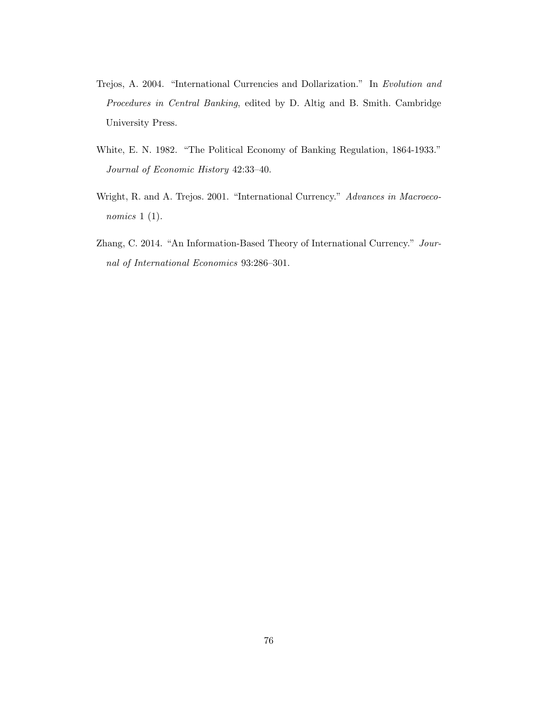- Trejos, A. 2004. "International Currencies and Dollarization." In Evolution and Procedures in Central Banking, edited by D. Altig and B. Smith. Cambridge University Press.
- White, E. N. 1982. "The Political Economy of Banking Regulation, 1864-1933." Journal of Economic History 42:33–40.
- Wright, R. and A. Trejos. 2001. "International Currency." Advances in Macroeconomics 1 (1).
- Zhang, C. 2014. "An Information-Based Theory of International Currency." Journal of International Economics 93:286–301.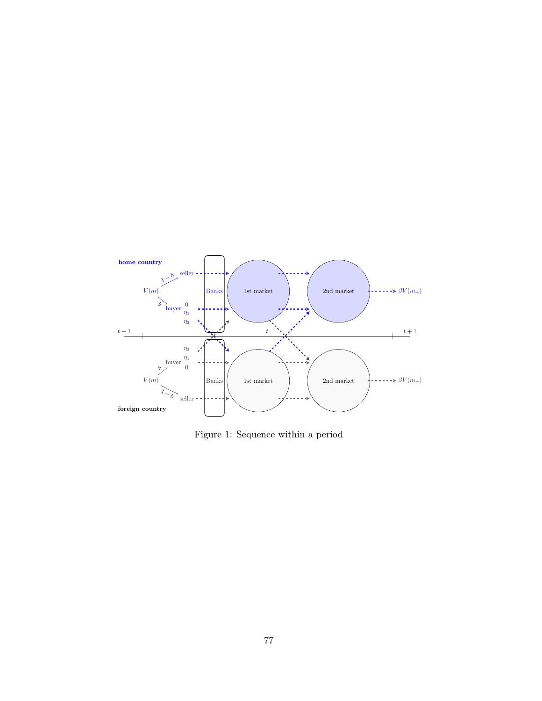

Figure 1: Sequence within a period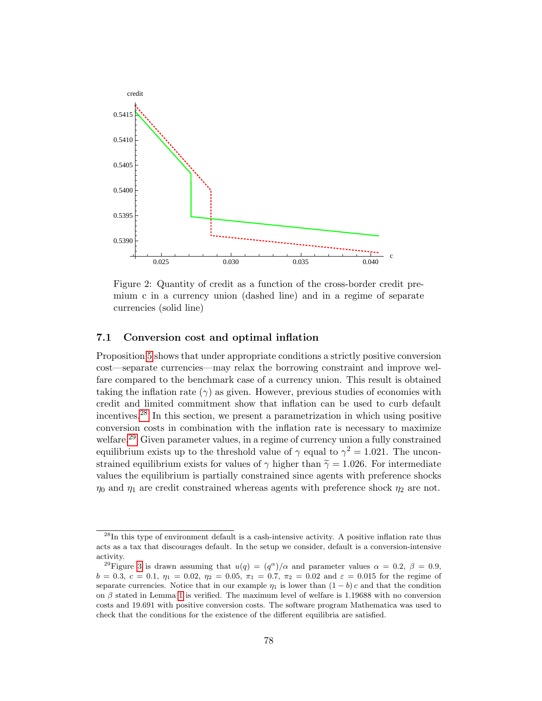

Figure 2: Quantity of credit as a function of the cross-border credit premium c in a currency union (dashed line) and in a regime of separate currencies (solid line)

## 7.1 Conversion cost and optimal inflation

Proposition [5](#page-30-0) shows that under appropriate conditions a strictly positive conversion cost—separate currencies—may relax the borrowing constraint and improve welfare compared to the benchmark case of a currency union. This result is obtained taking the inflation rate  $(\gamma)$  as given. However, previous studies of economies with credit and limited commitment show that inflation can be used to curb default incentives.[28](#page-79-0) In this section, we present a parametrization in which using positive conversion costs in combination with the inflation rate is necessary to maximize welfare.<sup>[29](#page-79-1)</sup> Given parameter values, in a regime of currency union a fully constrained equilibrium exists up to the threshold value of  $\gamma$  equal to  $\gamma^2 = 1.021$ . The unconstrained equilibrium exists for values of  $\gamma$  higher than  $\tilde{\gamma} = 1.026$ . For intermediate values the equilibrium is partially constrained since agents with preference shocks  $\eta_0$  and  $\eta_1$  are credit constrained whereas agents with preference shock  $\eta_2$  are not.

<span id="page-79-0"></span><sup>&</sup>lt;sup>28</sup>In this type of environment default is a cash-intensive activity. A positive inflation rate thus acts as a tax that discourages default. In the setup we consider, default is a conversion-intensive activity.

<span id="page-79-1"></span><sup>&</sup>lt;sup>29</sup>Figure [3](#page-80-0) is drawn assuming that  $u(q) = (q^{\alpha})/\alpha$  and parameter values  $\alpha = 0.2, \beta = 0.9$ ,  $b = 0.3, c = 0.1, \eta_1 = 0.02, \eta_2 = 0.05, \pi_1 = 0.7, \pi_2 = 0.02$  and  $\varepsilon = 0.015$  for the regime of separate currencies. Notice that in our example  $\eta_1$  is lower than  $(1 - b)c$  and that the condition on  $\beta$  stated in Lemma [1](#page-21-0) is verified. The maximum level of welfare is 1.19688 with no conversion costs and 19.691 with positive conversion costs. The software program Mathematica was used to check that the conditions for the existence of the different equilibria are satisfied.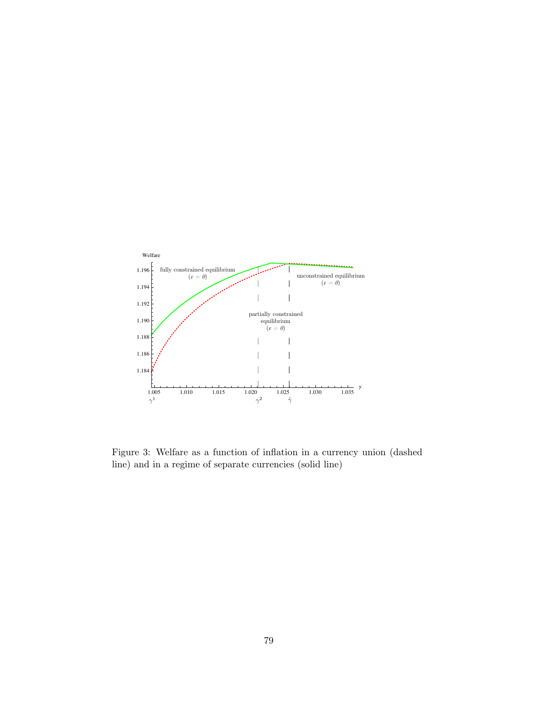

<span id="page-80-0"></span>Figure 3: Welfare as a function of inflation in a currency union (dashed line) and in a regime of separate currencies (solid line)